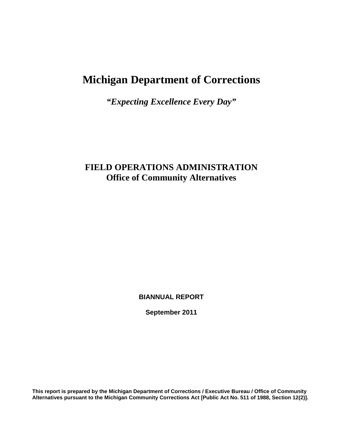# **Michigan Department of Corrections**

*"Expecting Excellence Every Day"*

## **FIELD OPERATIONS ADMINISTRATION Office of Community Alternatives**

**BIANNUAL REPORT**

**September 2011**

**This report is prepared by the Michigan Department of Corrections / Executive Bureau / Office of Community Alternatives pursuant to the Michigan Community Corrections Act [Public Act No. 511 of 1988, Section 12(2)].**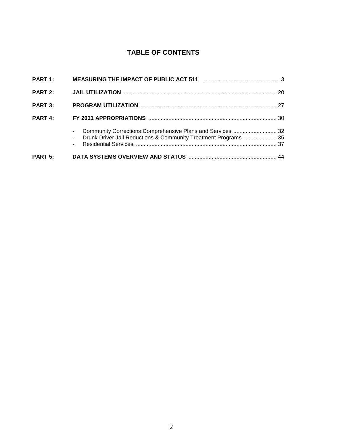## **TABLE OF CONTENTS**

|                | Community Corrections Comprehensive Plans and Services  32<br>Drunk Driver Jail Reductions & Community Treatment Programs  35 |  |
|----------------|-------------------------------------------------------------------------------------------------------------------------------|--|
| PART 4:        |                                                                                                                               |  |
| PART 3:        |                                                                                                                               |  |
| <b>PART 2:</b> |                                                                                                                               |  |
|                |                                                                                                                               |  |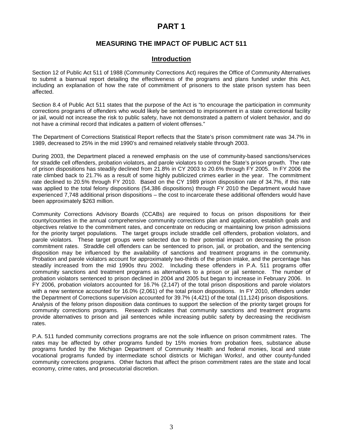## **PART 1**

## **MEASURING THE IMPACT OF PUBLIC ACT 511**

## **Introduction**

Section 12 of Public Act 511 of 1988 (Community Corrections Act) requires the Office of Community Alternatives to submit a biannual report detailing the effectiveness of the programs and plans funded under this Act, including an explanation of how the rate of commitment of prisoners to the state prison system has been affected.

Section 8.4 of Public Act 511 states that the purpose of the Act is "to encourage the participation in community corrections programs of offenders who would likely be sentenced to imprisonment in a state correctional facility or jail, would not increase the risk to public safety, have not demonstrated a pattern of violent behavior, and do not have a criminal record that indicates a pattern of violent offenses."

The Department of Corrections Statistical Report reflects that the State's prison commitment rate was 34.7% in 1989, decreased to 25% in the mid 1990's and remained relatively stable through 2003.

During 2003, the Department placed a renewed emphasis on the use of community-based sanctions/services for straddle cell offenders, probation violators, and parole violators to control the State's prison growth. The rate of prison dispositions has steadily declined from 21.8% in CY 2003 to 20.6% through FY 2005. In FY 2006 the rate climbed back to 21.7% as a result of some highly publicized crimes earlier in the year. The commitment rate declined to 20.5% through FY 2010. Based on the CY 1989 prison disposition rate of 34.7%, if this rate was applied to the total felony dispositions (54,386 dispositions) through FY 2010 the Department would have experienced 7,748 additional prison dispositions – the cost to incarcerate these additional offenders would have been approximately \$263 million.

Community Corrections Advisory Boards (CCABs) are required to focus on prison dispositions for their county/counties in the annual comprehensive community corrections plan and application, establish goals and objectives relative to the commitment rates, and concentrate on reducing or maintaining low prison admissions for the priority target populations. The target groups include straddle cell offenders, probation violators, and parole violators. These target groups were selected due to their potential impact on decreasing the prison commitment rates. Straddle cell offenders can be sentenced to prison, jail, or probation, and the sentencing disposition may be influenced by the availability of sanctions and treatment programs in the community. Probation and parole violators account for approximately two-thirds of the prison intake, and the percentage has steadily increased from the mid 1990s thru 2002. Including these offenders in P.A. 511 programs offer community sanctions and treatment programs as alternatives to a prison or jail sentence. The number of probation violators sentenced to prison declined in 2004 and 2005 but began to increase in February 2006. In FY 2006, probation violators accounted for 16.7% (2,147) of the total prison dispositions and parole violators with a new sentence accounted for 16.0% (2,061) of the total prison dispositions. In FY 2010, offenders under the Department of Corrections supervision accounted for 39.7% (4,421) of the total (11,124) prison dispositions. Analysis of the felony prison disposition data continues to support the selection of the priority target groups for community corrections programs. Research indicates that community sanctions and treatment programs provide alternatives to prison and jail sentences while increasing public safety by decreasing the recidivism rates.

P.A. 511 funded community corrections programs are not the sole influence on prison commitment rates. The rates may be affected by other programs funded by 15% monies from probation fees, substance abuse programs funded by the Michigan Department of Community Health and federal monies, local and state vocational programs funded by intermediate school districts or Michigan Works!, and other county-funded community corrections programs. Other factors that affect the prison commitment rates are the state and local economy, crime rates, and prosecutorial discretion.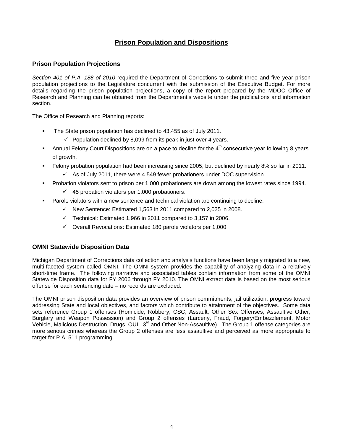## **Prison Population and Dispositions**

## **Prison Population Projections**

Section 401 of P.A. 188 of 2010 required the Department of Corrections to submit three and five year prison population projections to the Legislature concurrent with the submission of the Executive Budget. For more details regarding the prison population projections, a copy of the report prepared by the MDOC Office of Research and Planning can be obtained from the Department's website under the publications and information section.

The Office of Research and Planning reports:

- The State prison population has declined to 43,455 as of July 2011.
	- $\checkmark$  Population declined by 8,099 from its peak in just over 4 years.
- Annual Felony Court Dispositions are on a pace to decline for the  $4<sup>th</sup>$  consecutive year following 8 years of growth.
- Felony probation population had been increasing since 2005, but declined by nearly 8% so far in 2011.
	- $\checkmark$  As of July 2011, there were 4,549 fewer probationers under DOC supervision.
- **Probation violators sent to prison per 1,000 probationers are down among the lowest rates since 1994.**  $\checkmark$  45 probation violators per 1,000 probationers.
- Parole violators with a new sentence and technical violation are continuing to decline.
	- $\checkmark$  New Sentence: Estimated 1,563 in 2011 compared to 2,025 in 2008.
	- $\checkmark$  Technical: Estimated 1,966 in 2011 compared to 3,157 in 2006.
	- Overall Revocations: Estimated 180 parole violators per 1,000

### **OMNI Statewide Disposition Data**

Michigan Department of Corrections data collection and analysis functions have been largely migrated to a new, multi-faceted system called OMNI. The OMNI system provides the capability of analyzing data in a relatively short-time frame. The following narrative and associated tables contain information from some of the OMNI Statewide Disposition data for FY 2006 through FY 2010. The OMNI extract data is based on the most serious offense for each sentencing date – no records are excluded.

The OMNI prison disposition data provides an overview of prison commitments, jail utilization, progress toward addressing State and local objectives, and factors which contribute to attainment of the objectives. Some data sets reference Group 1 offenses (Homicide, Robbery, CSC, Assault, Other Sex Offenses, Assaultive Other, Burglary and Weapon Possession) and Group 2 offenses (Larceny, Fraud, Forgery/Embezzlement, Motor Vehicle, Malicious Destruction, Drugs, OUIL 3<sup>rd</sup> and Other Non-Assaultive). The Group 1 offense categories are more serious crimes whereas the Group 2 offenses are less assaultive and perceived as more appropriate to target for P.A. 511 programming.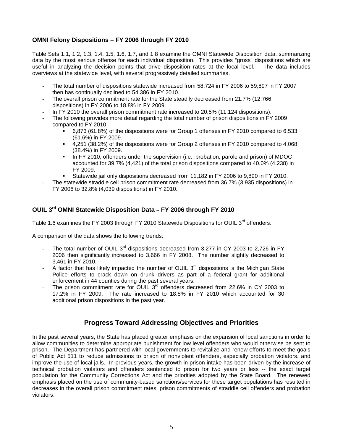## **OMNI Felony Dispositions – FY 2006 through FY 2010**

Table Sets 1.1, 1.2, 1.3, 1.4, 1.5, 1.6, 1.7, and 1.8 examine the OMNI Statewide Disposition data, summarizing data by the most serious offense for each individual disposition. This provides "gross" dispositions which are useful in analyzing the decision points that drive disposition rates at the local level. The data includes overviews at the statewide level, with several progressively detailed summaries.

- The total number of dispositions statewide increased from 58,724 in FY 2006 to 59,897 in FY 2007 then has continually declined to 54,386 in FY 2010.
- The overall prison commitment rate for the State steadily decreased from 21.7% (12.766 dispositions) in FY 2006 to 18.8% in FY 2009.
- In FY 2010 the overall prison commitment rate increased to 20.5% (11,124 dispositions).
- The following provides more detail regarding the total number of prison dispositions in FY 2009 compared to FY 2010:
	- 6,873 (61.8%) of the dispositions were for Group 1 offenses in FY 2010 compared to 6,533 (61.6%) in FY 2009.
	- 4,251 (38.2%) of the dispositions were for Group 2 offenses in FY 2010 compared to 4,068 (38.4%) in FY 2009.
	- In FY 2010, offenders under the supervision (i.e., probation, parole and prison) of MDOC accounted for 39.7% (4,421) of the total prison dispositions compared to 40.0% (4,238) in FY 2009.
	- Statewide jail only dispositions decreased from 11,182 in FY 2006 to 9,890 in FY 2010.
- The statewide straddle cell prison commitment rate decreased from 36.7% (3,935 dispositions) in FY 2006 to 32.8% (4,039 dispositions) in FY 2010.

## **OUIL 3rd OMNI Statewide Disposition Data – FY 2006 through FY 2010**

Table 1.6 examines the FY 2003 through FY 2010 Statewide Dispositions for OUIL 3<sup>rd</sup> offenders.

A comparison of the data shows the following trends:

- The total number of OUIL 3<sup>rd</sup> dispositions decreased from 3,277 in CY 2003 to 2,726 in FY 2006 then significantly increased to 3,666 in FY 2008. The number slightly decreased to 3,461 in FY 2010.
- $A$  factor that has likely impacted the number of OUIL  $3<sup>rd</sup>$  dispositions is the Michigan State Police efforts to crack down on drunk drivers as part of a federal grant for additional enforcement in 44 counties during the past several years.
- The prison commitment rate for OUIL 3<sup>rd</sup> offenders decreased from 22.6% in CY 2003 to 17.2% in FY 2009. The rate increased to 18.8% in FY 2010 which accounted for 30 additional prison dispositions in the past year.

## **Progress Toward Addressing Objectives and Priorities**

In the past several years, the State has placed greater emphasis on the expansion of local sanctions in order to allow communities to determine appropriate punishment for low level offenders who would otherwise be sent to prison. The Department has partnered with local governments to revitalize and renew efforts to meet the goals of Public Act 511 to reduce admissions to prison of nonviolent offenders, especially probation violators, and improve the use of local jails. In previous years, the growth in prison intake has been driven by the increase of technical probation violators and offenders sentenced to prison for two years or less -- the exact target population for the Community Corrections Act and the priorities adopted by the State Board. The renewed emphasis placed on the use of community-based sanctions/services for these target populations has resulted in decreases in the overall prison commitment rates, prison commitments of straddle cell offenders and probation violators.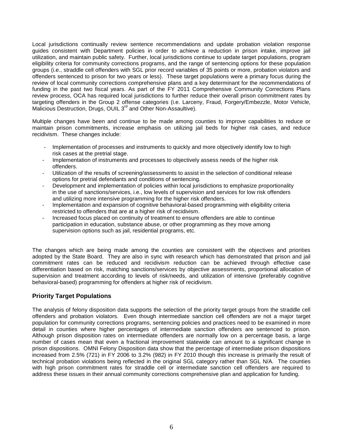Local jurisdictions continually review sentence recommendations and update probation violation response guides consistent with Department policies in order to achieve a reduction in prison intake, improve jail utilization, and maintain public safety. Further, local jurisdictions continue to update target populations, program eligibility criteria for community corrections programs, and the range of sentencing options for these population groups (i.e., straddle cell offenders with SGL prior record variables of 35 points or more, probation violators and offenders sentenced to prison for two years or less). These target populations were a primary focus during the review of local community corrections comprehensive plans and a key determinant for the recommendations of funding in the past two fiscal years. As part of the FY 2011 Comprehensive Community Corrections Plans review process, OCA has required local jurisdictions to further reduce their overall prison commitment rates by targeting offenders in the Group 2 offense categories (i.e. Larceny, Fraud, Forgery/Embezzle, Motor Vehicle, Malicious Destruction, Drugs, OUIL 3<sup>rd</sup> and Other Non-Assaultive).

Multiple changes have been and continue to be made among counties to improve capabilities to reduce or maintain prison commitments, increase emphasis on utilizing jail beds for higher risk cases, and reduce recidivism. These changes include:

- Implementation of processes and instruments to quickly and more objectively identify low to high risk cases at the pretrial stage.
- Implementation of instruments and processes to objectively assess needs of the higher risk offenders.
- Utilization of the results of screening/assessments to assist in the selection of conditional release options for pretrial defendants and conditions of sentencing.
- Development and implementation of policies within local jurisdictions to emphasize proportionality in the use of sanctions/services, i.e., low levels of supervision and services for low risk offenders and utilizing more intensive programming for the higher risk offenders.
- Implementation and expansion of cognitive behavioral-based programming with eligibility criteria restricted to offenders that are at a higher risk of recidivism.
- Increased focus placed on continuity of treatment to ensure offenders are able to continue participation in education, substance abuse, or other programming as they move among supervision options such as jail, residential programs, etc.

The changes which are being made among the counties are consistent with the objectives and priorities adopted by the State Board. They are also in sync with research which has demonstrated that prison and jail commitment rates can be reduced and recidivism reduction can be achieved through effective case differentiation based on risk, matching sanctions/services by objective assessments, proportional allocation of supervision and treatment according to levels of risk/needs, and utilization of intensive (preferably cognitive behavioral-based) programming for offenders at higher risk of recidivism.

### **Priority Target Populations**

The analysis of felony disposition data supports the selection of the priority target groups from the straddle cell offenders and probation violators. Even though intermediate sanction cell offenders are not a major target population for community corrections programs, sentencing policies and practices need to be examined in more detail in counties where higher percentages of intermediate sanction offenders are sentenced to prison. Although prison disposition rates on intermediate offenders are normally low on a percentage basis, a large number of cases mean that even a fractional improvement statewide can amount to a significant change in prison dispositions. OMNI Felony Disposition data show that the percentage of intermediate prison dispositions increased from 2.5% (721) in FY 2006 to 3.2% (982) in FY 2010 though this increase is primarily the result of technical probation violations being reflected in the original SGL category rather than SGL N/A. The counties with high prison commitment rates for straddle cell or intermediate sanction cell offenders are required to address these issues in their annual community corrections comprehensive plan and application for funding.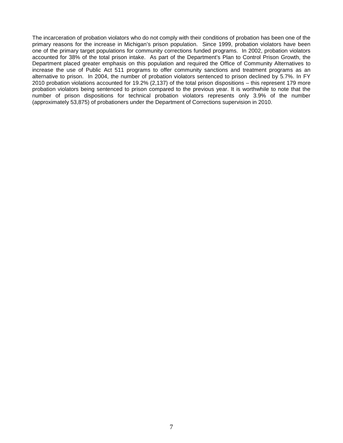The incarceration of probation violators who do not comply with their conditions of probation has been one of the primary reasons for the increase in Michigan's prison population. Since 1999, probation violators have been one of the primary target populations for community corrections funded programs. In 2002, probation violators accounted for 38% of the total prison intake. As part of the Department's Plan to Control Prison Growth, the Department placed greater emphasis on this population and required the Office of Community Alternatives to increase the use of Public Act 511 programs to offer community sanctions and treatment programs as an alternative to prison. In 2004, the number of probation violators sentenced to prison declined by 5.7%. In FY 2010 probation violations accounted for 19.2% (2,137) of the total prison dispositions – this represent 179 more probation violators being sentenced to prison compared to the previous year. It is worthwhile to note that the number of prison dispositions for technical probation violators represents only 3.9% of the number (approximately 53,875) of probationers under the Department of Corrections supervision in 2010.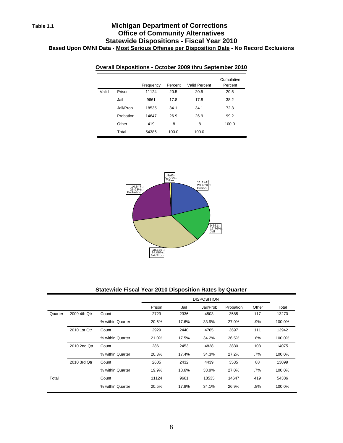## **Table 1.1 Michigan Department of Corrections Office of Community Alternatives Statewide Dispositions - Fiscal Year 2010 Based Upon OMNI Data - Most Serious Offense per Disposition Date - No Record Exclusions**

|       |           | Frequency | Percent | <b>Valid Percent</b> | Cumulative<br>Percent |
|-------|-----------|-----------|---------|----------------------|-----------------------|
| Valid | Prison    | 11124     | 20.5    | 20.5                 | 20.5                  |
|       | Jail      | 9661      | 17.8    | 17.8                 | 38.2                  |
|       | Jail/Prob | 18535     | 34.1    | 34.1                 | 72.3                  |
|       | Probation | 14647     | 26.9    | 26.9                 | 99.2                  |
|       | Other     | 419       | .8      | .8                   | 100.0                 |
|       | Total     | 54386     | 100.0   | 100.0                |                       |

### **Overall Dispositions - October 2009 thru September 2010**



#### **Statewide Fiscal Year 2010 Disposition Rates by Quarter**

|         |              |                  |        | <b>DISPOSITION</b> |           |           |        |        |  |  |
|---------|--------------|------------------|--------|--------------------|-----------|-----------|--------|--------|--|--|
|         |              |                  | Prison | Jail               | Jail/Prob | Probation | Other  | Total  |  |  |
| Quarter | 2009 4th Qtr | Count            | 2729   | 2336               | 4503      | 3585      | 117    | 13270  |  |  |
|         |              | % within Quarter | 20.6%  | 17.6%              | 33.9%     | 27.0%     | $.9\%$ | 100.0% |  |  |
|         | 2010 1st Qtr | Count            | 2929   | 2440               | 4765      | 3697      | 111    | 13942  |  |  |
|         |              | % within Quarter | 21.0%  | 17.5%              | 34.2%     | 26.5%     | $.8\%$ | 100.0% |  |  |
|         | 2010 2nd Qtr | Count            | 2861   | 2453               | 4828      | 3830      | 103    | 14075  |  |  |
|         |              | % within Quarter | 20.3%  | 17.4%              | 34.3%     | 27.2%     | $.7\%$ | 100.0% |  |  |
|         | 2010 3rd Qtr | Count            | 2605   | 2432               | 4439      | 3535      | 88     | 13099  |  |  |
|         |              | % within Quarter | 19.9%  | 18.6%              | 33.9%     | 27.0%     | .7%    | 100.0% |  |  |
| Total   |              | Count            | 11124  | 9661               | 18535     | 14647     | 419    | 54386  |  |  |
|         |              | % within Quarter | 20.5%  | 17.8%              | 34.1%     | 26.9%     | $.8\%$ | 100.0% |  |  |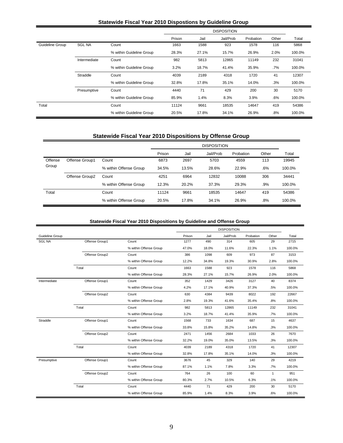### **Statewide Fiscal Year 2010 Dispostions by Guideline Group**

|                 |               |                          |        |       | <b>DISPOSITION</b> |           |       |        |
|-----------------|---------------|--------------------------|--------|-------|--------------------|-----------|-------|--------|
|                 |               |                          | Prison | Jail  | Jail/Prob          | Probation | Other | Total  |
| Guideline Group | <b>SGL NA</b> | Count                    | 1663   | 1588  | 923                | 1578      | 116   | 5868   |
|                 |               | % within Guideline Group | 28.3%  | 27.1% | 15.7%              | 26.9%     | 2.0%  | 100.0% |
|                 | Intermediate  | Count                    | 982    | 5813  | 12865              | 11149     | 232   | 31041  |
|                 |               | % within Guideline Group | 3.2%   | 18.7% | 41.4%              | 35.9%     | .7%   | 100.0% |
|                 | Straddle      | Count                    | 4039   | 2189  | 4318               | 1720      | 41    | 12307  |
|                 |               | % within Guideline Group | 32.8%  | 17.8% | 35.1%              | 14.0%     | .3%   | 100.0% |
|                 | Presumptive   | Count                    | 4440   | 71    | 429                | 200       | 30    | 5170   |
|                 |               | % within Guideline Group | 85.9%  | 1.4%  | 8.3%               | 3.9%      | .6%   | 100.0% |
| Total           |               | Count                    | 11124  | 9661  | 18535              | 14647     | 419   | 54386  |
|                 |               | % within Guideline Group | 20.5%  | 17.8% | 34.1%              | 26.9%     | .8%   | 100.0% |

## **Statewide Fiscal Year 2010 Dispositions by Offense Group**

|         |                |                        |        | <b>DISPOSITION</b> |           |           |       |        |  |  |  |
|---------|----------------|------------------------|--------|--------------------|-----------|-----------|-------|--------|--|--|--|
|         |                |                        | Prison | Jail               | Jail/Prob | Probation | Other | Total  |  |  |  |
| Offense | Offense Group1 | Count                  | 6873   | 2697               | 5703      | 4559      | 113   | 19945  |  |  |  |
| Group   |                | % within Offense Group | 34.5%  | 13.5%              | 28.6%     | 22.9%     | .6%   | 100.0% |  |  |  |
|         | Offense Group2 | Count                  | 4251   | 6964               | 12832     | 10088     | 306   | 34441  |  |  |  |
|         |                | % within Offense Group | 12.3%  | 20.2%              | 37.3%     | 29.3%     | .9%   | 100.0% |  |  |  |
| Total   |                | Count                  | 11124  | 9661               | 18535     | 14647     | 419   | 54386  |  |  |  |
|         |                | % within Offense Group | 20.5%  | 17.8%              | 34.1%     | 26.9%     | .8%   | 100.0% |  |  |  |

#### **Statewide Fiscal Year 2010 Dispositions by Guideline and Offense Group**

|                 |                |                        |        |       | <b>DISPOSITION</b> |           |              |        |
|-----------------|----------------|------------------------|--------|-------|--------------------|-----------|--------------|--------|
| Guideline Group |                |                        | Prison | Jail  | Jail/Prob          | Probation | Other        | Total  |
| <b>SGL NA</b>   | Offense Group1 | Count                  | 1277   | 490   | 314                | 605       | 29           | 2715   |
|                 |                | % within Offense Group | 47.0%  | 18.0% | 11.6%              | 22.3%     | 1.1%         | 100.0% |
|                 | Offense Group2 | Count                  | 386    | 1098  | 609                | 973       | 87           | 3153   |
|                 |                | % within Offense Group | 12.2%  | 34.8% | 19.3%              | 30.9%     | 2.8%         | 100.0% |
|                 | Total          | Count                  | 1663   | 1588  | 923                | 1578      | 116          | 5868   |
|                 |                | % within Offense Group | 28.3%  | 27.1% | 15.7%              | 26.9%     | 2.0%         | 100.0% |
| Intermediate    | Offense Group1 | Count                  | 352    | 1429  | 3426               | 3127      | 40           | 8374   |
|                 |                | % within Offense Group | 4.2%   | 17.1% | 40.9%              | 37.3%     | .5%          | 100.0% |
|                 | Offense Group2 | Count                  | 630    | 4384  | 9439               | 8022      | 192          | 22667  |
|                 |                | % within Offense Group | 2.8%   | 19.3% | 41.6%              | 35.4%     | .8%          | 100.0% |
|                 | Total          | Count                  | 982    | 5813  | 12865              | 11149     | 232          | 31041  |
|                 |                | % within Offense Group | 3.2%   | 18.7% | 41.4%              | 35.9%     | .7%          | 100.0% |
| Straddle        | Offense Group1 | Count                  | 1568   | 733   | 1634               | 687       | 15           | 4637   |
|                 |                | % within Offense Group | 33.8%  | 15.8% | 35.2%              | 14.8%     | .3%          | 100.0% |
|                 | Offense Group2 | Count                  | 2471   | 1456  | 2684               | 1033      | 26           | 7670   |
|                 |                | % within Offense Group | 32.2%  | 19.0% | 35.0%              | 13.5%     | .3%          | 100.0% |
|                 | Total          | Count                  | 4039   | 2189  | 4318               | 1720      | 41           | 12307  |
|                 |                | % within Offense Group | 32.8%  | 17.8% | 35.1%              | 14.0%     | .3%          | 100.0% |
| Presumptive     | Offense Group1 | Count                  | 3676   | 45    | 329                | 140       | 29           | 4219   |
|                 |                | % within Offense Group | 87.1%  | 1.1%  | 7.8%               | 3.3%      | .7%          | 100.0% |
|                 | Offense Group2 | Count                  | 764    | 26    | 100                | 60        | $\mathbf{1}$ | 951    |
|                 |                | % within Offense Group | 80.3%  | 2.7%  | 10.5%              | 6.3%      | .1%          | 100.0% |
|                 | Total          | Count                  | 4440   | 71    | 429                | 200       | 30           | 5170   |
|                 |                | % within Offense Group | 85.9%  | 1.4%  | 8.3%               | 3.9%      | .6%          | 100.0% |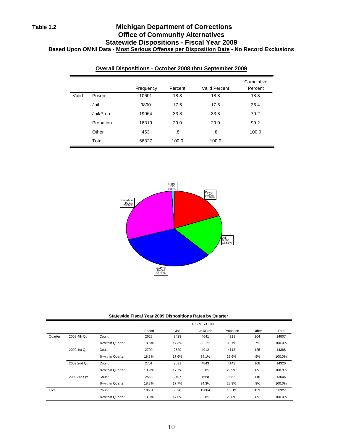## **Table 1.2 Michigan Department of Corrections Office of Community Alternatives Statewide Dispositions - Fiscal Year 2009 Based Upon OMNI Data - Most Serious Offense per Disposition Date - No Record Exclusions**

|       |           | Frequency | Percent | <b>Valid Percent</b> | Cumulative<br>Percent |
|-------|-----------|-----------|---------|----------------------|-----------------------|
| Valid | Prison    | 10601     | 18.8    | 18.8                 | 18.8                  |
|       | Jail      | 9890      | 17.6    | 17.6                 | 36.4                  |
|       | Jail/Prob | 19064     | 33.8    | 33.8                 | 70.2                  |
|       | Probation | 16319     | 29.0    | 29.0                 | 99.2                  |
|       | Other     | 453       | .8      | .8                   | 100.0                 |
|       | Total     | 56327     | 100.0   | 100.0                |                       |

### **Overall Dispositions - October 2008 thru September 2009**



#### **Statewide Fiscal Year 2009 Dispositions Rates by Quarter**

|         |              |                  |        |       | <b>DISPOSITION</b> |           |        |        |
|---------|--------------|------------------|--------|-------|--------------------|-----------|--------|--------|
|         |              |                  | Prison | Jail  | Jail/Prob          | Probation | Other  | Total  |
| Quarter | 2008 4th Qtr | Count            | 2628   | 2423  | 4641               | 4211      | 104    | 14007  |
|         |              | % within Quarter | 18.8%  | 17.3% | 33.1%              | 30.1%     | .7%    | 100.0% |
|         | 2009 1st Qtr | Count            | 2709   | 2529  | 4912               | 4113      | 125    | 14388  |
|         |              | % within Quarter | 18.8%  | 17.6% | 34.1%              | 28.6%     | $.9\%$ | 100.0% |
|         | 2009 2nd Qtr | Count            | 2701   | 2531  | 4843               | 4143      | 108    | 14326  |
|         |              | % within Quarter | 18.9%  | 17.7% | 33.8%              | 28.9%     | $.8\%$ | 100.0% |
|         | 2009 3rd Qtr | Count            | 2563   | 2407  | 4668               | 3852      | 116    | 13606  |
|         |              | % within Quarter | 18.8%  | 17.7% | 34.3%              | 28.3%     | .9%    | 100.0% |
| Total   |              | Count            | 10601  | 9890  | 19064              | 16319     | 453    | 56327  |
|         |              | % within Quarter | 18.8%  | 17.6% | 33.8%              | 29.0%     | .8%    | 100.0% |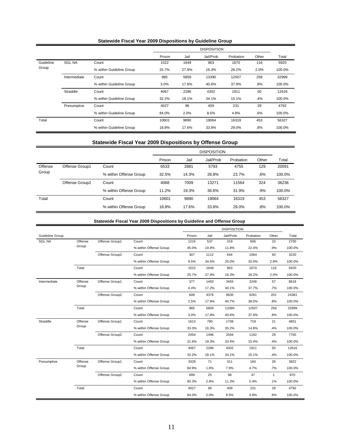| <b>Statewide Fiscal Year 2009 Dispositions by Guideline Group</b> |  |  |  |
|-------------------------------------------------------------------|--|--|--|
|-------------------------------------------------------------------|--|--|--|

|           |               |                          |        |       | <b>DISPOSITION</b> |           |        |        |
|-----------|---------------|--------------------------|--------|-------|--------------------|-----------|--------|--------|
|           |               |                          | Prison | Jail  | Jail/Prob          | Probation | Other  | Total  |
| Guideline | <b>SGL NA</b> | Count                    | 1522   | 1649  | 963                | 1670      | 116    | 5920   |
| Group     |               | % within Guideline Group | 25.7%  | 27.9% | 16.3%              | 28.2%     | 2.0%   | 100.0% |
|           | Intermediate  | Count                    | 985    | 5859  | 13390              | 12507     | 258    | 32999  |
|           |               | % within Guideline Group | 3.0%   | 17.8% | 40.6%              | 37.9%     | $.8\%$ | 100.0% |
|           | Straddle      | Count                    | 4067   | 2286  | 4302               | 1911      | 50     | 12616  |
|           |               | % within Guideline Group | 32.2%  | 18.1% | 34.1%              | 15.1%     | .4%    | 100.0% |
|           | Presumptive   | Count                    | 4027   | 96    | 409                | 231       | 29     | 4792   |
|           |               | % within Guideline Group | 84.0%  | 2.0%  | 8.5%               | 4.8%      | $.6\%$ | 100.0% |
| Total     |               | Count                    | 10601  | 9890  | 19064              | 16319     | 453    | 56327  |
|           |               | % within Guideline Group | 18.8%  | 17.6% | 33.8%              | 29.0%     | $.8\%$ | 100.0% |

## **Statewide Fiscal Year 2009 Dispositions by Offense Group**

|         |                |                        |        | <b>DISPOSITION</b> |           |           |       |        |  |  |  |
|---------|----------------|------------------------|--------|--------------------|-----------|-----------|-------|--------|--|--|--|
|         |                |                        | Prison | Jail               | Jail/Prob | Probation | Other | Total  |  |  |  |
| Offense | Offense Group1 | Count                  |        | 2881               | 5793      | 4755      | 129   | 20091  |  |  |  |
| Group   |                | % within Offense Group | 32.5%  | 14.3%              | 28.8%     | 23.7%     | .6%   | 100.0% |  |  |  |
|         | Offense Group2 | Count                  | 4068   | 7009               | 13271     | 11564     | 324   | 36236  |  |  |  |
|         |                | % within Offense Group | 11.2%  | 19.3%              | 36.6%     | 31.9%     | .9%   | 100.0% |  |  |  |
| Total   |                | Count                  | 10601  | 9890               | 19064     | 16319     | 453   | 56327  |  |  |  |
|         |                | % within Offense Group | 18.8%  | 17.6%              | 33.8%     | 29.0%     | .8%   | 100.0% |  |  |  |

### **Statewide Fiscal Year 2009 Dispositions by Guideline and Offense Group**

|                 |         |                |                        |        |       | <b>DISPOSITION</b> |           |              |        |
|-----------------|---------|----------------|------------------------|--------|-------|--------------------|-----------|--------------|--------|
| Guideline Group |         |                |                        | Prison | Jail  | Jail/Prob          | Probation | Other        | Total  |
| <b>SGL NA</b>   | Offense | Offense Group1 | Count                  | 1215   | 537   | 319                | 606       | 23           | 2700   |
|                 | Group   |                | % within Offense Group | 45.0%  | 19.9% | 11.8%              | 22.4%     | .9%          | 100.0% |
|                 |         | Offense Group2 | Count                  | 307    | 1112  | 644                | 1064      | 93           | 3220   |
|                 |         |                | % within Offense Group | 9.5%   | 34.5% | 20.0%              | 33.0%     | 2.9%         | 100.0% |
|                 | Total   |                | Count                  | 1522   | 1649  | 963                | 1670      | 116          | 5920   |
|                 |         |                | % within Offense Group | 25.7%  | 27.9% | 16.3%              | 28.2%     | 2.0%         | 100.0% |
| Intermediate    | Offense | Offense Group1 | Count                  | 377    | 1483  | 3455               | 3246      | 57           | 8618   |
|                 | Group   |                | % within Offense Group | 4.4%   | 17.2% | 40.1%              | 37.7%     | .7%          | 100.0% |
|                 |         | Offense Group2 | Count                  | 608    | 4376  | 9935               | 9261      | 201          | 24381  |
|                 |         |                | % within Offense Group | 2.5%   | 17.9% | 40.7%              | 38.0%     | .8%          | 100.0% |
|                 | Total   |                | Count                  | 985    | 5859  | 13390              | 12507     | 258          | 32999  |
|                 |         |                | % within Offense Group | 3.0%   | 17.8% | 40.6%              | 37.9%     | .8%          | 100.0% |
| Straddle        | Offense | Offense Group1 | Count                  | 1613   | 790   | 1708               | 719       | 21           | 4851   |
|                 | Group   |                | % within Offense Group | 33.3%  | 16.3% | 35.2%              | 14.8%     | .4%          | 100.0% |
|                 |         | Offense Group2 | Count                  | 2454   | 1496  | 2594               | 1192      | 29           | 7765   |
|                 |         |                | % within Offense Group | 31.6%  | 19.3% | 33.4%              | 15.4%     | .4%          | 100.0% |
|                 | Total   |                | Count                  | 4067   | 2286  | 4302               | 1911      | 50           | 12616  |
|                 |         |                | % within Offense Group | 32.2%  | 18.1% | 34.1%              | 15.1%     | .4%          | 100.0% |
| Presumptive     | Offense | Offense Group1 | Count                  | 3328   | 71    | 311                | 184       | 28           | 3922   |
|                 | Group   |                | % within Offense Group | 84.9%  | 1.8%  | 7.9%               | 4.7%      | .7%          | 100.0% |
|                 |         | Offense Group2 | Count                  | 699    | 25    | 98                 | 47        | $\mathbf{1}$ | 870    |
|                 |         |                | % within Offense Group | 80.3%  | 2.9%  | 11.3%              | 5.4%      | .1%          | 100.0% |
|                 | Total   |                | Count                  | 4027   | 96    | 409                | 231       | 29           | 4792   |
|                 |         |                | % within Offense Group | 84.0%  | 2.0%  | 8.5%               | 4.8%      | .6%          | 100.0% |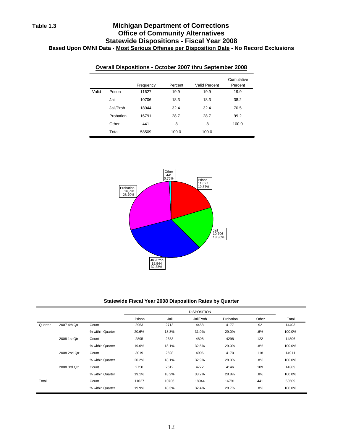## **Table 1.3 Michigan Department of Corrections Office of Community Alternatives Statewide Dispositions - Fiscal Year 2008 Based Upon OMNI Data - Most Serious Offense per Disposition Date - No Record Exclusions**

|       | <b>Overall Dispositions - October 2007 thru September 2008</b> |           |         |               |                       |  |  |  |  |
|-------|----------------------------------------------------------------|-----------|---------|---------------|-----------------------|--|--|--|--|
|       |                                                                | Frequency | Percent | Valid Percent | Cumulative<br>Percent |  |  |  |  |
| Valid | Prison                                                         | 11627     | 19.9    | 19.9          | 19.9                  |  |  |  |  |
|       | Jail                                                           | 10706     | 18.3    | 18.3          | 38.2                  |  |  |  |  |
|       | Jail/Prob                                                      | 18944     | 324     | 32.4          | 70.5                  |  |  |  |  |
|       | Probation                                                      | 16791     | 28.7    | 28.7          | 99.2                  |  |  |  |  |
|       | Other                                                          | 441       | .8      | .8            | 100.0                 |  |  |  |  |
|       | Total                                                          | 58509     | 100.0   | 100.0         |                       |  |  |  |  |



#### **Statewide Fiscal Year 2008 Disposition Rates by Quarter**

|         |              |                  |        | <b>DISPOSITION</b> |           |           |        |        |  |
|---------|--------------|------------------|--------|--------------------|-----------|-----------|--------|--------|--|
|         |              |                  | Prison | Jail               | Jail/Prob | Probation | Other  | Total  |  |
| Quarter | 2007 4th Qtr | Count            | 2963   | 2713               | 4458      | 4177      | 92     | 14403  |  |
|         |              | % within Quarter | 20.6%  | 18.8%              | 31.0%     | 29.0%     | .6%    | 100.0% |  |
|         | 2008 1st Qtr | Count            | 2895   | 2683               | 4808      | 4298      | 122    | 14806  |  |
|         |              | % within Quarter | 19.6%  | 18.1%              | 32.5%     | 29.0%     | .8%    | 100.0% |  |
|         | 2008 2nd Qtr | Count            | 3019   | 2698               | 4906      | 4170      | 118    | 14911  |  |
|         |              | % within Quarter | 20.2%  | 18.1%              | 32.9%     | 28.0%     | .8%    | 100.0% |  |
|         | 2008 3rd Qtr | Count            | 2750   | 2612               | 4772      | 4146      | 109    | 14389  |  |
|         |              | % within Quarter | 19.1%  | 18.2%              | 33.2%     | 28.8%     | .8%    | 100.0% |  |
| Total   |              | Count            | 11627  | 10706              | 18944     | 16791     | 441    | 58509  |  |
|         |              | % within Quarter | 19.9%  | 18.3%              | 32.4%     | 28.7%     | $.8\%$ | 100.0% |  |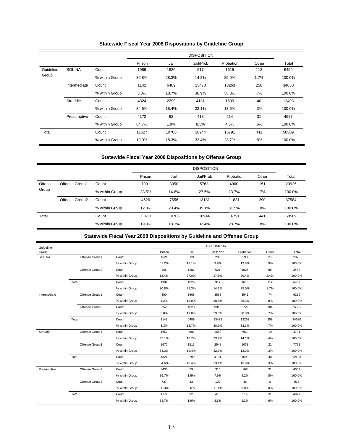### **Statewide Fiscal Year 2008 Dispositions by Guideline Group**

|           |               |                |        |       | <b>DISPOSITION</b> |           |        |        |
|-----------|---------------|----------------|--------|-------|--------------------|-----------|--------|--------|
|           |               |                | Prison | Jail  | Jail/Prob          | Probation | Other  | Total  |
| Guideline | <b>SGL NA</b> | Count          | 1989   | 1826  | 917                | 1615      | 112    | 6459   |
| Group     |               | % within Group | 30.8%  | 28.3% | 14.2%              | 25.0%     | 1.7%   | 100.0% |
|           | Intermediate  | Count          | 1142   | 6489  | 13478              | 13263     | 258    | 34630  |
|           |               | % within Group | 3.3%   | 18.7% | 38.9%              | 38.3%     | .7%    | 100.0% |
|           | Straddle      | Count          | 4324   | 2299  | 4131               | 1699      | 40     | 12493  |
|           |               | % within Group | 34.6%  | 18.4% | 33.1%              | 13.6%     | .3%    | 100.0% |
|           | Presumptive   | Count          | 4172   | 92    | 418                | 214       | 31     | 4927   |
|           |               | % within Group | 84.7%  | 1.9%  | 8.5%               | 4.3%      | $.6\%$ | 100.0% |
| Total     |               | Count          | 11627  | 10706 | 18944              | 16791     | 441    | 58509  |
|           |               | % within Group | 19.9%  | 18.3% | 32.4%              | 28.7%     | .8%    | 100.0% |

### **Statewide Fiscal Year 2008 Dispositions by Offense Group**

|         |                |                |        | <b>DISPOSITION</b> |           |           |        |        |  |
|---------|----------------|----------------|--------|--------------------|-----------|-----------|--------|--------|--|
|         |                |                | Prison | Jail               | Jail/Prob | Probation | Other  | Total  |  |
| Offense | Offense Group1 | Count          | 7001   | 3050               | 5763      | 4960      | 151    | 20925  |  |
| Group   |                | % within Group | 33.5%  | 14.6%              | 27.5%     | 23.7%     | $.7\%$ | 100.0% |  |
|         | Offense Group2 | Count          | 4626   | 7656               | 13181     | 11831     | 290    | 37584  |  |
|         |                | % within Group | 12.3%  | 20.4%              | 35.1%     | 31.5%     | .8%    | 100.0% |  |
| Total   |                | Count          | 11627  | 10706              | 18944     | 16791     | 441    | 58509  |  |
|         |                | % within Group | 19.9%  | 18.3%              | 32.4%     | 28.7%     | .8%    | 100.0% |  |

## **Statewide Fiscal Year 2008 Dispositions by Guideline and Offense Group**

| Guideline     |                |                |        |       | <b>DISPOSITION</b> |           |       |        |
|---------------|----------------|----------------|--------|-------|--------------------|-----------|-------|--------|
| Group         |                |                | Prison | Jail  | Jail/Prob          | Probation | Other | Total  |
| <b>SGL NA</b> | Offense Group1 | Count          | 1524   | 539   | 296                | 590       | 27    | 2976   |
|               |                | % within Group | 51.2%  | 18.1% | 9.9%               | 19.8%     | .9%   | 100.0% |
|               | Offense Group2 | Count          | 465    | 1287  | 621                | 1025      | 85    | 3483   |
|               |                | % within Group | 13.4%  | 37.0% | 17.8%              | 29.4%     | 2.4%  | 100.0% |
|               | Total          | Count          | 1989   | 1826  | 917                | 1615      | 112   | 6459   |
|               |                | % within Group | 30.8%  | 28.3% | 14.2%              | 25.0%     | 1.7%  | 100.0% |
| Intermediate  | Offense Group1 | Count          | 390    | 1666  | 3568               | 3541      | 74    | 9239   |
|               |                | % within Group | 4.2%   | 18.0% | 38.6%              | 38.3%     | .8%   | 100.0% |
|               | Offense Group2 | Count          | 752    | 4823  | 9910               | 9722      | 184   | 25391  |
|               |                | % within Group | 3.0%   | 19.0% | 39.0%              | 38.3%     | .7%   | 100.0% |
|               | Total          | Count          | 1142   | 6489  | 13478              | 13263     | 258   | 34630  |
|               |                | % within Group | 3.3%   | 18.7% | 38.9%              | 38.3%     | .7%   | 100.0% |
| Straddle      | Offense Group1 | Count          | 1652   | 786   | 1583               | 661       | 19    | 4701   |
|               |                | % within Group | 35.1%  | 16.7% | 33.7%              | 14.1%     | .4%   | 100.0% |
|               | Offense Group2 | Count          | 2672   | 1513  | 2548               | 1038      | 21    | 7792   |
|               |                | % within Group | 34.3%  | 19.4% | 32.7%              | 13.3%     | .3%   | 100.0% |
|               | Total          | Count          | 4324   | 2299  | 4131               | 1699      | 40    | 12493  |
|               |                | % within Group | 34.6%  | 18.4% | 33.1%              | 13.6%     | .3%   | 100.0% |
| Presumptive   | Offense Group1 | Count          | 3435   | 59    | 316                | 168       | 31    | 4009   |
|               |                | % within Group | 85.7%  | 1.5%  | 7.9%               | 4.2%      | .8%   | 100.0% |
|               | Offense Group2 | Count          | 737    | 33    | 102                | 46        | 0     | 918    |
|               |                | % within Group | 80.3%  | 3.6%  | 11.1%              | 5.0%      | .0%   | 100.0% |
|               | Total          | Count          | 4172   | 92    | 418                | 214       | 31    | 4927   |
|               |                | % within Group | 84.7%  | 1.9%  | 8.5%               | 4.3%      | .6%   | 100.0% |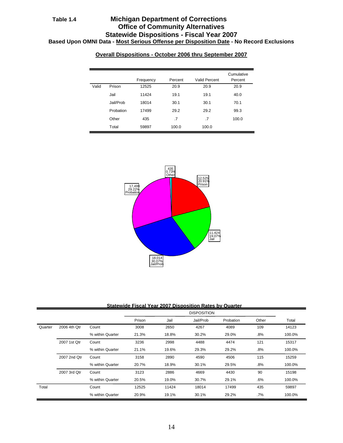## **Table 1.4 Michigan Department of Corrections Office of Community Alternatives Statewide Dispositions - Fiscal Year 2007 Based Upon OMNI Data - Most Serious Offense per Disposition Date - No Record Exclusions**

|       |           | Frequency | Percent | Valid Percent | Cumulative<br>Percent |
|-------|-----------|-----------|---------|---------------|-----------------------|
| Valid | Prison    | 12525     | 20.9    | 20.9          | 20.9                  |
|       | Jail      | 11424     | 19.1    | 19.1          | 40.0                  |
|       | Jail/Prob | 18014     | 30.1    | 30.1          | 70.1                  |
|       | Probation | 17499     | 29.2    | 29.2          | 99.3                  |
|       | Other     | 435       | .7      | .7            | 100.0                 |
|       | Total     | 59897     | 100.0   | 100.0         |                       |





**Statewide Fiscal Year 2007 Disposition Rates by Quarter**

|         |              |                  |        |       | <b>DISPOSITION</b> |           |        |        |
|---------|--------------|------------------|--------|-------|--------------------|-----------|--------|--------|
|         |              |                  | Prison | Jail  | Jail/Prob          | Probation | Other  | Total  |
| Quarter | 2006 4th Qtr | Count            | 3008   | 2650  | 4267               | 4089      | 109    | 14123  |
|         |              | % within Quarter | 21.3%  | 18.8% | 30.2%              | 29.0%     | .8%    | 100.0% |
|         | 2007 1st Qtr | Count            | 3236   | 2998  | 4488               | 4474      | 121    | 15317  |
|         |              | % within Quarter | 21.1%  | 19.6% | 29.3%              | 29.2%     | $.8\%$ | 100.0% |
|         | 2007 2nd Qtr | Count            | 3158   | 2890  | 4590               | 4506      | 115    | 15259  |
|         |              | % within Quarter | 20.7%  | 18.9% | 30.1%              | 29.5%     | $.8\%$ | 100.0% |
|         | 2007 3rd Qtr | Count            | 3123   | 2886  | 4669               | 4430      | 90     | 15198  |
|         |              | % within Quarter | 20.5%  | 19.0% | 30.7%              | 29.1%     | .6%    | 100.0% |
| Total   |              | Count            | 12525  | 11424 | 18014              | 17499     | 435    | 59897  |
|         |              | % within Quarter | 20.9%  | 19.1% | 30.1%              | 29.2%     | $.7\%$ | 100.0% |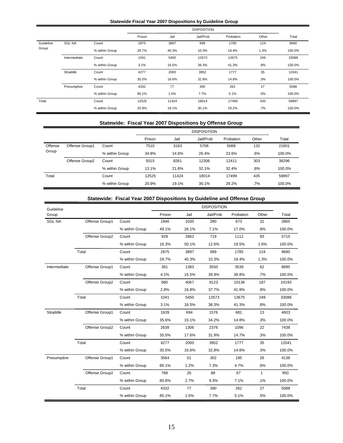#### **Statewide Fiscal Year 2007 Dispositions by Guideline Group**

|           |               |                |        |       | <b>DISPOSITION</b> |           |        |        |
|-----------|---------------|----------------|--------|-------|--------------------|-----------|--------|--------|
|           |               |                | Prison | Jail  | Jail/Prob          | Probation | Other  | Total  |
| Guideline | <b>SGL NA</b> | Count          | 2875   | 3897  | 999                | 1785      | 124    | 9680   |
| Group     |               | % within Group | 29.7%  | 40.3% | 10.3%              | 18.4%     | 1.3%   | 100.0% |
|           | Intermediate  | Count          | 1041   | 5450  | 12673              | 13675     | 249    | 33088  |
|           |               | % within Group | 3.1%   | 16.5% | 38.3%              | 41.3%     | .8%    | 100.0% |
|           | Straddle      | Count          | 4277   | 2000  | 3952               | 1777      | 35     | 12041  |
|           |               | % within Group | 35.5%  | 16.6% | 32.8%              | 14.8%     | .3%    | 100.0% |
|           | Presumptive   | Count          | 4332   | 77    | 390                | 262       | 27     | 5088   |
|           |               | % within Group | 85.1%  | 1.5%  | 7.7%               | 5.1%      | .5%    | 100.0% |
| Total     |               | Count          | 12525  | 11424 | 18014              | 17499     | 435    | 59897  |
|           |               | % within Group | 20.9%  | 19.1% | 30.1%              | 29.2%     | $.7\%$ | 100.0% |

### **Statewide: Fiscal Year 2007 Dispositions by Offense Group**

|         |                |                |        | <b>DISPOSITION</b> |           |           |       |        |  |  |
|---------|----------------|----------------|--------|--------------------|-----------|-----------|-------|--------|--|--|
|         |                |                | Prison | Jail               | Jail/Prob | Probation | Other | Total  |  |  |
| Offense | Offense Group1 | Count          | 7510   | 3163               | 5708      | 5088      | 132   | 21601  |  |  |
| Group   |                | % within Group | 34.8%  | 14.6%              | 26.4%     | 23.6%     | .6%   | 100.0% |  |  |
|         | Offense Group2 | Count          | 5015   | 8261               | 12306     | 12411     | 303   | 38296  |  |  |
|         |                | % within Group | 13.1%  | 21.6%              | 32.1%     | 32.4%     | .8%   | 100.0% |  |  |
| Total   |                | Count          | 12525  | 11424              | 18014     | 17499     | 435   | 59897  |  |  |
|         |                | % within Group | 20.9%  | 19.1%              | 30.1%     | 29.2%     | .7%   | 100.0% |  |  |

### **Statewide: Fiscal Year 2007 Dispositions by Guideline and Offense Group**

| Guideline     |                |                |        |       | <b>DISPOSITION</b> |           |              |        |
|---------------|----------------|----------------|--------|-------|--------------------|-----------|--------------|--------|
| Group         |                |                | Prison | Jail  | Jail/Prob          | Probation | Other        | Total  |
| <b>SGL NA</b> | Offense Group1 | Count          | 1946   | 1035  | 280                | 673       | 31           | 3965   |
|               |                | % within Group | 49.1%  | 26.1% | 7.1%               | 17.0%     | .8%          | 100.0% |
|               | Offense Group2 | Count          | 929    | 2862  | 719                | 1112      | 93           | 5715   |
|               |                | % within Group | 16.3%  | 50.1% | 12.6%              | 19.5%     | 1.6%         | 100.0% |
|               | Total          | Count          | 2875   | 3897  | 999                | 1785      | 124          | 9680   |
|               |                | % within Group | 29.7%  | 40.3% | 10.3%              | 18.4%     | 1.3%         | 100.0% |
| Intermediate  | Offense Group1 | Count          | 361    | 1383  | 3550               | 3539      | 62           | 8895   |
|               |                | % within Group | 4.1%   | 15.5% | 39.9%              | 39.8%     | .7%          | 100.0% |
|               | Offense Group2 | Count          | 680    | 4067  | 9123               | 10136     | 187          | 24193  |
|               |                | % within Group | 2.8%   | 16.8% | 37.7%              | 41.9%     | .8%          | 100.0% |
|               | Total          | Count          | 1041   | 5450  | 12673              | 13675     | 249          | 33088  |
|               |                | % within Group | 3.1%   | 16.5% | 38.3%              | 41.3%     | .8%          | 100.0% |
| Straddle      | Offense Group1 | Count          | 1639   | 694   | 1576               | 681       | 13           | 4603   |
|               |                | % within Group | 35.6%  | 15.1% | 34.2%              | 14.8%     | .3%          | 100.0% |
|               | Offense Group2 | Count          | 2638   | 1306  | 2376               | 1096      | 22           | 7438   |
|               |                | % within Group | 35.5%  | 17.6% | 31.9%              | 14.7%     | .3%          | 100.0% |
|               | Total          | Count          | 4277   | 2000  | 3952               | 1777      | 35           | 12041  |
|               |                | % within Group | 35.5%  | 16.6% | 32.8%              | 14.8%     | .3%          | 100.0% |
| Presumptive   | Offense Group1 | Count          | 3564   | 51    | 302                | 195       | 26           | 4138   |
|               |                | % within Group | 86.1%  | 1.2%  | 7.3%               | 4.7%      | .6%          | 100.0% |
|               | Offense Group2 | Count          | 768    | 26    | 88                 | 67        | $\mathbf{1}$ | 950    |
|               |                | % within Group | 80.8%  | 2.7%  | 9.3%               | 7.1%      | .1%          | 100.0% |
|               | Total          | Count          | 4332   | 77    | 390                | 262       | 27           | 5088   |
|               |                | % within Group | 85.1%  | 1.5%  | 7.7%               | 5.1%      | .5%          | 100.0% |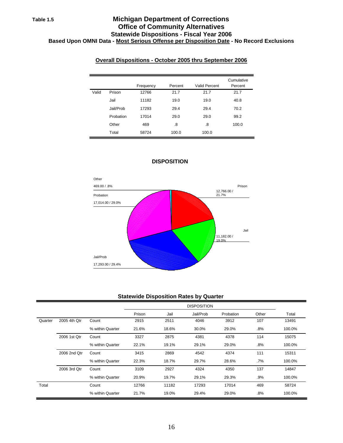## **Table 1.5 Michigan Department of Corrections Office of Community Alternatives Statewide Dispositions - Fiscal Year 2006 Based Upon OMNI Data - Most Serious Offense per Disposition Date - No Record Exclusions**

## **Overall Dispositions - October 2005 thru September 2006**

|       |           | Frequency | Percent | Valid Percent | Cumulative<br>Percent |
|-------|-----------|-----------|---------|---------------|-----------------------|
| Valid | Prison    | 12766     | 21.7    | 21.7          | 21.7                  |
|       | Jail      | 11182     | 19.0    | 19.0          | 40.8                  |
|       | Jail/Prob | 17293     | 29.4    | 29.4          | 70.2                  |
|       | Probation | 17014     | 29.0    | 29.0          | 99.2                  |
|       | Other     | 469       | .8      | .8            | 100.0                 |
|       | Total     | 58724     | 100.0   | 100.0         |                       |



### **DISPOSITION**

#### **Statewide Disposition Rates by Quarter**

|         |              |                  |        | <b>DISPOSITION</b> |           |           |       |        |  |  |
|---------|--------------|------------------|--------|--------------------|-----------|-----------|-------|--------|--|--|
|         |              |                  | Prison | Jail               | Jail/Prob | Probation | Other | Total  |  |  |
| Quarter | 2005 4th Qtr | Count            | 2915   | 2511               | 4046      | 3912      | 107   | 13491  |  |  |
|         |              | % within Quarter | 21.6%  | 18.6%              | 30.0%     | 29.0%     | .8%   | 100.0% |  |  |
|         | 2006 1st Qtr | Count            | 3327   | 2875               | 4381      | 4378      | 114   | 15075  |  |  |
|         |              | % within Quarter | 22.1%  | 19.1%              | 29.1%     | 29.0%     | .8%   | 100.0% |  |  |
|         | 2006 2nd Qtr | Count            | 3415   | 2869               | 4542      | 4374      | 111   | 15311  |  |  |
|         |              | % within Quarter | 22.3%  | 18.7%              | 29.7%     | 28.6%     | .7%   | 100.0% |  |  |
|         | 2006 3rd Qtr | Count            | 3109   | 2927               | 4324      | 4350      | 137   | 14847  |  |  |
|         |              | % within Quarter | 20.9%  | 19.7%              | 29.1%     | 29.3%     | .9%   | 100.0% |  |  |
| Total   |              | Count            | 12766  | 11182              | 17293     | 17014     | 469   | 58724  |  |  |
|         |              | % within Quarter | 21.7%  | 19.0%              | 29.4%     | 29.0%     | .8%   | 100.0% |  |  |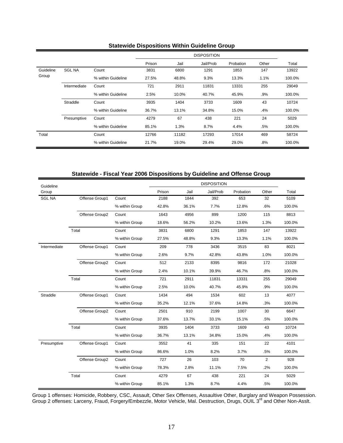|           |               |                    | -г     |       |                    |           |       |        |
|-----------|---------------|--------------------|--------|-------|--------------------|-----------|-------|--------|
|           |               |                    |        |       | <b>DISPOSITION</b> |           |       |        |
|           |               |                    | Prison | Jail  | Jail/Prob          | Probation | Other | Total  |
| Guideline | <b>SGL NA</b> | Count              | 3831   | 6800  | 1291               | 1853      | 147   | 13922  |
| Group     |               | % within Guideline | 27.5%  | 48.8% | 9.3%               | 13.3%     | 1.1%  | 100.0% |
|           | Intermediate  | Count              | 721    | 2911  | 11831              | 13331     | 255   | 29049  |
|           |               | % within Guideline | 2.5%   | 10.0% | 40.7%              | 45.9%     | .9%   | 100.0% |
|           | Straddle      | Count              | 3935   | 1404  | 3733               | 1609      | 43    | 10724  |
|           |               | % within Guideline | 36.7%  | 13.1% | 34.8%              | 15.0%     | .4%   | 100.0% |
|           | Presumptive   | Count              | 4279   | 67    | 438                | 221       | 24    | 5029   |
|           |               | % within Guideline | 85.1%  | 1.3%  | 8.7%               | 4.4%      | .5%   | 100.0% |
| Total     |               | Count              | 12766  | 11182 | 17293              | 17014     | 469   | 58724  |
|           |               | % within Guideline | 21.7%  | 19.0% | 29.4%              | 29.0%     | .8%   | 100.0% |

### **Statewide Dispositions Within Guideline Group**

**Statewide - Fiscal Year 2006 Dispositions by Guideline and Offense Group**

| Guideline     |                |                |        |       | <b>DISPOSITION</b> |           |                |        |
|---------------|----------------|----------------|--------|-------|--------------------|-----------|----------------|--------|
| Group         |                |                | Prison | Jail  | Jail/Prob          | Probation | Other          | Total  |
| <b>SGL NA</b> | Offense Group1 | Count          | 2188   | 1844  | 392                | 653       | 32             | 5109   |
|               |                | % within Group | 42.8%  | 36.1% | 7.7%               | 12.8%     | .6%            | 100.0% |
|               | Offense Group2 | Count          | 1643   | 4956  | 899                | 1200      | 115            | 8813   |
|               |                | % within Group | 18.6%  | 56.2% | 10.2%              | 13.6%     | 1.3%           | 100.0% |
|               | Total          | Count          | 3831   | 6800  | 1291               | 1853      | 147            | 13922  |
|               |                | % within Group | 27.5%  | 48.8% | 9.3%               | 13.3%     | 1.1%           | 100.0% |
| Intermediate  | Offense Group1 | Count          | 209    | 778   | 3436               | 3515      | 83             | 8021   |
|               |                | % within Group | 2.6%   | 9.7%  | 42.8%              | 43.8%     | 1.0%           | 100.0% |
|               | Offense Group2 | Count          | 512    | 2133  | 8395               | 9816      | 172            | 21028  |
|               |                | % within Group | 2.4%   | 10.1% | 39.9%              | 46.7%     | .8%            | 100.0% |
|               | Total          | Count          | 721    | 2911  | 11831              | 13331     | 255            | 29049  |
|               |                | % within Group | 2.5%   | 10.0% | 40.7%              | 45.9%     | .9%            | 100.0% |
| Straddle      | Offense Group1 | Count          | 1434   | 494   | 1534               | 602       | 13             | 4077   |
|               |                | % within Group | 35.2%  | 12.1% | 37.6%              | 14.8%     | .3%            | 100.0% |
|               | Offense Group2 | Count          | 2501   | 910   | 2199               | 1007      | 30             | 6647   |
|               |                | % within Group | 37.6%  | 13.7% | 33.1%              | 15.1%     | .5%            | 100.0% |
|               | Total          | Count          | 3935   | 1404  | 3733               | 1609      | 43             | 10724  |
|               |                | % within Group | 36.7%  | 13.1% | 34.8%              | 15.0%     | .4%            | 100.0% |
| Presumptive   | Offense Group1 | Count          | 3552   | 41    | 335                | 151       | 22             | 4101   |
|               |                | % within Group | 86.6%  | 1.0%  | 8.2%               | 3.7%      | .5%            | 100.0% |
|               | Offense Group2 | Count          | 727    | 26    | 103                | 70        | $\overline{2}$ | 928    |
|               |                | % within Group | 78.3%  | 2.8%  | 11.1%              | 7.5%      | .2%            | 100.0% |
|               | Total          | Count          | 4279   | 67    | 438                | 221       | 24             | 5029   |
|               |                | % within Group | 85.1%  | 1.3%  | 8.7%               | 4.4%      | .5%            | 100.0% |

Group 1 offenses: Homicide, Robbery, CSC, Assault, Other Sex Offenses, Assaultive Other, Burglary and Weapon Possession. Group 2 offenses: Larceny, Fraud, Forgery/Embezzle, Motor Vehicle, Mal. Destruction, Drugs, OUIL 3<sup>rd</sup> and Other Non-Asslt.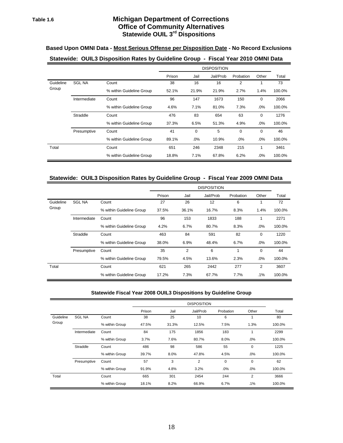## **Table 1.6 Michigan Department of Corrections Office of Community Alternatives Statewide OUIL 3rd Dispositions**

### **Based Upon OMNI Data - Most Serious Offense per Disposition Date - No Record Exclusions**

## **Statewide: OUIL3 Disposition Rates by Guideline Group - Fiscal Year 2010 OMNI Data**

|           |               |                          |        |             | <b>DISPOSITION</b> |             |             |        |
|-----------|---------------|--------------------------|--------|-------------|--------------------|-------------|-------------|--------|
|           |               |                          | Prison | Jail        | Jail/Prob          | Probation   | Other       | Total  |
| Guideline | <b>SGL NA</b> | Count                    | 38     | 16          | 16                 | 2           | 1           | 73     |
| Group     |               | % within Guideline Group | 52.1%  | 21.9%       | 21.9%              | 2.7%        | 1.4%        | 100.0% |
|           | Intermediate  | Count                    | 96     | 147         | 1673               | 150         | $\mathbf 0$ | 2066   |
|           |               | % within Guideline Group | 4.6%   | 7.1%        | 81.0%              | 7.3%        | .0%         | 100.0% |
|           | Straddle      | Count                    | 476    | 83          | 654                | 63          | $\mathbf 0$ | 1276   |
|           |               | % within Guideline Group | 37.3%  | 6.5%        | 51.3%              | 4.9%        | .0%         | 100.0% |
|           | Presumptive   | Count                    | 41     | $\mathbf 0$ | 5                  | $\mathbf 0$ | $\mathbf 0$ | 46     |
|           |               | % within Guideline Group | 89.1%  | $.0\%$      | 10.9%              | $.0\%$      | .0%         | 100.0% |
| Total     |               | Count                    | 651    | 246         | 2348               | 215         | 1           | 3461   |
|           |               | % within Guideline Group | 18.8%  | 7.1%        | 67.8%              | 6.2%        | .0%         | 100.0% |

#### **Statewide: OUIL3 Disposition Rates by Guideline Group - Fiscal Year 2009 OMNI Data**

|           |               |                          |        |       | <b>DISPOSITION</b> |           |             |        |
|-----------|---------------|--------------------------|--------|-------|--------------------|-----------|-------------|--------|
|           |               |                          | Prison | Jail  | Jail/Prob          | Probation | Other       | Total  |
| Guideline | <b>SGL NA</b> | Count                    | 27     | 26    | 12                 | 6         |             | 72     |
| Group     |               | % within Guideline Group | 37.5%  | 36.1% | 16.7%              | 8.3%      | 1.4%        | 100.0% |
|           | Intermediate  | Count                    | 96     | 153   | 1833               | 188       | 1           | 2271   |
|           |               | % within Guideline Group | 4.2%   | 6.7%  | 80.7%              | 8.3%      | .0%         | 100.0% |
|           | Straddle      | Count                    | 463    | 84    | 591                | 82        | $\mathbf 0$ | 1220   |
|           |               | % within Guideline Group | 38.0%  | 6.9%  | 48.4%              | 6.7%      | .0%         | 100.0% |
|           | Presumptive   | Count                    | 35     | 2     | 6                  | 1         | $\Omega$    | 44     |
|           |               | % within Guideline Group | 79.5%  | 4.5%  | 13.6%              | 2.3%      | .0%         | 100.0% |
| Total     |               | Count                    | 621    | 265   | 2442               | 277       | 2           | 3607   |
|           |               | % within Guideline Group | 17.2%  | 7.3%  | 67.7%              | 7.7%      | $.1\%$      | 100.0% |

#### **Statewide Fiscal Year 2008 OUIL3 Dispositions by Guideline Group**

|           |               |                |        |       | <b>DISPOSITION</b> |             |             |        |
|-----------|---------------|----------------|--------|-------|--------------------|-------------|-------------|--------|
|           |               |                | Prison | Jail  | Jail/Prob          | Probation   | Other       | Total  |
| Guideline | <b>SGL NA</b> | Count          | 38     | 25    | 10                 | 6           | 1           | 80     |
| Group     |               | % within Group | 47.5%  | 31.3% | 12.5%              | 7.5%        | 1.3%        | 100.0% |
|           | Intermediate  | Count          | 84     | 175   | 1856               | 183         | 1           | 2299   |
|           |               | % within Group | 3.7%   | 7.6%  | 80.7%              | 8.0%        | .0%         | 100.0% |
|           | Straddle      | Count          | 486    | 98    | 586                | 55          | $\mathbf 0$ | 1225   |
|           |               | % within Group | 39.7%  | 8.0%  | 47.8%              | 4.5%        | .0%         | 100.0% |
|           | Presumptive   | Count          | 57     | 3     | 2                  | $\mathbf 0$ | $\mathbf 0$ | 62     |
|           |               | % within Group | 91.9%  | 4.8%  | 3.2%               | .0%         | $.0\%$      | 100.0% |
| Total     |               | Count          | 665    | 301   | 2454               | 244         | 2           | 3666   |
|           |               | % within Group | 18.1%  | 8.2%  | 66.9%              | 6.7%        | $.1\%$      | 100.0% |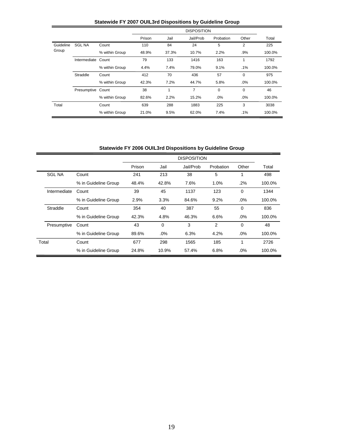|           |                   |                |        |       | <b>DISPOSITION</b> |           |             |        |
|-----------|-------------------|----------------|--------|-------|--------------------|-----------|-------------|--------|
|           |                   |                | Prison | Jail  | Jail/Prob          | Probation | Other       | Total  |
| Guideline | <b>SGL NA</b>     | Count          | 110    | 84    | 24                 | 5         | 2           | 225    |
| Group     |                   | % within Group | 48.9%  | 37.3% | 10.7%              | 2.2%      | .9%         | 100.0% |
|           | Intermediate      | Count          | 79     | 133   | 1416               | 163       | 1           | 1792   |
|           |                   | % within Group | 4.4%   | 7.4%  | 79.0%              | 9.1%      | $.1\%$      | 100.0% |
|           | Straddle          | Count          | 412    | 70    | 436                | 57        | 0           | 975    |
|           |                   | % within Group | 42.3%  | 7.2%  | 44.7%              | 5.8%      | .0%         | 100.0% |
|           | Presumptive Count |                | 38     | 1     | 7                  | 0         | $\mathbf 0$ | 46     |
|           |                   | % within Group | 82.6%  | 2.2%  | 15.2%              | .0%       | .0%         | 100.0% |
| Total     |                   | Count          | 639    | 288   | 1883               | 225       | 3           | 3038   |
|           |                   | % within Group | 21.0%  | 9.5%  | 62.0%              | 7.4%      | $.1\%$      | 100.0% |

## **Statewide FY 2007 OUIL3rd Dispositions by Guideline Group**

**Statewide FY 2006 OUIL3rd Dispositions by Guideline Group**

|               |                      |        |          | <b>DISPOSITION</b> |                |          |        |
|---------------|----------------------|--------|----------|--------------------|----------------|----------|--------|
|               |                      | Prison | Jail     | Jail/Prob          | Probation      | Other    | Total  |
| <b>SGL NA</b> | Count                | 241    | 213      | 38                 | 5              | 1        | 498    |
|               | % in Guideline Group | 48.4%  | 42.8%    | 7.6%               | 1.0%           | .2%      | 100.0% |
| Intermediate  | Count                | 39     | 45       | 1137               | 123            | $\Omega$ | 1344   |
|               | % in Guideline Group | 2.9%   | 3.3%     | 84.6%              | 9.2%           | .0%      | 100.0% |
| Straddle      | Count                | 354    | 40       | 387                | 55             | $\Omega$ | 836    |
|               | % in Guideline Group | 42.3%  | 4.8%     | 46.3%              | 6.6%           | $.0\%$   | 100.0% |
| Presumptive   | Count                | 43     | $\Omega$ | 3                  | $\mathfrak{p}$ | $\Omega$ | 48     |
|               | % in Guideline Group | 89.6%  | .0%      | 6.3%               | 4.2%           | .0%      | 100.0% |
| Total         | Count                | 677    | 298      | 1565               | 185            | 1        | 2726   |
|               | % in Guideline Group | 24.8%  | 10.9%    | 57.4%              | 6.8%           | .0%      | 100.0% |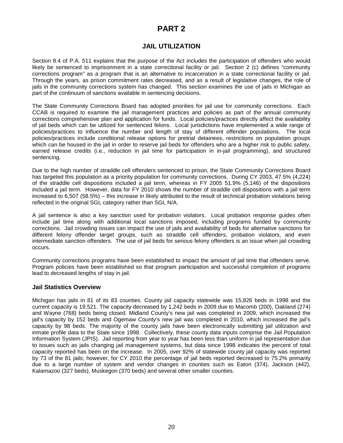## **PART 2**

## **JAIL UTILIZATION**

Section 8.4 of P.A. 511 explains that the purpose of the Act includes the participation of offenders who would likely be sentenced to imprisonment in a state correctional facility or jail. Section 2 (c) defines "community corrections program" as a program that is an alternative to incarceration in a state correctional facility or jail. Through the years, as prison commitment rates decreased, and as a result of legislative changes, the role of jails in the community corrections system has changed. This section examines the use of jails in Michigan as part of the continuum of sanctions available in sentencing decisions.

The State Community Corrections Board has adopted priorities for jail use for community corrections. Each CCAB is required to examine the jail management practices and policies as part of the annual community corrections comprehensive plan and application for funds. Local policies/practices directly affect the availability of jail beds which can be utilized for sentenced felons. Local jurisdictions have implemented a wide range of policies/practices to influence the number and length of stay of different offender populations. The local policies/practices include conditional release options for pretrial detainees, restrictions on population groups which can be housed in the jail in order to reserve jail beds for offenders who are a higher risk to public safety, earned release credits (i.e., reduction in jail time for participation in in-jail programming), and structured sentencing.

Due to the high number of straddle cell offenders sentenced to prison, the State Community Corrections Board has targeted this population as a priority population for community corrections. During CY 2003, 47.5% (4,224) of the straddle cell dispositions included a jail term, whereas in FY 2005 51.9% (5,146) of the dispositions included a jail term. However, data for FY 2010 shows the number of straddle cell dispositions with a jail term increased to 6,507 (58.5%) – this increase in likely attributed to the result of technical probation violations being reflected in the original SGL category rather than SGL N/A.

A jail sentence is also a key sanction used for probation violators. Local probation response guides often include jail time along with additional local sanctions imposed, including programs funded by community corrections. Jail crowding issues can impact the use of jails and availability of beds for alternative sanctions for different felony offender target groups, such as straddle cell offenders, probation violators, and even intermediate sanction offenders. The use of jail beds for serious felony offenders is an issue when jail crowding occurs.

Community corrections programs have been established to impact the amount of jail time that offenders serve. Program policies have been established so that program participation and successful completion of programs lead to decreased lengths of stay in jail.

### **Jail Statistics Overview**

Michigan has jails in 81 of its 83 counties. County jail capacity statewide was 15,826 beds in 1998 and the current capacity is 19,521. The capacity decreased by 1,242 beds in 2009 due to Macomb (200), Oakland (274) and Wayne (768) beds being closed. Midland County's new jail was completed in 2009, which increased the jail's capacity by 152 beds and Ogemaw County's new jail was completed in 2010, which increased the jail's capacity by 98 beds. The majority of the county jails have been electronically submitting jail utilization and inmate profile data to the State since 1998. Collectively, these county data inputs comprise the Jail Population Information System (JPIS). Jail reporting from year to year has been less than uniform in jail representation due to issues such as jails changing jail management systems, but data since 1998 indicates the percent of total capacity reported has been on the increase. In 2005, over 92% of statewide county jail capacity was reported by 73 of the 81 jails; however, for CY 2010 the percentage of jail beds reported decreased to 75.2% primarily due to a large number of system and vendor changes in counties such as Eaton (374), Jackson (442), Kalamazoo (327 beds), Muskegon (370 beds) and several other smaller counties.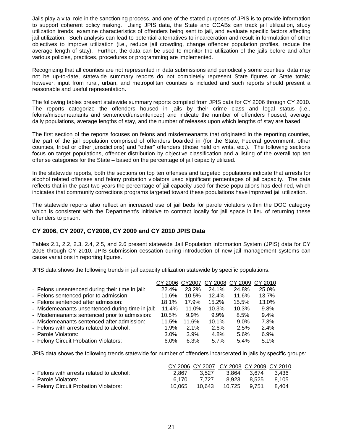Jails play a vital role in the sanctioning process, and one of the stated purposes of JPIS is to provide information to support coherent policy making. Using JPIS data, the State and CCABs can track jail utilization, study utilization trends, examine characteristics of offenders being sent to jail, and evaluate specific factors affecting jail utilization. Such analysis can lead to potential alternatives to incarceration and result in formulation of other objectives to improve utilization (i.e., reduce jail crowding, change offender population profiles, reduce the average length of stay). Further, the data can be used to monitor the utilization of the jails before and after various policies, practices, procedures or programming are implemented.

Recognizing that all counties are not represented in data submissions and periodically some counties' data may not be up-to-date, statewide summary reports do not completely represent State figures or State totals; however, input from rural, urban, and metropolitan counties is included and such reports should present a reasonable and useful representation.

The following tables present statewide summary reports compiled from JPIS data for CY 2006 through CY 2010. The reports categorize the offenders housed in jails by their crime class and legal status (i.e., felons/misdemeanants and sentenced/unsentenced) and indicate the number of offenders housed, average daily populations, average lengths of stay, and the number of releases upon which lengths of stay are based.

The first section of the reports focuses on felons and misdemeanants that originated in the reporting counties, the part of the jail population comprised of offenders boarded in (for the State, Federal government, other counties, tribal or other jurisdictions) and "other" offenders (those held on writs, etc.). The following sections focus on target populations, offender distribution by objective classification and a listing of the overall top ten offense categories for the State – based on the percentage of jail capacity utilized.

In the statewide reports, both the sections on top ten offenses and targeted populations indicate that arrests for alcohol related offenses and felony probation violators used significant percentages of jail capacity. The data reflects that in the past two years the percentage of jail capacity used for these populations has declined, which indicates that community corrections programs targeted toward these populations have improved jail utilization.

The statewide reports also reflect an increased use of jail beds for parole violators within the DOC category which is consistent with the Department's initiative to contract locally for jail space in lieu of returning these offenders to prison.

## **CY 2006, CY 2007, CY2008, CY 2009 and CY 2010 JPIS Data**

Tables 2.1, 2.2, 2.3, 2.4, 2.5, and 2.6 present statewide Jail Population Information System (JPIS) data for CY 2006 through CY 2010. JPIS submission cessation during introduction of new jail management systems can cause variations in reporting figures.

JPIS data shows the following trends in jail capacity utilization statewide by specific populations:

|                                                  | CY 2006 CY 2007 |         |         | CY 2008 CY 2009 CY 2010 |       |
|--------------------------------------------------|-----------------|---------|---------|-------------------------|-------|
| - Felons unsentenced during their time in jail:  | 22.4%           | 23.2%   | 24.1%   | 24.8%                   | 25.0% |
| - Felons sentenced prior to admission:           | 11.6%           | 10.5%   | 12.4%   | 11.6%                   | 13.7% |
| - Felons sentenced after admission:              | 18.1%           | 17.9%   | 15.2%   | 15.5%                   | 13.0% |
| - Misdemeanants unsentenced during time in jail: | 11.4%           | 11.0%   | 10.3%   | 10.3%                   | 9.8%  |
| - Misdemeanants sentenced prior to admission:    | 10.5%           | $9.9\%$ | $9.9\%$ | 8.5%                    | 9.4%  |
| - Misdemeanants sentenced after admission:       | 11.5%           | 11.6%   | 10.1%   | $9.0\%$                 | 7.3%  |
| - Felons with arrests related to alcohol:        | $1.9\%$         | 2.1%    | 2.6%    | 2.5%                    | 2.4%  |
| - Parole Violators:                              | $3.0\%$         | 3.9%    | 4.8%    | 5.6%                    | 6.9%  |
| - Felony Circuit Probation Violators:            | $6.0\%$         | 6.3%    | 5.7%    | 5.4%                    | 5.1%  |

JPIS data shows the following trends statewide for number of offenders incarcerated in jails by specific groups:

|                                           |        |       | CY 2006 CY 2007 CY 2008 CY 2009 CY 2010 |             |       |
|-------------------------------------------|--------|-------|-----------------------------------------|-------------|-------|
| - Felons with arrests related to alcohol: | 2.867  | 3.527 |                                         | 3.864 3.674 | 3.436 |
| - Parole Violators:                       | 6.170  | 7.727 |                                         | 8.923 8.525 | 8.105 |
| - Felony Circuit Probation Violators:     | 10.065 |       |                                         |             | 8.404 |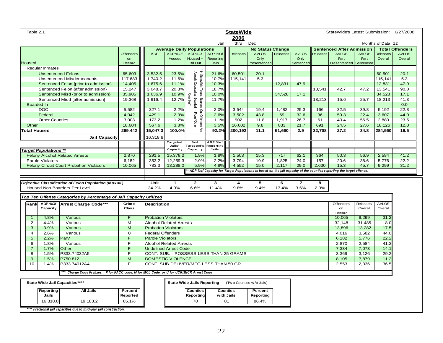| Table 2.1           |                              |                                                                                          |                  |                                                        |                                       |                                                     |                                 | <b>StateWide</b>                        |                         |                 |              |          | StateWide's Latest Submission: 6/27/2008                                                                              |                 |                    |                        |
|---------------------|------------------------------|------------------------------------------------------------------------------------------|------------------|--------------------------------------------------------|---------------------------------------|-----------------------------------------------------|---------------------------------|-----------------------------------------|-------------------------|-----------------|--------------|----------|-----------------------------------------------------------------------------------------------------------------------|-----------------|--------------------|------------------------|
|                     |                              |                                                                                          |                  |                                                        |                                       |                                                     | Jan                             | 2006<br>thru                            | Dec                     |                 |              |          |                                                                                                                       |                 | Months of Data: 12 |                        |
|                     |                              |                                                                                          |                  |                                                        | <b>Average Daily Populations</b>      |                                                     |                                 |                                         | <b>No Status Change</b> |                 |              |          | <b>Sentenced After Admission</b>                                                                                      |                 |                    | <b>Total Offenders</b> |
|                     |                              |                                                                                          | <b>Offenders</b> | <b>ADP</b>                                             | ADP%Of                                | ADP%Of                                              | ADP%Of                          | Releases                                | <b>AvLOS</b>            | <b>Releases</b> | <b>AvLOS</b> | Releases | <b>AvLOS</b>                                                                                                          | AvLOS           | Releases           | <b>AvLOS</b>           |
|                     |                              |                                                                                          | on               |                                                        | Housed                                | Housed +                                            | Reporting                       |                                         | Only                    |                 | Only         |          | Part                                                                                                                  | Part            | Overall            | Overall                |
| <b>Housed</b>       |                              |                                                                                          | Record           |                                                        |                                       | <b>Bd Out</b>                                       | Jails                           |                                         | Presentenced            |                 | Sentenced    |          | Presentenced                                                                                                          | Sentenced       |                    |                        |
|                     | Regular Inmates              |                                                                                          |                  |                                                        |                                       |                                                     |                                 |                                         |                         |                 |              |          |                                                                                                                       |                 |                    |                        |
|                     |                              | <b>Unsentenced Felons</b>                                                                | 65,603           | 3,532.5                                                | 23.5%                                 | Already Counted                                     | 21.6%                           | 60,501                                  | 20.1                    |                 |              |          |                                                                                                                       |                 | 60,501             | 20.1                   |
|                     |                              | <b>Unsentenced Misdemeanants</b>                                                         | 117,683          | 1,740.2                                                | 11.6%                                 |                                                     | 10.7%                           | 115,141                                 | 5.3                     |                 |              |          |                                                                                                                       |                 | 115,141            | 5.3                    |
|                     |                              | Sentenced Felon {prior to admission}                                                     | 14,405           | 1,675.6                                                | 11.1%                                 |                                                     | 10.3%                           |                                         |                         | 12,831          | 47.9         |          |                                                                                                                       |                 | 12,831             | 47.9                   |
|                     |                              | Sentenced Felon {after admission}                                                        | 15,247           | 3,048.7                                                | 20.3%                                 |                                                     | 18.7%                           |                                         |                         |                 |              | 13,541   | 42.7                                                                                                                  | 47.2            | 13,541             | 90.0                   |
|                     |                              | Sentenced Misd {prior to admission}                                                      | 35,905           | 1,636.9                                                | 10.9%                                 | In StateWide Totals, Boarded Out Offenders Are<br>æ | 10.0%                           |                                         |                         | 34,528          | 17.1         |          |                                                                                                                       |                 | 34,528             | 17.1                   |
|                     |                              | Sentenced Misd {after admission}                                                         | 19,368           | 1,916.4                                                | 12.7%                                 | Counties"<br>Boarded In From                        | 11.7%                           |                                         |                         |                 |              | 18,213   | 15.6                                                                                                                  | 25.7            | 18,213             | 41.3                   |
|                     | <b>Boarded In</b>            |                                                                                          |                  |                                                        |                                       |                                                     |                                 |                                         |                         |                 |              |          |                                                                                                                       |                 |                    | 0.0                    |
|                     | <b>DOC</b>                   |                                                                                          | 5,582            | 327.1                                                  | 2.2%                                  |                                                     | 2.0%                            | 3,544                                   | 19.4                    | 1.482           | 25.3         | 166      | 32.5                                                                                                                  | 39.8            | 5,192              | 22.8                   |
|                     | Federal                      |                                                                                          | 4,042            | 429.1                                                  | 2.9%                                  |                                                     | 2.6%                            | 3,502                                   | 43.8                    | 69              | 32.6         | 36       | 59.3                                                                                                                  | 22.4            | 3,607              | 44.0                   |
|                     | <b>Other Counties</b>        |                                                                                          | 3,003            | 173.2                                                  | 1.2%                                  | Dther                                               | 1.1%                            | 902                                     | 11.8                    | 1,917           | 26.7         | 61       | 40.4                                                                                                                  | 56.5            | 2,880              | 23.5                   |
| Other               |                              |                                                                                          | 18,604           | 567.6                                                  | 3.8%                                  |                                                     | 3.5%                            | 16,602                                  | 9.8                     | 833             | 21.7         | 691      | 24.5                                                                                                                  | 27.6            | 18,126             | 12.0                   |
| <b>Total Housed</b> |                              |                                                                                          | 299,442          | 15,047.3                                               | 100.0%                                |                                                     | 92.2%                           | 200,192                                 | 11.1                    | 51,660          | 2.9          | 32,708   | 27.2                                                                                                                  | 34.8            | 284,560            | 19.5                   |
|                     |                              | Jail Capacity                                                                            |                  | 16,318.8                                               |                                       |                                                     |                                 |                                         |                         |                 |              |          |                                                                                                                       |                 |                    |                        |
|                     |                              |                                                                                          |                  |                                                        | Targeted<br>Jails'                    | %of                                                 | ADP %of<br>Targeted's Reporting |                                         |                         |                 |              |          |                                                                                                                       |                 |                    |                        |
|                     | <b>Target Populations **</b> |                                                                                          |                  |                                                        | Capacity                              | Capacity                                            | Jails                           |                                         |                         |                 |              |          |                                                                                                                       |                 |                    |                        |
|                     |                              | <b>Felony Alcohol Related Arrests</b>                                                    | 2,870            | 291.5                                                  | 15,379.2                              | 1.9%                                                | 1.8%                            | 1,503                                   | 15.3                    | 717             | 62.1         | 364      | 50.3                                                                                                                  | 56.9            | 2,584              | 41.2                   |
|                     | Parole Violators             |                                                                                          | 6,182            | 353.2                                                  | 12,259.3                              | 2.9%                                                | 2.2%                            | 3,794                                   | 19.9                    | 1,825           | 24.0         | 157      | 20.6                                                                                                                  | 38.6            | 5,776              | 22.2                   |
|                     |                              | Felony Circuit Court Probation Violators                                                 | 10,065           | 783.3                                                  | 13,288.0                              | 5.9%                                                | 4.8%                            | 4,552                                   | 15.0                    | 2,117           | 29.0         | 2,630    | 15.3                                                                                                                  | 45.7            | 9,299              | 31.2                   |
|                     |                              |                                                                                          |                  |                                                        |                                       |                                                     |                                 |                                         |                         |                 |              |          | * ADP %of Capacity for Target Populations is based on the jail capacity of the counties reporting the target offense. |                 |                    |                        |
|                     |                              |                                                                                          |                  |                                                        |                                       |                                                     |                                 |                                         |                         |                 |              |          |                                                                                                                       |                 |                    |                        |
|                     |                              |                                                                                          |                  |                                                        |                                       |                                                     |                                 |                                         |                         |                 |              |          |                                                                                                                       |                 |                    |                        |
|                     |                              | Objective Classification of Felon Population (Max=1)                                     |                  | Unk                                                    | $\mathbf{1}$                          | $\overline{2}$                                      | $\overline{\mathbf{3}}$         | 4                                       | $\overline{5}$          | 6               | z            | 8        |                                                                                                                       |                 |                    |                        |
|                     |                              | Housed Non-Boarders Per Level                                                            |                  | 34.2%                                                  | 4.9%                                  | 6.6%                                                | 11.4%                           | 9.8%                                    | 9.4%                    | 17.4%           | 3.6%         | 2.9%     |                                                                                                                       |                 |                    |                        |
|                     |                              |                                                                                          |                  |                                                        |                                       |                                                     |                                 |                                         |                         |                 |              |          |                                                                                                                       |                 |                    |                        |
|                     |                              | Top Ten Offense Categories by Percentage of Jail Capacity Utilized                       |                  |                                                        |                                       |                                                     |                                 |                                         |                         |                 |              |          |                                                                                                                       |                 |                    |                        |
| Rankl               | ADP %Of                      | <b>Arrest Charge Code***</b>                                                             | Crime            | <b>Description</b>                                     |                                       |                                                     |                                 |                                         |                         |                 |              |          | Offenders                                                                                                             | Releases        | <b>AvLOS</b>       |                        |
|                     | Capacity                     |                                                                                          | <b>Class</b>     |                                                        |                                       |                                                     |                                 |                                         |                         |                 |              |          | on                                                                                                                    | Overall         | Overall            |                        |
|                     |                              |                                                                                          | E                |                                                        |                                       |                                                     |                                 |                                         |                         |                 |              |          | Record                                                                                                                |                 |                    |                        |
| $\mathbf{1}$        | 4.8%                         | Various                                                                                  |                  | <b>Probation Violators</b>                             |                                       |                                                     |                                 |                                         |                         |                 |              |          | 10,065                                                                                                                | 9,299           | 31.2               |                        |
| $\overline{2}$      | 4.4%                         | Various                                                                                  | м                |                                                        | <b>Alcohol Related Arrests</b>        |                                                     |                                 |                                         |                         |                 |              |          | 32,148                                                                                                                | 31,485          | 8.0                |                        |
| 3<br>4              | 3.9%<br>2.6%                 | Various<br>Various                                                                       | M<br>$\mathbf 0$ | <b>Probation Violators</b><br><b>Federal Offenders</b> |                                       |                                                     |                                 |                                         |                         |                 |              |          | 13,896<br>4,016                                                                                                       | 13,282<br>3,582 | 17.5<br>44.0       |                        |
| 5                   | 2.2%                         | ParV                                                                                     | F                | <b>Parole Violators</b>                                |                                       |                                                     |                                 |                                         |                         |                 |              |          | 6,182                                                                                                                 | 5,776           | 22.2               |                        |
| 6                   | 1.8%                         | Various                                                                                  | F                |                                                        | <b>Alcohol Related Arrests</b>        |                                                     |                                 |                                         |                         |                 |              |          | 2,870                                                                                                                 | 2,584           | 41.2               |                        |
| $\overline{7}$      | 1.7%                         | Other                                                                                    | F                |                                                        | <b>Undefined Arrest Code</b>          |                                                     |                                 |                                         |                         |                 |              |          | 7,334                                                                                                                 | 7,073           | 14.1               |                        |
| 8                   | 1.5%                         | P333.74032A5                                                                             | F                |                                                        |                                       |                                                     |                                 | CONT. SUB. - POSSESS LESS THAN 25 GRAMS |                         |                 |              |          | 3,369                                                                                                                 | 3,126           | 29.2               |                        |
| 9                   | 1.5%                         | P750.812                                                                                 | M                |                                                        | DOMESTIC VIOLENCE                     |                                                     |                                 |                                         |                         |                 |              |          | 8,105                                                                                                                 | 7,879           | 11.2               |                        |
| 10                  | 1.4%                         | P333.74012A4                                                                             | F                |                                                        | CONT. SUB-DELIVER/MFG LESS THAN 50 GR |                                                     |                                 |                                         |                         |                 |              |          | 2,553                                                                                                                 | 2,336           | 36.5               |                        |
|                     |                              |                                                                                          |                  |                                                        |                                       |                                                     |                                 |                                         |                         |                 |              |          |                                                                                                                       |                 |                    |                        |
|                     |                              | *** Charge Code Prefixes: P for PACC code, M for MCL Code, or U for UCR/MICR Arrest Code |                  |                                                        |                                       |                                                     |                                 |                                         |                         |                 |              |          |                                                                                                                       |                 |                    |                        |
|                     |                              | State Wide Jail Capacities****                                                           |                  |                                                        |                                       | <b>State Wide Jails Reporting</b>                   |                                 | (Two Counties w/o Jails)                |                         |                 |              |          |                                                                                                                       |                 |                    |                        |
|                     | Reporting                    | <b>All Jails</b>                                                                         | Percent          |                                                        |                                       | <b>Counties</b>                                     |                                 | <b>Counties</b>                         | Percent                 |                 |              |          |                                                                                                                       |                 |                    |                        |
|                     | <b>Jails</b>                 |                                                                                          | Reported         |                                                        |                                       | <b>Reporting</b>                                    |                                 | with Jails                              | Reporting               |                 |              |          |                                                                                                                       |                 |                    |                        |
|                     | 16,318.8                     | 19,183.2                                                                                 | 85.1%            |                                                        |                                       | 70                                                  |                                 | 81                                      | 86.4%                   |                 |              |          |                                                                                                                       |                 |                    |                        |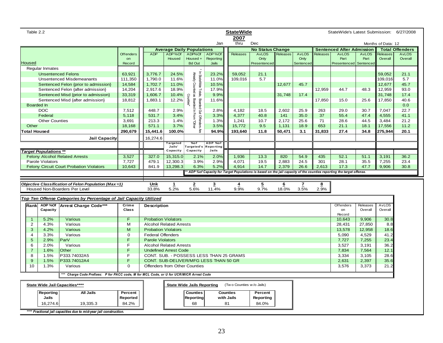|                  | Table 2.2                    |                                                                                        |              |                                |                                  |                                            |                                         | <b>StateWide</b><br>2007 |                         |          |              |          | StateWide's Latest Submission: 6/27/2008                                                                              |              |                    |                        |
|------------------|------------------------------|----------------------------------------------------------------------------------------|--------------|--------------------------------|----------------------------------|--------------------------------------------|-----------------------------------------|--------------------------|-------------------------|----------|--------------|----------|-----------------------------------------------------------------------------------------------------------------------|--------------|--------------------|------------------------|
|                  |                              |                                                                                        |              |                                |                                  |                                            | Jan                                     | thru                     | Dec                     |          |              |          |                                                                                                                       |              | Months of Data: 12 |                        |
|                  |                              |                                                                                        |              |                                | <b>Average Daily Populations</b> |                                            |                                         |                          | <b>No Status Change</b> |          |              |          | <b>Sentenced After Admission</b>                                                                                      |              |                    | <b>Total Offenders</b> |
|                  |                              |                                                                                        | Offenders    | <b>ADP</b>                     | ADP%Of                           | ADP%Of                                     | ADP%Of                                  | <b>Releases</b>          | <b>AvLOS</b>            | Releases | <b>AvLOS</b> | Releases | <b>AvLOS</b>                                                                                                          | <b>AvLOS</b> | Releases           | <b>AvLOS</b>           |
|                  |                              |                                                                                        | on           |                                | Housed                           | Housed +                                   | Reporting                               |                          | Only                    |          | Only         |          | Part                                                                                                                  | Part         | Overall            | Overall                |
| Housed           |                              |                                                                                        | Record       |                                |                                  | <b>Bd Out</b>                              | Jails                                   |                          | Presentenced            |          | Sentenced    |          | Presentenced                                                                                                          | Sentenced    |                    |                        |
|                  | <b>Regular Inmates</b>       |                                                                                        |              |                                |                                  |                                            |                                         |                          |                         |          |              |          |                                                                                                                       |              |                    |                        |
|                  |                              | <b>Unsentenced Felons</b>                                                              | 63,921       | 3,776.7                        | 24.5%                            | In StateWide Totals, Boarded Out Offenders | 23.2%                                   | 59,052                   | 21.1                    |          |              |          |                                                                                                                       |              | 59,052             | 21.1                   |
|                  |                              | <b>Unsentenced Misdemeanants</b>                                                       | 111,350      | 1,790.0                        | 11.6%                            | Already Counted as Boarded In From         | 11.0%                                   | 109,016                  | 5.7                     |          |              |          |                                                                                                                       |              | 109,016            | 5.7                    |
|                  |                              | Sentenced Felon {prior to admission}                                                   | 14,584       | 1,702.7                        | 11.0%                            |                                            | 10.5%                                   |                          |                         | 12,677   | 45.7         |          |                                                                                                                       |              | 12,677             | 45.7                   |
|                  |                              | Sentenced Felon {after admission}                                                      | 14,204       | 2,917.6                        | 18.9%                            |                                            | 17.9%                                   |                          |                         |          |              | 12,959   | 44.7                                                                                                                  | 48.3         | 12,959             | 93.0                   |
|                  |                              | Sentenced Misd {prior to admission}                                                    | 33,319       | 1,606.7                        | 10.4%                            | Counties"                                  | 9.9%                                    |                          |                         | 31,748   | 17.4         |          |                                                                                                                       |              | 31,748             | 17.4                   |
|                  |                              | Sentenced Misd {after admission}                                                       | 18,812       | 1,883.1                        | 12.2%                            |                                            | 11.6%                                   |                          |                         |          |              | 17,850   | 15.0                                                                                                                  | 25.6         | 17,850             | 40.6                   |
|                  | Boarded In                   |                                                                                        |              |                                |                                  |                                            |                                         |                          |                         |          |              |          |                                                                                                                       |              |                    | 0.0                    |
|                  | <b>DOC</b>                   |                                                                                        | 7,512        | 448.7                          | 2.9%                             |                                            | 2.8%                                    | 4.182                    | 18.5                    | 2.602    | 25.9         | 263      | 29.0                                                                                                                  | 30.7         | 7.047              | 22.7                   |
|                  | Federal                      |                                                                                        | 5,118        | 531.7                          | 3.4%                             |                                            | 3.3%                                    | 4,377                    | 40.8                    | 141      | 35.0         | 37       | 55.4                                                                                                                  | 47.4         | 4,555              | 41.1                   |
|                  | <b>Other Counties</b>        |                                                                                        | 3,691        | 213.3                          | 1.4%                             | l<br>Muhel                                 | 1.3%                                    | 1,241                    | 10.7                    | 2,172    | 25.6         | 71       | 28.6                                                                                                                  | 44.5         | 3,484              | 21.2                   |
| Other            |                              |                                                                                        | 18,168       | 571.1                          | 3.7%                             |                                            | 3.5%                                    | 15,772                   | 9.5                     | 1,131    | 18.9         | 653      | 21.1                                                                                                                  | 18.1         | 17,556             | 11.2                   |
|                  | <b>Total Housed</b>          |                                                                                        | 290,679      | 15,441.6                       | 100.0%                           | Äre                                        | 94.9%                                   | 193,640                  | 11.8                    | 50,471   | 3.1          | 31,833   | 27.4                                                                                                                  | 34.8         | 275,944            | 20.1                   |
|                  |                              | <b>Jail Capacity</b>                                                                   |              | 16,274.6                       |                                  |                                            |                                         |                          |                         |          |              |          |                                                                                                                       |              |                    |                        |
|                  |                              |                                                                                        |              |                                | Targeted<br>Jails'               | %of<br>Targeted's                          | ADP %of<br><b>Reporting</b>             |                          |                         |          |              |          |                                                                                                                       |              |                    |                        |
|                  | <b>Target Populations **</b> |                                                                                        |              |                                | Capacity                         | Capacity                                   | Jails                                   |                          |                         |          |              |          |                                                                                                                       |              |                    |                        |
|                  |                              | <b>Felony Alcohol Related Arrests</b>                                                  | 3,527        | 327.0                          | 15,315.0                         | 2.1%                                       | 2.0%                                    | 1,936                    | 13.3                    | 820      | 54.9         | 435      | 52.1                                                                                                                  | 51.1         | 3,191              | 36.2                   |
|                  | Parole Violators             |                                                                                        | 7,727        | 479.1                          | 12,300.3                         | 3.9%                                       | 2.9%                                    | 4,071                    | 19.5                    | 2,883    | 24.5         | 301      | 28.1                                                                                                                  | 35.5         | 7,255              | 23.4                   |
|                  |                              | <b>Felony Circuit Court Probation Violators</b>                                        | 10,643       | 841.9                          | 13,298.3                         | 6.3%                                       | 5.2%                                    | 4,914                    | 14.7                    | 2,379    | 26.6         | 2,613    | 17.3                                                                                                                  | 47.7         | 9,906              | 30.8                   |
|                  |                              |                                                                                        |              |                                |                                  |                                            |                                         |                          |                         |          |              |          | * ADP %of Capacity for Target Populations is based on the jail capacity of the counties reporting the target offense. |              |                    |                        |
|                  |                              |                                                                                        |              |                                |                                  |                                            |                                         |                          |                         |          |              |          |                                                                                                                       |              |                    |                        |
|                  |                              | Objective Classification of Felon Population (Max=1)                                   |              | Unk                            | 1                                | 2                                          | 3                                       | 4                        | $\overline{5}$          | 6        |              | 8        |                                                                                                                       |              |                    |                        |
|                  |                              | Housed Non-Boarders Per Level                                                          |              | 33.8%                          | 5.2%                             | 5.6%                                       | 11.4%                                   | 9.9%                     | 9.7%                    | 18.0%    | 3.5%         | 2.9%     |                                                                                                                       |              |                    |                        |
|                  |                              |                                                                                        |              |                                |                                  |                                            |                                         |                          |                         |          |              |          |                                                                                                                       |              |                    |                        |
|                  |                              | Top Ten Offense Categories by Percentage of Jail Capacity Utilized                     |              |                                |                                  |                                            |                                         |                          |                         |          |              |          |                                                                                                                       |              |                    |                        |
| Rankl            | ADP %Of                      | <b>Arrest Charge Code***</b>                                                           | Crime        | <b>Description</b>             |                                  |                                            |                                         |                          |                         |          |              |          | Offenders                                                                                                             | Releases     | <b>AvLOS</b>       |                        |
|                  | Capacity                     |                                                                                        | <b>Class</b> |                                |                                  |                                            |                                         |                          |                         |          |              |          | on                                                                                                                    | Overall      | Overall            |                        |
| $\overline{1}$   | 5.2%                         | Various                                                                                | F            | <b>Probation Violators</b>     |                                  |                                            |                                         |                          |                         |          |              |          | Record<br>10,643                                                                                                      | 9,906        | 30.8               |                        |
| 2                | 4.3%                         | Various                                                                                | M            | <b>Alcohol Related Arrests</b> |                                  |                                            |                                         |                          |                         |          |              |          | 28,431                                                                                                                | 27,850       | 8.8                |                        |
| 3                | 4.2%                         | Various                                                                                | M            | <b>Probation Violators</b>     |                                  |                                            |                                         |                          |                         |          |              |          | 13,578                                                                                                                | 12,958       | 18.6               |                        |
| 4                | 3.3%                         | Various                                                                                | $\mathbf 0$  | <b>Federal Offenders</b>       |                                  |                                            |                                         |                          |                         |          |              |          | 5,090                                                                                                                 | 4,529        | 41.2               |                        |
| 5                | 2.9%                         | ParV                                                                                   | F            | <b>Parole Violators</b>        |                                  |                                            |                                         |                          |                         |          |              |          | 7,727                                                                                                                 | 7,255        | 23.4               |                        |
| 6                | 2.0%                         | Various                                                                                | F            | <b>Alcohol Related Arrests</b> |                                  |                                            |                                         |                          |                         |          |              |          | 3,527                                                                                                                 | 3,191        | 36.2               |                        |
| $\overline{7}$   | 1.6%                         | Other                                                                                  | F            | <b>Undefined Arrest Code</b>   |                                  |                                            |                                         |                          |                         |          |              |          | 7,834                                                                                                                 | 7,564        | 12.1               |                        |
| $\overline{8}$   | 1.5%                         | P333.74032A5                                                                           | F            |                                |                                  |                                            | CONT. SUB. - POSSESS LESS THAN 25 GRAMS |                          |                         |          |              |          | 3,334                                                                                                                 | 3,105        | 28.6               |                        |
| $\boldsymbol{9}$ | 1.5%                         | P333.74012A4                                                                           | F            |                                |                                  |                                            | CONT. SUB-DELIVER/MFG LESS THAN 50 GR   |                          |                         |          |              |          | 2,631                                                                                                                 | 2,397        | 35.6               |                        |
| 10               | 1.3%                         | Various                                                                                | $\Omega$     | Offenders from Other Counties  |                                  |                                            |                                         |                          |                         |          |              |          | 3,576                                                                                                                 | 3,373        | 21.2               |                        |
|                  |                              |                                                                                        |              |                                |                                  |                                            |                                         |                          |                         |          |              |          |                                                                                                                       |              |                    |                        |
|                  |                              | * Charge Code Prefixes: P for PACC code, M for MCL Code, or U for UCR/MICR Arrest Code |              |                                |                                  |                                            |                                         |                          |                         |          |              |          |                                                                                                                       |              |                    |                        |
|                  |                              | State Wide Jail Capacities****                                                         |              |                                |                                  | <b>State Wide Jails Reporting</b>          |                                         | (Two Counties w/o Jails) |                         |          |              |          |                                                                                                                       |              |                    |                        |
|                  | Reporting                    | <b>All Jails</b>                                                                       | Percent      |                                |                                  | <b>Counties</b>                            |                                         | <b>Counties</b>          | Percent                 |          |              |          |                                                                                                                       |              |                    |                        |
|                  | Jails                        |                                                                                        | Reported     |                                |                                  | <b>Reporting</b>                           |                                         | with Jails               | Reporting               |          |              |          |                                                                                                                       |              |                    |                        |
|                  | 16,274.6                     | 19,335.3                                                                               | 84.2%        |                                |                                  | 68                                         |                                         | 81                       | 84.0%                   |          |              |          |                                                                                                                       |              |                    |                        |
|                  |                              |                                                                                        |              |                                |                                  |                                            |                                         |                          |                         |          |              |          |                                                                                                                       |              |                    |                        |
|                  |                              | **** Fractional jail capacities due to mid-year jail construction.                     |              |                                |                                  |                                            |                                         |                          |                         |          |              |          |                                                                                                                       |              |                    |                        |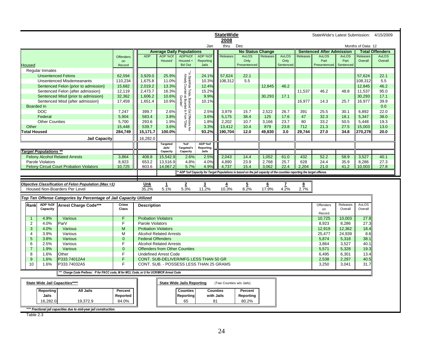|                     |                              |                                                                                         |                  |                                |                                         |                                                                                             |                    | <b>StateWide</b>         |                                                                                                                     |                 |                   |              | StateWide's Latest Submission: 4/15/2009 |                   |                    |                        |
|---------------------|------------------------------|-----------------------------------------------------------------------------------------|------------------|--------------------------------|-----------------------------------------|---------------------------------------------------------------------------------------------|--------------------|--------------------------|---------------------------------------------------------------------------------------------------------------------|-----------------|-------------------|--------------|------------------------------------------|-------------------|--------------------|------------------------|
|                     |                              |                                                                                         |                  |                                |                                         |                                                                                             |                    | 2008                     |                                                                                                                     |                 |                   |              |                                          |                   |                    |                        |
|                     |                              |                                                                                         |                  |                                |                                         |                                                                                             | Jan                | thru                     | Dec                                                                                                                 |                 |                   |              |                                          |                   | Months of Data: 12 |                        |
|                     |                              |                                                                                         |                  |                                | <b>Average Daily Populations</b>        |                                                                                             |                    |                          | <b>No Status Change</b>                                                                                             |                 |                   |              | <b>Sentenced After Admission</b>         |                   |                    | <b>Total Offenders</b> |
|                     |                              |                                                                                         | <b>Offenders</b> | <b>ADP</b>                     | ADP %Of                                 | ADP%Of                                                                                      | ADP %Of            | <b>Releases</b>          | <b>AvLOS</b>                                                                                                        | Releases        | <b>AvLOS</b>      | Releases     | <b>AvLOS</b>                             | <b>AvLOS</b>      | Releases           | <b>AvLOS</b>           |
| <b>Housed</b>       |                              |                                                                                         | on<br>Record     |                                | Housed                                  | Housed +<br><b>Bd Out</b>                                                                   | Reporting<br>Jails |                          | Only<br>Presentenced                                                                                                |                 | Only<br>Sentenced |              | Part<br>Presentenced                     | Part<br>Sentenced | Overall            | Overall                |
|                     |                              |                                                                                         |                  |                                |                                         |                                                                                             |                    |                          |                                                                                                                     |                 |                   |              |                                          |                   |                    |                        |
|                     | <b>Regular Inmates</b>       |                                                                                         |                  |                                |                                         |                                                                                             |                    |                          |                                                                                                                     |                 |                   |              |                                          |                   |                    |                        |
|                     | <b>Unsentenced Felons</b>    |                                                                                         | 62,594           | 3,929.0                        | 25.9%                                   | * In StateWide Totals, Boarded Out Offen<br>Already Counted as Boarded In From<br>Counties" | 24.1%              | 57,624                   | 22.1                                                                                                                |                 |                   |              |                                          |                   | 57,624             | 22.1                   |
|                     |                              | <b>Unsentenced Misdemeanants</b>                                                        | 110.234          | 1.675.8                        | 11.0%                                   |                                                                                             | 10.3%              | 108.312                  | 5.5                                                                                                                 |                 |                   |              |                                          |                   | 108.312            | 5.5                    |
|                     |                              | Sentenced Felon {prior to admission}                                                    | 15,682           | 2,019.2                        | 13.3%                                   |                                                                                             | 12.4%              |                          |                                                                                                                     | 12,845          | 46.2              |              |                                          |                   | 12,845             | 46.2                   |
|                     |                              | Sentenced Felon {after admission}                                                       | 12,119           | 2,473.7                        | 16.3%                                   |                                                                                             | 15.2%              |                          |                                                                                                                     |                 |                   | 11,537       | 46.2                                     | 48.8              | 11,537             | 95.0                   |
|                     |                              | Sentenced Misd {prior to admission}                                                     | 32,362           | 1,606.2                        | 10.6%                                   |                                                                                             | 9.9%               |                          |                                                                                                                     | 30.293          | 17.1              |              |                                          |                   | 30.293             | 17.1                   |
|                     |                              | Sentenced Misd {after admission}                                                        | 17,459           | 1,651.4                        | 10.9%                                   |                                                                                             | 10.1%              |                          |                                                                                                                     |                 |                   | 16,977       | 14.3                                     | 25.7              | 16,977             | 39.9                   |
|                     | <b>Boarded In</b>            |                                                                                         |                  |                                |                                         |                                                                                             |                    |                          |                                                                                                                     |                 |                   |              |                                          |                   |                    | 0.0                    |
|                     | <b>DOC</b>                   |                                                                                         | 7.247            | 399.7                          | 2.6%                                    |                                                                                             | 2.5%               | 3.979                    | 15.7                                                                                                                | 2.522           | 26.7              | 391          | 25.5                                     | 30.1              | 6,892              | 22.0                   |
|                     | Federal                      |                                                                                         | 5,904            | 583.4                          | 3.8%                                    |                                                                                             | 3.6%               | 5,175                    | 38.4                                                                                                                | 125             | 17.6              | 47           | 32.3                                     | 18.1              | 5,347              | 38.0                   |
|                     | <b>Other Counties</b>        |                                                                                         | 5,700            | 293.6                          | 1.9%                                    |                                                                                             | 1.8%               | 2,202                    | 10.7                                                                                                                | 3,166           | 23.7              | 80           | 33.2                                     | 50.5              | 5,448              | 19.3                   |
| Other               |                              |                                                                                         | 15,448           | 539.7                          | 3.6%                                    | nders Are<br>"Other                                                                         | 3.3%               | 13,412                   | 10.4                                                                                                                | 879             | 23.8              | 712          | 21.3                                     | 27.5              | 15,003             | 13.0                   |
| <b>Total Housed</b> |                              |                                                                                         | 284,749          | 15,171.7                       | 100.0%                                  |                                                                                             | 93.2%              | 190,704                  | 12.0                                                                                                                | 49,830          | 3.0               | 29,744       | 27.0                                     | 34.8              | 270,278            | 20.0                   |
|                     |                              | <b>Jail Capacity</b>                                                                    |                  | 16,282.0                       |                                         |                                                                                             |                    |                          |                                                                                                                     |                 |                   |              |                                          |                   |                    |                        |
|                     |                              |                                                                                         |                  |                                | Targeted                                | %of                                                                                         | ADP %of            |                          |                                                                                                                     |                 |                   |              |                                          |                   |                    |                        |
|                     | <b>Target Populations **</b> |                                                                                         |                  |                                | Jails'<br>Capacity                      | Targeted's<br>Capacity                                                                      | Reporting<br>Jails |                          |                                                                                                                     |                 |                   |              |                                          |                   |                    |                        |
|                     |                              |                                                                                         | 3,864            | 408.8                          | 15.542.9                                | 2.6%                                                                                        | 2.5%               | 2,043                    | 14.4                                                                                                                | 1,052           | 61.0              | 432          | 52.2                                     | 58.9              | 3.527              | 40.1                   |
|                     |                              | <b>Felony Alcohol Related Arrests</b>                                                   |                  |                                |                                         |                                                                                             |                    |                          |                                                                                                                     |                 |                   |              |                                          |                   |                    |                        |
|                     | Parole Violators             | <b>Felony Circuit Court Probation Violators</b>                                         | 8,923<br>10,725  | 653.2<br>803.6                 | 13,516.9<br>14,067.2                    | 4.8%<br>5.7%                                                                                | 4.0%<br>4.9%       | 4,890<br>4,737           | 23.9<br>15.4                                                                                                        | 2,768<br>3,062  | 25.7<br>22.4      | 628<br>2,204 | 24.4<br>21.0                             | 35.9<br>41.2      | 8,286<br>10,003    | 27.3<br>27.8           |
|                     |                              |                                                                                         |                  |                                |                                         |                                                                                             |                    |                          | ADP %of Capacity for Target Populations is based on the jail capacity of the counties reporting the target offense. |                 |                   |              |                                          |                   |                    |                        |
|                     |                              |                                                                                         |                  |                                |                                         |                                                                                             |                    |                          |                                                                                                                     |                 |                   |              |                                          |                   |                    |                        |
|                     |                              |                                                                                         |                  |                                |                                         |                                                                                             |                    |                          |                                                                                                                     |                 |                   |              |                                          |                   |                    |                        |
|                     |                              |                                                                                         |                  |                                |                                         |                                                                                             |                    |                          |                                                                                                                     |                 |                   |              |                                          |                   |                    |                        |
|                     |                              | Objective Classification of Felon Population (Max =1)                                   |                  | Unk                            | $\mathbf{1}$                            | $\overline{2}$                                                                              | $\overline{3}$     | $\overline{4}$           | $\overline{5}$                                                                                                      | $6\overline{6}$ | $\overline{I}$    | 8            |                                          |                   |                    |                        |
|                     |                              | Housed Non-Boarders Per Level                                                           |                  | 35.2%                          | 5.1%                                    | 5.3%                                                                                        | 11.2%              | 10.3%                    | 8.2%                                                                                                                | 17.9%           | 4.2%              | 2.7%         |                                          |                   |                    |                        |
|                     |                              |                                                                                         |                  |                                |                                         |                                                                                             |                    |                          |                                                                                                                     |                 |                   |              |                                          |                   |                    |                        |
|                     |                              | Top Ten Offense Categories by Percentage of Jail Capacity Utilized                      |                  |                                |                                         |                                                                                             |                    |                          |                                                                                                                     |                 |                   |              |                                          |                   |                    |                        |
| Rank                | ADP %Of                      | Arrest Charge Code***                                                                   | Crime            | <b>Description</b>             |                                         |                                                                                             |                    |                          |                                                                                                                     |                 |                   |              | Offenders                                | Releases          | <b>AvLOS</b>       |                        |
|                     | Capacity                     |                                                                                         | Class            |                                |                                         |                                                                                             |                    |                          |                                                                                                                     |                 |                   |              | on                                       | Overall           | Overall            |                        |
|                     |                              |                                                                                         |                  |                                |                                         |                                                                                             |                    |                          |                                                                                                                     |                 |                   |              | Record                                   |                   |                    |                        |
| $\overline{1}$      | 4.9%                         | Various                                                                                 | $\overline{F}$   | <b>Probation Violators</b>     |                                         |                                                                                             |                    |                          |                                                                                                                     |                 |                   |              | 10,725                                   | 10,003            | 27.8               |                        |
| 2                   | 4.0%                         | ParV                                                                                    | F.               | Parole Violators               |                                         |                                                                                             |                    |                          |                                                                                                                     |                 |                   |              | 8,923                                    | 8,286             | 27.3               |                        |
| $\mathbf{3}$        | 4.0%                         | Various                                                                                 | M                | <b>Probation Violators</b>     |                                         |                                                                                             |                    |                          |                                                                                                                     |                 |                   |              | 12,919                                   | 12,362            | 18.4               |                        |
| $\overline{4}$      | 3.9%                         | Various                                                                                 | м                |                                | <b>Alcohol Related Arrests</b>          |                                                                                             |                    |                          |                                                                                                                     |                 |                   |              | 25,477                                   | 24,939            | 8.6                |                        |
| 5                   | 3.8%                         | <b>Various</b>                                                                          | $\mathbf{0}$     | <b>Federal Offenders</b>       |                                         |                                                                                             |                    |                          |                                                                                                                     |                 |                   |              | 5,874                                    | 5,318             | 38.1               |                        |
| 6                   | 2.5%                         | Various                                                                                 | F                | <b>Alcohol Related Arrests</b> |                                         |                                                                                             |                    |                          |                                                                                                                     |                 |                   |              | 3,864                                    | 3,527             | 40.1               |                        |
| $\overline{7}$      | 1.9%                         | Various                                                                                 | $\mathbf{0}$     |                                | <b>Offenders from Other Counties</b>    |                                                                                             |                    |                          |                                                                                                                     |                 |                   |              | 5,571                                    | 5,328             | 19.3               |                        |
| 8                   | 1.6%                         | Other                                                                                   | F                |                                | <b>Undefined Arrest Code</b>            |                                                                                             |                    |                          |                                                                                                                     |                 |                   |              | 6,495                                    | 6,301             | 13.4               |                        |
| 9                   | 1.6%                         | P333.74012A4                                                                            | F.               |                                | CONT. SUB-DELIVER/MFG LESS THAN 50 GR   |                                                                                             |                    |                          |                                                                                                                     |                 |                   |              | 2,538                                    | 2,297             | 40.5               |                        |
| 10                  | 1.6%                         | P333.74032A5                                                                            | E                |                                | CONT. SUB. - POSSESS LESS THAN 25 GRAMS |                                                                                             |                    |                          |                                                                                                                     |                 |                   |              | 3,250                                    | 3.041             | 31.7               |                        |
|                     |                              | ** Charge Code Prefixes: P for PACC code, M for MCL Code, or U for UCR/MICR Arrest Code |                  |                                |                                         |                                                                                             |                    |                          |                                                                                                                     |                 |                   |              |                                          |                   |                    |                        |
|                     |                              | State Wide Jail Capacities****                                                          |                  |                                |                                         | <b>State Wide Jails Reporting</b>                                                           |                    | (Two Counties w/o Jails) |                                                                                                                     |                 |                   |              |                                          |                   |                    |                        |
|                     |                              |                                                                                         |                  |                                |                                         |                                                                                             |                    |                          |                                                                                                                     |                 |                   |              |                                          |                   |                    |                        |
|                     | Reporting                    | <b>All Jails</b>                                                                        | Percent          |                                |                                         | <b>Counties</b>                                                                             |                    | <b>Counties</b>          | Percent                                                                                                             |                 |                   |              |                                          |                   |                    |                        |
|                     | Jails                        |                                                                                         | Reported         |                                |                                         | <b>Reporting</b>                                                                            |                    | with Jails               | Reporting                                                                                                           |                 |                   |              |                                          |                   |                    |                        |
|                     | 16,282.0                     | 19,372.9                                                                                | 84.0%            |                                |                                         | 65                                                                                          |                    | 81                       | 80.2%                                                                                                               |                 |                   |              |                                          |                   |                    |                        |

Table 2.3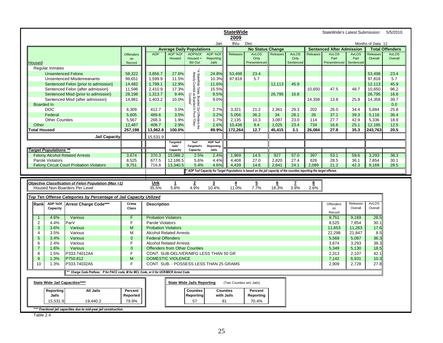| <b>StateWide</b>                                                                                                     |                  |                            |                                                                 |                                                                                                                                              |                                         |                          |                         |                 | StateWide's Latest Submission: |                 |                                  | 5/5/2010     |                    |                        |  |  |  |  |
|----------------------------------------------------------------------------------------------------------------------|------------------|----------------------------|-----------------------------------------------------------------|----------------------------------------------------------------------------------------------------------------------------------------------|-----------------------------------------|--------------------------|-------------------------|-----------------|--------------------------------|-----------------|----------------------------------|--------------|--------------------|------------------------|--|--|--|--|
|                                                                                                                      |                  |                            |                                                                 |                                                                                                                                              | Jan                                     | 2009<br>thru             | Dec                     |                 |                                |                 |                                  |              | Months of Data: 12 |                        |  |  |  |  |
|                                                                                                                      |                  |                            | <b>Average Daily Populations</b>                                |                                                                                                                                              |                                         |                          | <b>No Status Change</b> |                 |                                |                 | <b>Sentenced After Admission</b> |              |                    | <b>Total Offenders</b> |  |  |  |  |
|                                                                                                                      | <b>Offenders</b> | <b>ADP</b>                 | ADP %Of                                                         | ADP%Of                                                                                                                                       | ADP %Of                                 | Releases                 | <b>AvLOS</b>            | <b>Releases</b> | <b>AvLOS</b>                   | <b>Releases</b> | <b>AvLOS</b>                     | <b>AvLOS</b> | Releases           | <b>AvLOS</b>           |  |  |  |  |
|                                                                                                                      | on               |                            | Housed                                                          | Housed +                                                                                                                                     | Reporting                               |                          | Only                    |                 | Only                           |                 | Part                             | Part         | Overall            | Overall                |  |  |  |  |
| <b>Housed</b>                                                                                                        | Record           |                            |                                                                 | <b>Bd Out</b>                                                                                                                                | Jails                                   |                          | Presentenced            |                 | Sentenced                      |                 | Presentenced                     | Sentenced    |                    |                        |  |  |  |  |
| Regular Inmates                                                                                                      |                  |                            |                                                                 |                                                                                                                                              |                                         |                          |                         |                 |                                |                 |                                  |              |                    |                        |  |  |  |  |
| <b>Unsentenced Felons</b>                                                                                            | 58,322           | 3.856.7                    | 27.6%                                                           | In StateWide Totals, Boarded Out Offenders Are<br>Already Counted as Boarded In From "Other<br>Counties"                                     | 24.8%                                   | 53,498                   | 23.4                    |                 |                                |                 |                                  |              | 53,498             | 23.4                   |  |  |  |  |
| <b>Unsentenced Misdemeanants</b>                                                                                     | 99,651           | 1,599.9                    | 11.5%                                                           |                                                                                                                                              | 10.3%                                   | 97,818                   | 5.7                     |                 |                                |                 |                                  |              | 97,818             | 5.7                    |  |  |  |  |
| Sentenced Felon {prior to admission}                                                                                 | 14,482           | 1,799.1                    | 12.9%                                                           |                                                                                                                                              | 11.6%                                   |                          |                         | 12,113          | 45.9                           |                 |                                  |              | 12,113             | 45.9                   |  |  |  |  |
| Sentenced Felon {after admission}                                                                                    | 11,596           | 2,410.9                    | 17.3%                                                           |                                                                                                                                              | 15.5%                                   |                          |                         |                 |                                | 10,650          | 47.5                             | 48.7         | 10,650             | 96.2                   |  |  |  |  |
| Sentenced Misd {prior to admission}                                                                                  | 28,198           | 1,313.7                    | 9.4%                                                            |                                                                                                                                              | 8.5%                                    |                          |                         | 26,795          | 16.8                           |                 |                                  |              | 26,795             | 16.8                   |  |  |  |  |
| Sentenced Misd {after admission}                                                                                     | 14,981           | 1,403.2                    | 10.0%                                                           |                                                                                                                                              | 9.0%                                    |                          |                         |                 |                                | 14,358          | 13.8                             | 25.9         | 14,358             | 39.7                   |  |  |  |  |
| <b>Boarded In</b>                                                                                                    |                  |                            |                                                                 |                                                                                                                                              |                                         |                          |                         |                 |                                |                 |                                  |              |                    | 0.0                    |  |  |  |  |
| <b>DOC</b>                                                                                                           | 6,309            | 412.7                      | 3.0%                                                            |                                                                                                                                              | 2.7%                                    | 3,321                    | 21.2                    | 2,361           | 29.3                           | 202             | 26.0                             | 34.4         | 5,884              | 25.8                   |  |  |  |  |
| Federal                                                                                                              | 5,605            | 489.6                      | 3.5%                                                            |                                                                                                                                              | 3.2%                                    | 5,056                    | 36.2                    | 34              | 28.1                           | 26              | 37.1                             | 39.3         | 5,116              | 36.4                   |  |  |  |  |
| <b>Other Counties</b>                                                                                                | 5,567            | 268.3                      | 1.9%                                                            |                                                                                                                                              | 1.7%                                    | 2,135                    | 10.3                    | 3,087           | 23.0                           | 114             | 27.7                             | 42.9         | 5,336              | 18.9                   |  |  |  |  |
| Other                                                                                                                | 12.487           | 408.7                      | 2.9%                                                            |                                                                                                                                              | 2.6%                                    | 10,436                   | 9.4                     | 1,025           | 23.4                           | 734             | 16.6                             | 25.1         | 12,195             | 12.5                   |  |  |  |  |
| <b>Total Housed</b>                                                                                                  | 257,198          | 13,962.8                   | 100.0%                                                          |                                                                                                                                              | 89.9%                                   | 172,264                  | 12.7                    | 45,415          | 3.1                            | 26,084          | 27.8                             | 35.3         | 243,763            | 20.5                   |  |  |  |  |
| <b>Jail Capacity</b>                                                                                                 |                  | 15,531.9                   |                                                                 |                                                                                                                                              |                                         |                          |                         |                 |                                |                 |                                  |              |                    |                        |  |  |  |  |
|                                                                                                                      |                  |                            | <b>Targeted</b>                                                 | % of                                                                                                                                         | ADP %of                                 |                          |                         |                 |                                |                 |                                  |              |                    |                        |  |  |  |  |
|                                                                                                                      |                  |                            | Jails'                                                          | <b>Targeted's</b>                                                                                                                            | Reporting                               |                          |                         |                 |                                |                 |                                  |              |                    |                        |  |  |  |  |
| <b>Target Populations **</b>                                                                                         |                  |                            | Capacity                                                        | Capacity                                                                                                                                     | Jails                                   |                          |                         |                 |                                |                 |                                  |              |                    |                        |  |  |  |  |
| <b>Felony Alcohol Related Arrests</b>                                                                                | 3,674            | 370.3                      | 15,086.2                                                        | 2.5%                                                                                                                                         | 2.4%                                    | 1,969                    | 14.5                    | 927             | 57.0                           | 397             | 53.1                             | 59.6         | 3,293              | 38.3                   |  |  |  |  |
| Parole Violators                                                                                                     | 8,525            | 677.5                      | 12,186.5                                                        | 5.6%                                                                                                                                         | 4.4%                                    | 4,408                    | 27.0                    | 2,820           | 27.4                           | 626             | 28.5                             | 36.1         | 7,854              | 30.1                   |  |  |  |  |
| <b>Felony Circuit Court Probation Violators</b>                                                                      | 9,751            | 716.8                      | 13,340.5                                                        | 5.4%                                                                                                                                         | 4.6%                                    | 4.439                    | 14.6                    | 2.641           | 24.1                           | 2.089           | 21.2                             | 42.3         | 9,169              | 28.5                   |  |  |  |  |
| ADP % of Capacity for Target Populations is based on the jail capacity of the counties reporting the target offense. |                  |                            |                                                                 |                                                                                                                                              |                                         |                          |                         |                 |                                |                 |                                  |              |                    |                        |  |  |  |  |
|                                                                                                                      |                  |                            |                                                                 |                                                                                                                                              |                                         |                          |                         |                 |                                |                 |                                  |              |                    |                        |  |  |  |  |
| Objective Classification of Felon Population (Max =1)                                                                |                  | Unk                        |                                                                 |                                                                                                                                              |                                         |                          |                         |                 |                                |                 |                                  |              |                    |                        |  |  |  |  |
| Housed Non-Boarders Per Level                                                                                        |                  | 35.5%                      |                                                                 | $\overline{\mathbf{2}}$<br>$\overline{5}$<br>$\mathbf{Z}$<br>$\mathbf{1}$<br>$\overline{3}$<br>$\overline{4}$<br>$6\overline{6}$<br><u>8</u> |                                         |                          |                         |                 |                                |                 |                                  |              |                    |                        |  |  |  |  |
|                                                                                                                      |                  |                            | 3.9%<br>2.6%<br>5.8%<br>4.9%<br>10.4%<br>11.0%<br>7.7%<br>18.3% |                                                                                                                                              |                                         |                          |                         |                 |                                |                 |                                  |              |                    |                        |  |  |  |  |
| Top Ten Offense Categories by Percentage of Jail Capacity Utilized                                                   |                  |                            |                                                                 |                                                                                                                                              |                                         |                          |                         |                 |                                |                 |                                  |              |                    |                        |  |  |  |  |
| ADP %Of<br>Rank                                                                                                      |                  |                            |                                                                 |                                                                                                                                              |                                         |                          |                         |                 |                                |                 |                                  |              |                    |                        |  |  |  |  |
|                                                                                                                      | Crime            |                            |                                                                 |                                                                                                                                              |                                         |                          |                         |                 |                                |                 | Offenders                        | Releases     | <b>AvLOS</b>       |                        |  |  |  |  |
| Arrest Charge Code***<br>Capacity                                                                                    | Class            | <b>Description</b>         |                                                                 |                                                                                                                                              |                                         |                          |                         |                 |                                |                 | on                               | Overall      | Overall            |                        |  |  |  |  |
|                                                                                                                      |                  |                            |                                                                 |                                                                                                                                              |                                         |                          |                         |                 |                                |                 | Record                           |              |                    |                        |  |  |  |  |
| 4.6%<br>Various<br>$\overline{1}$                                                                                    | F                | <b>Probation Violators</b> |                                                                 |                                                                                                                                              |                                         |                          |                         |                 |                                |                 | 9.751                            | 9,169        | 28.5               |                        |  |  |  |  |
| $\overline{2}$<br>4.4%<br>ParV                                                                                       | F                | Parole Violators           |                                                                 |                                                                                                                                              |                                         |                          |                         |                 |                                |                 | 8,525                            | 7,854        | 30.1               |                        |  |  |  |  |
| 3<br>3.6%<br>Various                                                                                                 | M                | <b>Probation Violators</b> |                                                                 |                                                                                                                                              |                                         |                          |                         |                 |                                |                 | 11,653                           | 11,263       | 17.6               |                        |  |  |  |  |
| 3.5%<br>Various<br>4                                                                                                 | M                |                            | <b>Alcohol Related Arrests</b>                                  |                                                                                                                                              |                                         |                          |                         |                 |                                |                 | 22,298                           | 21,847       | 8.5                |                        |  |  |  |  |
| 5<br>3.4%<br>Various                                                                                                 | 0                | <b>Federal Offenders</b>   |                                                                 |                                                                                                                                              |                                         |                          |                         |                 |                                |                 | 5,569                            | 5,087        | 36.3               |                        |  |  |  |  |
| 6<br>2.4%<br>Various                                                                                                 | F                |                            | <b>Alcohol Related Arrests</b>                                  |                                                                                                                                              |                                         |                          |                         |                 |                                |                 | 3,674                            | 3,293        | 38.3               |                        |  |  |  |  |
| $\overline{7}$<br>1.6%<br>Various                                                                                    | $\mathbf 0$      |                            | <b>Offenders from Other Counties</b>                            |                                                                                                                                              |                                         |                          |                         |                 |                                |                 | 5,349                            | 5,130        | 18.5               |                        |  |  |  |  |
| 8<br>1.5%<br>P333.74012A4                                                                                            | F                |                            |                                                                 |                                                                                                                                              | CONT. SUB-DELIVER/MFG LESS THAN 50 GR   |                          |                         |                 |                                |                 | 2,313                            | 2,107        | 42.1               |                        |  |  |  |  |
| 9<br>P750.812<br>1.3%                                                                                                | M                |                            | <b>DOMESTIC VIOLENCE</b>                                        |                                                                                                                                              |                                         |                          |                         |                 |                                |                 | 7.142                            | 6,931        | 10.3               |                        |  |  |  |  |
| P333.74032A5<br>10<br>1.3%                                                                                           | F                |                            |                                                                 |                                                                                                                                              | CONT. SUB. - POSSESS LESS THAN 25 GRAMS |                          |                         |                 |                                |                 | 2,909                            | 2,728        | 27.8               |                        |  |  |  |  |
|                                                                                                                      |                  |                            |                                                                 |                                                                                                                                              |                                         |                          |                         |                 |                                |                 |                                  |              |                    |                        |  |  |  |  |
| * Charge Code Prefixes: P for PACC code, M for MCL Code, or U for UCR/MICR Arrest Code                               |                  |                            |                                                                 |                                                                                                                                              |                                         |                          |                         |                 |                                |                 |                                  |              |                    |                        |  |  |  |  |
| State Wide Jail Capacities****                                                                                       |                  |                            |                                                                 | <b>State Wide Jails Reporting</b>                                                                                                            |                                         | (Two Counties w/o Jails) |                         |                 |                                |                 |                                  |              |                    |                        |  |  |  |  |
|                                                                                                                      |                  |                            |                                                                 |                                                                                                                                              |                                         |                          |                         |                 |                                |                 |                                  |              |                    |                        |  |  |  |  |
| <b>All Jails</b><br>Reporting                                                                                        | Percent          |                            |                                                                 | <b>Counties</b>                                                                                                                              | <b>Counties</b>                         |                          | Percent                 |                 |                                |                 |                                  |              |                    |                        |  |  |  |  |
| Jails                                                                                                                | Reported         |                            |                                                                 | Reporting                                                                                                                                    | with Jails                              |                          | <b>Reporting</b>        |                 |                                |                 |                                  |              |                    |                        |  |  |  |  |
| 15,531.9<br>19,440.2                                                                                                 | 79.9%            |                            |                                                                 | 57                                                                                                                                           | 81                                      |                          | 70.4%                   |                 |                                |                 |                                  |              |                    |                        |  |  |  |  |

Table 2.4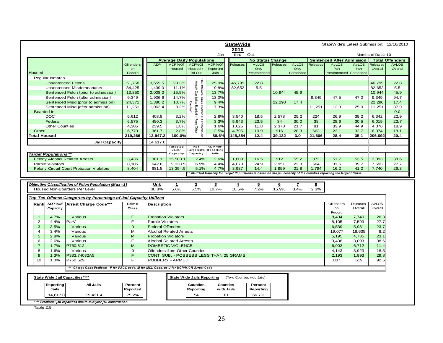|                                                                                      | <b>StateWide</b>       |                            |                                  |                                              |                                         |                          |                         |                 |                      | StateWide's Latest Submission: 12/16/2010 |                                                                                                                       |              |                    |                                        |
|--------------------------------------------------------------------------------------|------------------------|----------------------------|----------------------------------|----------------------------------------------|-----------------------------------------|--------------------------|-------------------------|-----------------|----------------------|-------------------------------------------|-----------------------------------------------------------------------------------------------------------------------|--------------|--------------------|----------------------------------------|
|                                                                                      |                        |                            |                                  |                                              |                                         | 2010<br>thru             |                         |                 |                      |                                           |                                                                                                                       |              | Months of Data: 10 |                                        |
|                                                                                      |                        |                            |                                  |                                              | Jan                                     |                          | Oct                     |                 |                      |                                           |                                                                                                                       |              |                    |                                        |
|                                                                                      |                        | <b>ADP</b>                 | <b>Average Daily Populations</b> |                                              |                                         |                          | <b>No Status Change</b> |                 |                      |                                           | <b>Sentenced After Admission</b><br><b>AvLOS</b>                                                                      | <b>AvLOS</b> | Releases           | <b>Total Offenders</b><br><b>AvLOS</b> |
|                                                                                      | <b>Offenders</b><br>on |                            | ADP%Of<br><b>Housed</b>          | ADP%Of<br>Housed +                           | ADP%Of<br>Reporting                     | Releases                 | <b>AvLOS</b><br>Only    | <b>Releases</b> | <b>AvLOS</b><br>Only | <b>Releases</b>                           | Part                                                                                                                  | Part         | Overall            | Overall                                |
| Housed                                                                               | Record                 |                            |                                  | <b>Bd Out</b>                                | Jails                                   |                          | Presentenced            |                 | Sentenced            |                                           | Presentenced                                                                                                          | Sentenced    |                    |                                        |
| Regular Inmates                                                                      |                        |                            |                                  |                                              |                                         |                          |                         |                 |                      |                                           |                                                                                                                       |              |                    |                                        |
| <b>Unsentenced Felons</b>                                                            | 51,758                 | 3,659.5                    | 28.3%                            |                                              | 25.0%                                   | 46.799                   | 22.8                    |                 |                      |                                           |                                                                                                                       |              | 46.799             | 22.8                                   |
| <b>Unsentenced Misdemeanants</b>                                                     | 84,425                 | 1,439.0                    | 11.1%                            | In StateWide<br>Aready Counted               | 9.8%                                    | 82,652                   | 5.5                     |                 |                      |                                           |                                                                                                                       |              | 82,652             | 5.5                                    |
| Sentenced Felon {prior to admission}                                                 | 13,850                 | 2,008.2                    | 15.5%                            |                                              | 13.7%                                   |                          |                         | 10,944          | 45.9                 |                                           |                                                                                                                       |              | 10,944             | 45.9                                   |
|                                                                                      |                        |                            |                                  |                                              |                                         |                          |                         |                 |                      |                                           |                                                                                                                       | 47.2         |                    |                                        |
| Sentenced Felon {after admission}                                                    | 9,349                  | 1,906.6                    | 14.7%                            | <sup>5</sup> Totals,<br>mted as              | 13.0%                                   |                          |                         |                 |                      | 9,349                                     | 47.5                                                                                                                  |              | 9,349              | 94.7                                   |
| Sentenced Misd {prior to admission}                                                  | 24,371                 | 1,380.2                    | 10.7%                            | <b>Caunties'</b>                             | 9.4%                                    |                          |                         | 22,290          | 17.4                 |                                           |                                                                                                                       |              | 22,290             | 17.4                                   |
| Sentenced Misd {after admission}                                                     | 11,251                 | 1,063.4                    | 8.2%                             |                                              | 7.3%                                    |                          |                         |                 |                      | 11,251                                    | 12.9                                                                                                                  | 25.0         | 11,251             | 37.9                                   |
| <b>Boarded In</b>                                                                    |                        |                            |                                  |                                              |                                         |                          |                         |                 |                      |                                           |                                                                                                                       |              |                    | 0.0                                    |
| <b>DOC</b>                                                                           | 6,612                  | 408.8                      | 3.2%                             | Boarded In From<br>Boarded Out Offenders Are | 2.8%                                    | 3,540                    | 18.5                    | 2,578           | 25.2                 | 224                                       | 26.9                                                                                                                  | 39.2         | 6,342              | 22.9                                   |
| Federal                                                                              | 6,575                  | 480.3                      | 3.7%                             |                                              | 3.3%                                    | 5,943                    | 23.5                    | 34              | 30.0                 | 38                                        | 28.6                                                                                                                  | 30.5         | 6,015              | 23.7                                   |
| <b>Other Counties</b>                                                                | 4,305                  | 239.5                      | 1.8%                             |                                              | 1.6%                                    | 1,625                    | 11.8                    | 2,370           | 21.7                 | 81                                        | 33.9                                                                                                                  | 44.9         | 4,076              | 18.9                                   |
| Other                                                                                | 6,770                  | 361.7                      | 2.8%                             | <b>Quel</b>                                  | 2.5%                                    | 4,795                    | 10.9                    | 916             | 28.3                 | 663                                       | 23.1                                                                                                                  | 32.7         | 6,374              | 18.1                                   |
| <b>Total Housed</b>                                                                  | 219,266                | 12,947.2                   | 100.0%                           |                                              | 88.6%                                   | 145,354                  | 12.4                    | 39,132          | 3.0                  | 21,606                                    | 28.4                                                                                                                  | 35.1         | 206,092            | 20.4                                   |
| <b>Jail Capacity</b>                                                                 |                        | 14,617.0                   |                                  |                                              |                                         |                          |                         |                 |                      |                                           |                                                                                                                       |              |                    |                                        |
|                                                                                      |                        |                            | Targeted                         | %of                                          | ADP %of                                 |                          |                         |                 |                      |                                           |                                                                                                                       |              |                    |                                        |
|                                                                                      |                        |                            | Jails'                           | Targeted's                                   | <b>Reporting</b>                        |                          |                         |                 |                      |                                           |                                                                                                                       |              |                    |                                        |
| <b>Target Populations **</b>                                                         |                        |                            | Capacity                         | Capacity                                     | Jails                                   |                          |                         |                 |                      |                                           |                                                                                                                       |              |                    |                                        |
| <b>Felony Alcohol Related Arrests</b>                                                | 3,436                  | 381.1                      | 15,583.1                         | 2.4%                                         | 2.6%                                    | 1,809                    | 16.5                    | 912             | 55.2                 | 372                                       | 51.7                                                                                                                  | 53.5         | 3,093              | 38.6                                   |
|                                                                                      |                        |                            |                                  |                                              |                                         |                          |                         |                 | 23.3                 | 564                                       | 31.5                                                                                                                  | 39.7         | 7,593              | 27.7                                   |
| Parole Violators                                                                     |                        |                            |                                  | 6.9%                                         | 4.4%                                    |                          | 24.9                    |                 |                      |                                           |                                                                                                                       |              |                    |                                        |
| <b>Felony Circuit Court Probation Violators</b>                                      | 8,105<br>8,404         | 642.6<br>681.5             | 9,338.5<br>13,394.5              | 5.1%                                         | 4.7%                                    | 4,078<br>3.987           | 14.4                    | 2,951<br>1,959  | 21.8                 |                                           | 16.2                                                                                                                  | 41.2         | 7,740              | 26.3                                   |
|                                                                                      |                        |                            |                                  |                                              |                                         |                          |                         |                 |                      | 1,794                                     | * ADP %of Capacity for Target Populations is based on the jail capacity of the counties reporting the target offense. |              |                    |                                        |
|                                                                                      |                        |                            |                                  |                                              |                                         |                          |                         |                 |                      |                                           |                                                                                                                       |              |                    |                                        |
|                                                                                      |                        |                            |                                  |                                              |                                         |                          |                         |                 |                      |                                           |                                                                                                                       |              |                    |                                        |
| Objective Classification of Felon Population (Max=1)                                 |                        | Unk                        | $\mathbf{1}$                     | $\overline{2}$                               | $\overline{\mathbf{3}}$                 | $\overline{4}$           | $\overline{2}$          | $6\overline{6}$ | $\mathbf{z}$         | $\overline{\mathbf{8}}$                   |                                                                                                                       |              |                    |                                        |
| Housed Non-Boarders Per Level                                                        |                        | 38.8%                      | 5.6%                             | 5.5%                                         | 10.7%                                   | 10.5%                    | 7.2%                    | 15.9%           | 3.4%                 | 2.3%                                      |                                                                                                                       |              |                    |                                        |
|                                                                                      |                        |                            |                                  |                                              |                                         |                          |                         |                 |                      |                                           |                                                                                                                       |              |                    |                                        |
| Top Ten Offense Categories by Percentage of Jail Capacity Utilized                   |                        |                            |                                  |                                              |                                         |                          |                         |                 |                      |                                           |                                                                                                                       |              |                    |                                        |
| ADP %Of<br>Arrest Charge Code***<br>Rank                                             | Crime                  | Description                |                                  |                                              |                                         |                          |                         |                 |                      |                                           | Offenders                                                                                                             | Releases     | <b>AvLOS</b>       |                                        |
| Capacity                                                                             | <b>Class</b>           |                            |                                  |                                              |                                         |                          |                         |                 |                      |                                           | on                                                                                                                    | Overall      | Overall            |                                        |
|                                                                                      |                        |                            |                                  |                                              |                                         |                          |                         |                 |                      |                                           | Record                                                                                                                |              |                    |                                        |
| 4.7%<br>Various<br>$\mathbf{1}$                                                      | F                      | <b>Probation Violators</b> |                                  |                                              |                                         |                          |                         |                 |                      |                                           | 8,404                                                                                                                 | 7,740        | 26.3               |                                        |
| 4.4%<br>$\overline{2}$<br>ParV                                                       | F                      | Parole Violators           |                                  |                                              |                                         |                          |                         |                 |                      |                                           | 8,105                                                                                                                 | 7,593        | 27.7               |                                        |
| 3<br>3.5%<br>Various                                                                 | $\mathbf{0}$           | <b>Federal Offenders</b>   |                                  |                                              |                                         |                          |                         |                 |                      |                                           | 6,539                                                                                                                 | 5,981        | 23.7               |                                        |
| Various<br>$\boldsymbol{\Delta}$<br>3.4%                                             | м                      |                            | <b>Alcohol Related Arrests</b>   |                                              |                                         |                          |                         |                 |                      |                                           | 19,077                                                                                                                | 18,635       | 8.2                |                                        |
| 5<br>2.8%<br>Various                                                                 | M                      | <b>Probation Violators</b> |                                  |                                              |                                         |                          |                         |                 |                      |                                           | 5,195                                                                                                                 | 4,735        | 23.1               |                                        |
| 6<br>2.6%<br>Various                                                                 | F                      |                            | <b>Alcohol Related Arrests</b>   |                                              |                                         |                          |                         |                 |                      |                                           | 3,436                                                                                                                 | 3,093        | 38.6               |                                        |
| $\overline{7}$<br>P750.812<br>1.7%                                                   | M                      |                            | <b>DOMESTIC VIOLENCE</b>         |                                              |                                         |                          |                         |                 |                      |                                           | 6,902                                                                                                                 | 6,712        | 11.4               |                                        |
| 8<br>1.6%<br>Various                                                                 | 0                      |                            | Offenders from Other Counties    |                                              |                                         |                          |                         |                 |                      |                                           | 4,143                                                                                                                 | 3,923        | 18.5               |                                        |
| 9<br>P333.74032A5<br>1.3%                                                            | F                      |                            |                                  |                                              | CONT. SUB. - POSSESS LESS THAN 25 GRAMS |                          |                         |                 |                      |                                           | 2,193                                                                                                                 | 1,993        | 29.8               |                                        |
| 10<br>1.3%<br>P750.529                                                               | E                      |                            | ROBBERY - ARMED                  |                                              |                                         |                          |                         |                 |                      |                                           | 807                                                                                                                   | 619          | 92.5               |                                        |
|                                                                                      |                        |                            |                                  |                                              |                                         |                          |                         |                 |                      |                                           |                                                                                                                       |              |                    |                                        |
| Charge Code Prefixes: P for PACC code, M for MCL Code, or U for UCR/MICR Arrest Code |                        |                            |                                  |                                              |                                         |                          |                         |                 |                      |                                           |                                                                                                                       |              |                    |                                        |
| State Wide Jail Capacities****                                                       |                        |                            |                                  | <b>State Wide Jails Reporting</b>            |                                         | (Two Counties w/o Jails) |                         |                 |                      |                                           |                                                                                                                       |              |                    |                                        |
| All Jails                                                                            |                        |                            |                                  |                                              |                                         |                          |                         |                 |                      |                                           |                                                                                                                       |              |                    |                                        |
| Reporting                                                                            | Percent                |                            |                                  | <b>Counties</b>                              | <b>Counties</b>                         |                          | Percent                 |                 |                      |                                           |                                                                                                                       |              |                    |                                        |
| Jails                                                                                | Reported               |                            |                                  | Reporting                                    | with Jails                              |                          | Reporting               |                 |                      |                                           |                                                                                                                       |              |                    |                                        |
| 14,617.0<br>19,431.4                                                                 | 75.2%                  |                            |                                  | 54                                           | 81                                      |                          | 66.7%                   |                 |                      |                                           |                                                                                                                       |              |                    |                                        |

Table 2.5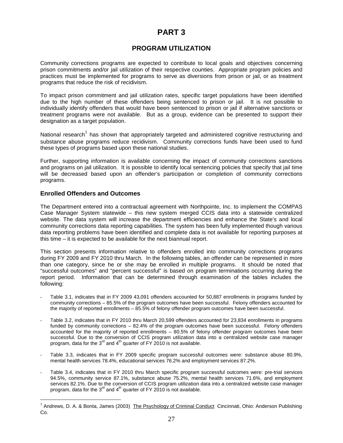## **PART 3**

## **PROGRAM UTILIZATION**

Community corrections programs are expected to contribute to local goals and objectives concerning prison commitments and/or jail utilization of their respective counties. Appropriate program policies and practices must be implemented for programs to serve as diversions from prison or jail, or as treatment programs that reduce the risk of recidivism.

To impact prison commitment and jail utilization rates, specific target populations have been identified due to the high number of these offenders being sentenced to prison or jail. It is not possible to individually identify offenders that would have been sentenced to prison or jail if alternative sanctions or treatment programs were not available. But as a group, evidence can be presented to support their designation as a target population.

National research<sup>1</sup> has shown that appropriately targeted and administered cognitive restructuring and substance abuse programs reduce recidivism. Community corrections funds have been used to fund these types of programs based upon these national studies.

Further, supporting information is available concerning the impact of community corrections sanctions and programs on jail utilization. It is possible to identify local sentencing policies that specify that jail time will be decreased based upon an offender's participation or completion of community corrections programs.

### **Enrolled Offenders and Outcomes**

-

The Department entered into a contractual agreement with Northpointe, Inc. to implement the COMPAS Case Manager System statewide – this new system merged CCIS data into a statewide centralized website. The data system will increase the department efficiencies and enhance the State's and local community corrections data reporting capabilities. The system has been fully implemented though various data reporting problems have been identified and complete data is not available for reporting purposes at this time – it is expected to be available for the next biannual report.

This section presents information relative to offenders enrolled into community corrections programs during FY 2009 and FY 2010 thru March. In the following tables, an offender can be represented in more than one category, since he or she may be enrolled in multiple programs. It should be noted that "successful outcomes" and "percent successful" is based on program terminations occurring during the report period. Information that can be determined through examination of the tables includes the following:

- Table 3.1, indicates that in FY 2009 43,091 offenders accounted for 50,887 enrollments in programs funded by community corrections – 85.5% of the program outcomes have been successful. Felony offenders accounted for the majority of reported enrollments – 85.5% of felony offender program outcomes have been successful.
- Table 3.2, indicates that in FY 2010 thru March 20,599 offenders accounted for 23,834 enrollments in programs funded by community corrections – 82.4% of the program outcomes have been successful. Felony offenders accounted for the majority of reported enrollments – 80.5% of felony offender program outcomes have been successful. Due to the conversion of CCIS program utilization data into a centralized website case manager program, data for the  $3^{rd}$  and  $4^{th}$  quarter of FY 2010 is not available.
- Table 3.3, indicates that in FY 2009 specific program successful outcomes were: substance abuse 80.9%, mental health services 78.4%, educational services 76.2% and employment services 87.2%.
- Table 3.4, indicates that in FY 2010 thru March specific program successful outcomes were: pre-trial services 94.5%, community service 87.1%, substance abuse 75.2%, mental health services 71.6%, and employment services 82.1%. Due to the conversion of CCIS program utilization data into a centralized website case manager program, data for the  $3^{rd}$  and  $4^{th}$  quarter of FY 2010 is not available.

<sup>&</sup>lt;sup>1</sup> Andrews, D. A. & Bonta, James (2003) The Psychology of Criminal Conduct Cincinnati, Ohio: Anderson Publishing Co.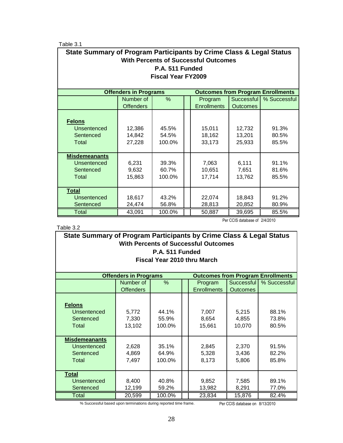Table 3.1

| State Summary of Program Participants by Crime Class & Legal Status<br><b>With Percents of Successful Outcomes</b> |                                                           |                 |  |         |            |              |  |  |  |  |
|--------------------------------------------------------------------------------------------------------------------|-----------------------------------------------------------|-----------------|--|---------|------------|--------------|--|--|--|--|
|                                                                                                                    |                                                           | P.A. 511 Funded |  |         |            |              |  |  |  |  |
| <b>Fiscal Year FY2009</b>                                                                                          |                                                           |                 |  |         |            |              |  |  |  |  |
| <b>Offenders in Programs</b><br><b>Outcomes from Program Enrollments</b>                                           |                                                           |                 |  |         |            |              |  |  |  |  |
|                                                                                                                    | Number of                                                 | %               |  | Program | Successful | % Successful |  |  |  |  |
|                                                                                                                    | <b>Enrollments</b><br><b>Offenders</b><br><b>Outcomes</b> |                 |  |         |            |              |  |  |  |  |
|                                                                                                                    |                                                           |                 |  |         |            |              |  |  |  |  |
| <b>Felons</b>                                                                                                      |                                                           |                 |  |         |            |              |  |  |  |  |
| Unsentenced                                                                                                        | 12,386                                                    | 45.5%           |  | 15,011  | 12,732     | 91.3%        |  |  |  |  |
| Sentenced                                                                                                          | 14,842                                                    | 54.5%           |  | 18,162  | 13,201     | 80.5%        |  |  |  |  |
| Total                                                                                                              | 27,228                                                    | 100.0%          |  | 33,173  | 25,933     | 85.5%        |  |  |  |  |
|                                                                                                                    |                                                           |                 |  |         |            |              |  |  |  |  |
| <b>Misdemeanants</b>                                                                                               |                                                           |                 |  |         |            |              |  |  |  |  |
| Unsentenced                                                                                                        | 6,231                                                     | 39.3%           |  | 7,063   | 6,111      | 91.1%        |  |  |  |  |
| Sentenced                                                                                                          | 9,632                                                     | 60.7%           |  | 10,651  | 7,651      | 81.6%        |  |  |  |  |
| Total                                                                                                              | 15,863                                                    | 100.0%          |  | 17,714  | 13,762     | 85.5%        |  |  |  |  |
| <b>Total</b>                                                                                                       |                                                           |                 |  |         |            |              |  |  |  |  |
| Unsentenced                                                                                                        | 18,617                                                    | 43.2%           |  | 22,074  | 18,843     | 91.2%        |  |  |  |  |
| Sentenced                                                                                                          | 24,474                                                    | 56.8%           |  | 28,813  | 20,852     | 80.9%        |  |  |  |  |
| Total                                                                                                              | 43,091                                                    | 100.0%          |  | 50,887  | 39,695     | 85.5%        |  |  |  |  |

## Table 3.2

Per CCIS database of 2/4/2010

| State Summary of Program Participants by Crime Class & Legal Status<br><b>With Percents of Successful Outcomes</b><br>P.A. 511 Funded<br>Fiscal Year 2010 thru March |                              |      |  |                    |                 |                                          |  |  |
|----------------------------------------------------------------------------------------------------------------------------------------------------------------------|------------------------------|------|--|--------------------|-----------------|------------------------------------------|--|--|
|                                                                                                                                                                      | <b>Offenders in Programs</b> |      |  |                    |                 | <b>Outcomes from Program Enrollments</b> |  |  |
|                                                                                                                                                                      | Number of                    | $\%$ |  | Program            | Successful      | % Successful                             |  |  |
|                                                                                                                                                                      | <b>Offenders</b>             |      |  | <b>Enrollments</b> | <b>Outcomes</b> |                                          |  |  |
| <b>Felons</b><br>Unsentenced<br>44.1%<br>88.1%<br>5.772<br>5.215<br>7.007                                                                                            |                              |      |  |                    |                 |                                          |  |  |

| Unsentenced<br>Sentenced<br>Total                                | 5,772<br>7,330<br>13,102 | 44.1%<br>55.9%<br>100.0% | 7.007<br>8,654<br>15,661 | 5,215<br>4,855<br>10,070 | 88.1%<br>73.8%<br>80.5% |
|------------------------------------------------------------------|--------------------------|--------------------------|--------------------------|--------------------------|-------------------------|
| <b>Misdemeanants</b><br><b>Unsentenced</b><br>Sentenced<br>Total | 2,628<br>4,869<br>7,497  | 35.1%<br>64.9%<br>100.0% | 2,845<br>5,328<br>8,173  | 2,370<br>3,436<br>5,806  | 91.5%<br>82.2%<br>85.8% |
| <b>Total</b><br>Unsentenced<br>Sentenced                         | 8,400<br>12,199          | 40.8%<br>59.2%           | 9,852<br>13,982          | 7,585<br>8,291           | 89.1%<br>77.0%          |
| Total                                                            | 20,599                   | 100.0%                   | 23,834                   | 15,876                   | 82.4%                   |

% Successful based upon terminations during reported time frame. Per CCIS database on 8/13/2010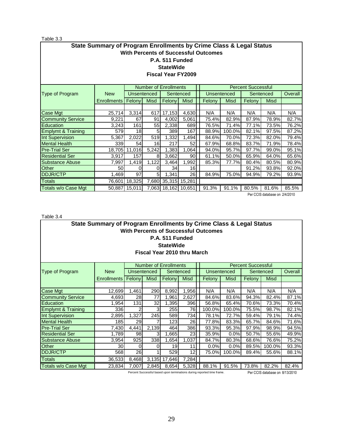Table 3.3

| State Summary of Program Enrollments by Crime Class & Legal Status<br><b>With Percents of Successful Outcomes</b><br>P.A. 511 Funded |                                                                                           |        |                    |                              |             |        |                    |                           |             |         |
|--------------------------------------------------------------------------------------------------------------------------------------|-------------------------------------------------------------------------------------------|--------|--------------------|------------------------------|-------------|--------|--------------------|---------------------------|-------------|---------|
| <b>StateWide</b><br><b>Fiscal Year FY2009</b>                                                                                        |                                                                                           |        |                    |                              |             |        |                    |                           |             |         |
|                                                                                                                                      |                                                                                           |        |                    | <b>Number of Enrollments</b> |             |        |                    | <b>Percent Successful</b> |             |         |
| Type of Program                                                                                                                      | <b>New</b>                                                                                |        | <b>Unsentenced</b> |                              | Sentenced   |        | <b>Unsentenced</b> |                           | Sentenced   | Overall |
|                                                                                                                                      | <b>Enrollments</b>                                                                        | Felony | <b>Misd</b>        | Felony                       | <b>Misd</b> | Felony | <b>Misd</b>        | Felony                    | <b>Misd</b> |         |
|                                                                                                                                      |                                                                                           |        |                    |                              |             |        |                    |                           |             |         |
| Case Mgt                                                                                                                             | 25,714                                                                                    | 3,314  | 617                | 17,153                       | 4,630       | N/A    | N/A                | N/A                       | N/A         | N/A     |
| <b>Community Service</b>                                                                                                             | 9,221                                                                                     | 67     | 91                 | 4,002                        | 5,061       | 75.4%  | 82.9%              | 87.9%                     | 78.9%       | 82.7%   |
| Education                                                                                                                            | 3,243                                                                                     | 161    | 55                 | 2,338                        | 689         | 76.5%  | 71.4%              | 77.1%                     | 73.5%       | 76.2%   |
| <b>Emplymt &amp; Training</b>                                                                                                        | 579I                                                                                      | 18     | 5                  | 389                          | 167         | 88.9%  | 100.0%             | 82.1%                     | 97.5%       | 87.2%   |
| Int Supervision                                                                                                                      | 5,367                                                                                     | 2,022  | 519                | 1,332                        | 1,494       | 84.6%  | 70.0%              | 72.3%                     | 82.0%       | 79.4%   |
| <b>Mental Health</b>                                                                                                                 | 339                                                                                       | 54     | 16                 | 217                          | 52          | 67.9%  | 68.8%              | 83.7%                     | 71.9%       | 78.4%   |
| <b>Pre-Trial Ser</b>                                                                                                                 | 18,705                                                                                    | 11,016 | 5,242              | 1,383                        | 1,064       | 94.0%  | 95.7%              | 97.7%                     | 99.0%       | 95.1%   |
| <b>Residential Ser</b>                                                                                                               | 3,917                                                                                     | 157    | 8                  | 3,662                        | 90          | 61.1%  | 50.0%              | 65.9%                     | 64.0%       | 65.6%   |
| <b>Substance Abuse</b>                                                                                                               | 7,997                                                                                     | 1,419  | 1,122              | 3,464                        | 1,992       | 85.3%  | 77.7%              | 80.4%                     | 80.5%       | 80.9%   |
| <b>Other</b>                                                                                                                         | 50                                                                                        | 0      | 0                  | 34                           | 16          |        |                    | 91.2%                     | 93.8%       | 92.0%   |
| DDJR/CTP                                                                                                                             | 97<br>26<br>1,469<br>5 <sup>5</sup><br>1,341<br>75.0%<br>93.9%<br>84.9%<br>79.2%<br>94.9% |        |                    |                              |             |        |                    |                           |             |         |
| <b>Totals</b>                                                                                                                        | 76,601                                                                                    | 18,325 |                    | 7,680 35,315 15,281          |             |        |                    |                           |             |         |
| Totals w/o Case Mgt                                                                                                                  | 50,887                                                                                    | 15,011 |                    | 7,063 18,162 10,651          |             | 91.3%  | 91.1%              | 80.5%                     | 81.6%       | 85.5%   |

Per CCIS database on 2/4/2010

Table 3.4

| State Summary of Program Enrollments by Crime Class & Legal Status |                                                                      |       |                    |                 |       |  |                                             |             |        |             |         |
|--------------------------------------------------------------------|----------------------------------------------------------------------|-------|--------------------|-----------------|-------|--|---------------------------------------------|-------------|--------|-------------|---------|
|                                                                    |                                                                      |       |                    |                 |       |  | <b>With Percents of Successful Outcomes</b> |             |        |             |         |
|                                                                    |                                                                      |       |                    | P.A. 511 Funded |       |  |                                             |             |        |             |         |
| <b>StateWide</b>                                                   |                                                                      |       |                    |                 |       |  |                                             |             |        |             |         |
| Fiscal Year 2010 thru March                                        |                                                                      |       |                    |                 |       |  |                                             |             |        |             |         |
|                                                                    |                                                                      |       |                    |                 |       |  |                                             |             |        |             |         |
| <b>Number of Enrollments</b><br><b>Percent Successful</b>          |                                                                      |       |                    |                 |       |  |                                             |             |        |             |         |
| Type of Program                                                    | <b>New</b>                                                           |       | <b>Unsentenced</b> | Sentenced       |       |  | <b>Unsentenced</b>                          |             |        | Sentenced   | Overall |
|                                                                    | Felony<br><b>Misd</b><br><b>Enrollments</b><br>Felony<br><b>Misd</b> |       |                    |                 |       |  | Felony                                      | <b>Misd</b> | Felony | <b>Misd</b> |         |
|                                                                    |                                                                      |       |                    |                 |       |  |                                             |             |        |             |         |
| Case Mgt                                                           | 12,699                                                               | 1,461 | 290                | 8,992           | 1,956 |  | N/A                                         | N/A         | N/A    | N/A         | N/A     |
| <b>Community Service</b>                                           | 4,693                                                                | 28    | 77                 | 1,961           | 2,627 |  | 84.6%                                       | 83.6%       | 94.3%  | 82.4%       | 87.1%   |
| Education                                                          | 1,954                                                                | 131   | 32                 | 1,395           | 396   |  | 56.8%                                       | 65.4%       | 70.6%  | 73.3%       | 70.4%   |
| <b>Emplymt &amp; Training</b>                                      | 336                                                                  | 2     | 3                  | 255             | 76    |  | 100.0%                                      | 100.0%      | 75.5%  | 98.7%       | 82.1%   |
| Int Supervision                                                    | 2,895                                                                | 1,327 | 245                | 589             | 734   |  | 78.1%                                       | 72.7%       | 59.4%  | 79.1%       | 74.4%   |
| Mental Health                                                      | <b>185</b>                                                           | 29    |                    | 123             | 26    |  | 77.8%                                       | 83.3%       | 65.7%  | 84.6%       | 71.6%   |
| <b>Pre-Trial Ser</b>                                               | 7,430                                                                | 4,441 | 2,139              | 464             | 386   |  | 93.3%                                       | 95.3%       | 97.9%  | 98.9%       | 94.5%   |
| <b>Residential Ser</b>                                             | 1,789                                                                | 98    | 3                  | .665            | 23    |  | 35.9%                                       | 0.0%        | 50.7%  | 55.6%       | 49.9%   |
| Substance Abuse                                                    | 3,954                                                                | 925   | 338                | 1,654           | 1,037 |  | 84.7%                                       | 80.3%       | 68.6%  | 76.6%       | 75.2%   |
| <b>Other</b>                                                       | 30I                                                                  | 0     | 0                  | 19              | 11    |  | 0.0%                                        | 0.0%        | 89.5%  | 100.0%      | 93.3%   |
| DDJR/CTP                                                           | 26<br>12<br>88.1%<br>568<br>529<br>75.0%<br>100.0%<br>89.4%<br>55.6% |       |                    |                 |       |  |                                             |             |        |             |         |
| <b>Totals</b>                                                      | 7,284<br>8,468<br>3,135<br>17,646<br>36,533                          |       |                    |                 |       |  |                                             |             |        |             |         |
| Totals w/o Case Mgt                                                | 23,834                                                               | 7,007 | 2,845              | 8,654           | 5,328 |  | 88.1%                                       | 91.5%       | 73.8%  | 82.2%       | 82.4%   |

Percent Successful based upon terminations during reported time frame. Per CCIS database on 8/13/2010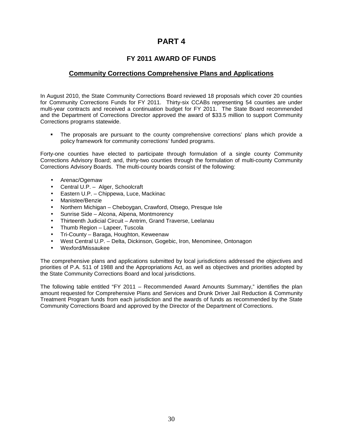## **PART 4**

## **FY 2011 AWARD OF FUNDS**

## **Community Corrections Comprehensive Plans and Applications**

In August 2010, the State Community Corrections Board reviewed 18 proposals which cover 20 counties for Community Corrections Funds for FY 2011. Thirty-six CCABs representing 54 counties are under multi-year contracts and received a continuation budget for FY 2011. The State Board recommended and the Department of Corrections Director approved the award of \$33.5 million to support Community Corrections programs statewide.

 The proposals are pursuant to the county comprehensive corrections' plans which provide a policy framework for community corrections' funded programs.

Forty-one counties have elected to participate through formulation of a single county Community Corrections Advisory Board; and, thirty-two counties through the formulation of multi-county Community Corrections Advisory Boards. The multi-county boards consist of the following:

- Arenac/Ogemaw
- Central U.P. Alger, Schoolcraft
- Eastern U.P. Chippewa, Luce, Mackinac
- Manistee/Benzie
- Northern Michigan Cheboygan, Crawford, Otsego, Presque Isle
- Sunrise Side Alcona, Alpena, Montmorency
- Thirteenth Judicial Circuit Antrim, Grand Traverse, Leelanau
- Thumb Region Lapeer, Tuscola
- Tri-County Baraga, Houghton, Keweenaw
- West Central U.P. Delta, Dickinson, Gogebic, Iron, Menominee, Ontonagon
- Wexford/Missaukee

The comprehensive plans and applications submitted by local jurisdictions addressed the objectives and priorities of P.A. 511 of 1988 and the Appropriations Act, as well as objectives and priorities adopted by the State Community Corrections Board and local jurisdictions.

The following table entitled "FY 2011 – Recommended Award Amounts Summary," identifies the plan amount requested for Comprehensive Plans and Services and Drunk Driver Jail Reduction & Community Treatment Program funds from each jurisdiction and the awards of funds as recommended by the State Community Corrections Board and approved by the Director of the Department of Corrections.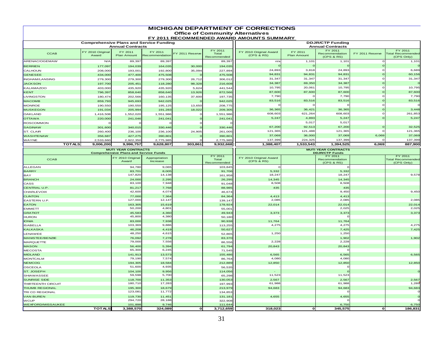| <b>Office of Community Alternatives</b><br>FY 2011 RECOMMENDED AWARD AMOUNTS SUMMARY<br><b>Comprehensive Plans and Service Funding</b><br><b>DDJR/CTP Funding</b><br><b>Annual Contracts</b><br><b>Annual Contracts</b><br>FY 2011<br>FY 2011<br>FY 2011<br>FY 2010 Original<br>FY 2011<br>FY 2011<br>FY 2010 Original Award<br>FY 2011<br><b>CCAB</b><br>TY 2011 Reserve<br>Recommendation<br>FY 2011 Reserve<br><b>Total Recommended</b><br>Total<br>Plan Amount<br>(CPS & RS)<br>Plan Amount<br>Award<br>Recommendation<br>(CPS & RS)<br>(CPS Only)<br>Recommended<br>N/f<br>89,397<br>89,397<br>89,39<br>1,101<br>1,101<br>1,101<br>$n/\varepsilon$<br>194,039<br>177,097<br>164,035<br>30,000<br>194,035<br>24,893<br>3,818<br>24,893<br>CALHOUN<br>208,000<br>227,89<br>$193,00^{\circ}$<br>192,800<br>35,094<br>94,831<br>60,156<br>94,831<br>94,831<br><b>GENESEE</b><br>434,000<br>477,400<br>475,50<br>475,508<br>31,347<br>31,347<br><b>INGHAM/LANSING</b><br>31,347<br>31,347<br>279,300<br>279,300<br>279,300<br>26,712<br>306,01<br>34,387<br>69,350<br>34,387<br><b>JACKSON</b><br>197,700<br>205,45<br>118,280<br>98,328<br>216,60<br>10,795<br>20,061<br>10,795<br>10,795<br>KALAMAZOO<br>403,000<br>435,920<br>435,920<br>441.54<br>5,624<br>87,600<br>87,600<br>87,600<br>87,600<br>KENT<br>796,397<br>858,640<br>858,640<br>872,56<br>13,926<br>7,790<br>7,790<br>7,790<br><b>LIVINGSTON</b><br>180,474<br>202,566<br>160,135<br>37,600<br>197,73<br>83,516<br>83,516<br>83,516<br>83,516<br><b>MACOMB</b><br>859,793<br>945,693<br>942,025<br>942,02<br><b>MONROE</b><br>190,550<br>190,550<br>195,125<br>208,775<br>13,650<br>36,365<br>36,421<br>3,448<br>36,365<br>MUSKEGON<br>191,034<br>205,994<br>191,283<br>18,022<br>209,30<br>608,603<br>621,264<br>608,603<br>261,853<br>OAKLAND<br>1,416,508<br>1,552,020<br>1,551,986<br>1,551,98<br>5,247<br>5,247<br>4,893<br>5,24<br><b>OTTAWA</b><br>220,000<br>241,046<br>241,041<br>241,04<br>5,017<br>5,017<br>ROSCOMMON<br>67,200<br>67,200<br>SAGINAW<br>92,513<br>340,015<br>301,600<br>330,446<br>330,446<br>121,365<br>121,488<br>121,365<br>ST. CLAIR<br>236,100<br>236,100<br>260,400<br>24,905<br>261,005<br>37,069<br>36,000<br>37,069<br>6,069<br>37,069<br><b>WASHTENAW</b><br>356,687<br>427,275<br>390,80'<br>390,801<br>137,399<br>224,325<br>137,399<br>2,533,660<br>2,922,350<br>2,775,985<br>2,775,985<br><b>TOTALS</b><br>9,006,200<br>9,996,757<br>9,628,807<br>303,861<br>9,932,668<br>1,388,407<br>1,533,543<br>1,394,525<br>6,069<br><b>MUTI YEAR CONTRACTS</b><br><b>MUTI YEAR CONTRACTS</b><br><b>Comprehensive Plans and Service Funds</b><br><b>DDJR/CTP Funds</b><br>FY 2011<br>FY 2011<br>FY 2011<br>FY 2010 Original<br>FY 2010 Original Award<br>Appropriation<br><b>CCAB</b><br>Total<br>Recommendation<br><b>Total Recommended</b><br>Award<br>Increase<br>(CPS & RS)<br>(CPS & RS)<br>Recommended<br>(CPS Only)<br>ALLEGAN<br>94,780<br>9,065<br>103,845<br>5,332<br><b>BARRY</b><br>83,70<br>8,005<br>91,706<br>5,332<br>147,820<br>14,138<br>18,247<br>18,247<br>161,95<br>24,000<br>2,295<br>26,29<br>14,345<br>14,345<br>83,100<br>7,948<br>8,508<br>8,508<br>91,048<br>81,217<br>7,768<br>435<br>435<br>88,985<br>42,600<br>4,074<br>9,450<br>9,450<br><b>CHARLEVOIX</b><br>46,67<br>77,00<br>4,413<br><b>CLINTON</b><br>7,364<br>4,41<br>84,36<br>127,000<br>2,085<br>2,085<br>12.147<br>EASTERN U.P.<br>139,147<br><b>EATON</b><br>163,305<br>15,619<br>178,92<br>22,014<br>22,014<br>22,014<br>50,200<br>4,801<br>2,025<br><b>EMMETT</b><br>55,00<br><b>GRATIOT</b><br>45,583<br>4,360<br>49,943<br>3,373<br>3,373<br>45,800<br>4,380<br><b>HURON</b><br>50.18<br>83,000<br>11,764<br><b>IONIA</b><br>7,938<br>90,93<br>11,764<br>4,275<br>103,369<br>9,886<br>4,275<br>4,275<br>113,255<br><b>KALKASKA</b><br>46,208<br>4,419<br>50,62<br>7,425<br>48,250<br>1,250<br>LENAWEE<br>4,615<br>1,250<br>52,865<br>MANISTEE/BENZIE<br>76,092<br>7,278<br>83,37<br>1,902<br>79,000<br>7,556<br>2,228<br>2,228<br><b>MARQUETTE</b><br>86,55<br><b>MASON</b><br>56,400<br>5,394<br>20,843<br>20,843<br>61.79<br>65,30<br>6,245<br><b>MECOSTA</b><br>71,545<br><b>MIDLAND</b><br>141,91<br>13,573<br>6,565<br>155,486<br>6,565<br>79,190<br>7,574<br>4,080<br>4,080<br>MONTCALM<br>86,764<br><b>NEMCOG</b><br>12,850<br>12,850<br>194,30<br>18,584<br>212,889<br>51,600<br>4,935<br><b>OSCEOLA</b><br>56,53<br>104,100<br>9,956<br>114,056<br>59,598<br>5,700<br>11,523<br>11,523<br>65,29<br>11,353<br>118,700<br>130,053<br>2,567<br>2,567<br>2,567<br>180,710<br>17,283<br>61,988<br>61,988<br>1,289<br>197,993<br><b>THUMB REGIONAL</b><br>195,300<br>18,679<br>213,97<br>94,683<br>94,683<br>94,683<br>123,08<br>11,772<br><b>TRI CO REGIONAL</b><br>134,85<br>119,730<br>11,451<br>131,18<br>4,655<br>4,655<br>294,720<br>28,188<br><b>WCUP</b><br>322,908<br><b>WEXFORD/MISSAUKEE</b><br>101,898<br>9,746<br>111,644<br>6,75<br>6,750<br><b>TOTALS</b><br>3,388,570<br>324,089<br>ol<br>3,712,659<br>318,023<br>ol<br>345,575<br>$\mathbf{o}$ |                     |  |  |  |  |  | <b>MICHIGAN DEPARTMENT OF CORRECTIONS</b> |  |  |
|--------------------------------------------------------------------------------------------------------------------------------------------------------------------------------------------------------------------------------------------------------------------------------------------------------------------------------------------------------------------------------------------------------------------------------------------------------------------------------------------------------------------------------------------------------------------------------------------------------------------------------------------------------------------------------------------------------------------------------------------------------------------------------------------------------------------------------------------------------------------------------------------------------------------------------------------------------------------------------------------------------------------------------------------------------------------------------------------------------------------------------------------------------------------------------------------------------------------------------------------------------------------------------------------------------------------------------------------------------------------------------------------------------------------------------------------------------------------------------------------------------------------------------------------------------------------------------------------------------------------------------------------------------------------------------------------------------------------------------------------------------------------------------------------------------------------------------------------------------------------------------------------------------------------------------------------------------------------------------------------------------------------------------------------------------------------------------------------------------------------------------------------------------------------------------------------------------------------------------------------------------------------------------------------------------------------------------------------------------------------------------------------------------------------------------------------------------------------------------------------------------------------------------------------------------------------------------------------------------------------------------------------------------------------------------------------------------------------------------------------------------------------------------------------------------------------------------------------------------------------------------------------------------------------------------------------------------------------------------------------------------------------------------------------------------------------------------------------------------------------------------------------------------------------------------------------------------------------------------------------------------------------------------------------------------------------------------------------------------------------------------------------------------------------------------------------------------------------------------------------------------------------------------------------------------------------------------------------------------------------------------------------------------------------------------------------------------------------------------------------------------------------------------------------------------------------------------------------------------------------------------------------------------------------------------------------------------------------------------------------------------------------------------------------------------------------------------------------------------------------------------------------------------------------------------------------------------------------------------------------------------------------------------------------------------------------------------------------------------------------------------------------------------------------------------------------------------------------------------------------------------------------------------------------------------------------------------------------------------------------------------------------------------------------------------------------------------------------------------------------------------------------------------------------------------------------------------------------------------------------------------------------------------------------------------------------------------------------------------------------------------------------------------------------------------------|---------------------|--|--|--|--|--|-------------------------------------------|--|--|
|                                                                                                                                                                                                                                                                                                                                                                                                                                                                                                                                                                                                                                                                                                                                                                                                                                                                                                                                                                                                                                                                                                                                                                                                                                                                                                                                                                                                                                                                                                                                                                                                                                                                                                                                                                                                                                                                                                                                                                                                                                                                                                                                                                                                                                                                                                                                                                                                                                                                                                                                                                                                                                                                                                                                                                                                                                                                                                                                                                                                                                                                                                                                                                                                                                                                                                                                                                                                                                                                                                                                                                                                                                                                                                                                                                                                                                                                                                                                                                                                                                                                                                                                                                                                                                                                                                                                                                                                                                                                                                                                                                                                                                                                                                                                                                                                                                                                                                                                                                                                                                                              |                     |  |  |  |  |  |                                           |  |  |
| 6,689<br>32,525<br>121,365<br>137,399<br>887,900<br>9,578<br>2,085<br>2,025<br>3,373<br>7,425<br>1,902<br>6,565<br>12,850<br>186,831                                                                                                                                                                                                                                                                                                                                                                                                                                                                                                                                                                                                                                                                                                                                                                                                                                                                                                                                                                                                                                                                                                                                                                                                                                                                                                                                                                                                                                                                                                                                                                                                                                                                                                                                                                                                                                                                                                                                                                                                                                                                                                                                                                                                                                                                                                                                                                                                                                                                                                                                                                                                                                                                                                                                                                                                                                                                                                                                                                                                                                                                                                                                                                                                                                                                                                                                                                                                                                                                                                                                                                                                                                                                                                                                                                                                                                                                                                                                                                                                                                                                                                                                                                                                                                                                                                                                                                                                                                                                                                                                                                                                                                                                                                                                                                                                                                                                                                                         |                     |  |  |  |  |  |                                           |  |  |
|                                                                                                                                                                                                                                                                                                                                                                                                                                                                                                                                                                                                                                                                                                                                                                                                                                                                                                                                                                                                                                                                                                                                                                                                                                                                                                                                                                                                                                                                                                                                                                                                                                                                                                                                                                                                                                                                                                                                                                                                                                                                                                                                                                                                                                                                                                                                                                                                                                                                                                                                                                                                                                                                                                                                                                                                                                                                                                                                                                                                                                                                                                                                                                                                                                                                                                                                                                                                                                                                                                                                                                                                                                                                                                                                                                                                                                                                                                                                                                                                                                                                                                                                                                                                                                                                                                                                                                                                                                                                                                                                                                                                                                                                                                                                                                                                                                                                                                                                                                                                                                                              |                     |  |  |  |  |  |                                           |  |  |
|                                                                                                                                                                                                                                                                                                                                                                                                                                                                                                                                                                                                                                                                                                                                                                                                                                                                                                                                                                                                                                                                                                                                                                                                                                                                                                                                                                                                                                                                                                                                                                                                                                                                                                                                                                                                                                                                                                                                                                                                                                                                                                                                                                                                                                                                                                                                                                                                                                                                                                                                                                                                                                                                                                                                                                                                                                                                                                                                                                                                                                                                                                                                                                                                                                                                                                                                                                                                                                                                                                                                                                                                                                                                                                                                                                                                                                                                                                                                                                                                                                                                                                                                                                                                                                                                                                                                                                                                                                                                                                                                                                                                                                                                                                                                                                                                                                                                                                                                                                                                                                                              | ARENAC/OGEMAW       |  |  |  |  |  |                                           |  |  |
|                                                                                                                                                                                                                                                                                                                                                                                                                                                                                                                                                                                                                                                                                                                                                                                                                                                                                                                                                                                                                                                                                                                                                                                                                                                                                                                                                                                                                                                                                                                                                                                                                                                                                                                                                                                                                                                                                                                                                                                                                                                                                                                                                                                                                                                                                                                                                                                                                                                                                                                                                                                                                                                                                                                                                                                                                                                                                                                                                                                                                                                                                                                                                                                                                                                                                                                                                                                                                                                                                                                                                                                                                                                                                                                                                                                                                                                                                                                                                                                                                                                                                                                                                                                                                                                                                                                                                                                                                                                                                                                                                                                                                                                                                                                                                                                                                                                                                                                                                                                                                                                              | <b>BERRIEN</b>      |  |  |  |  |  |                                           |  |  |
|                                                                                                                                                                                                                                                                                                                                                                                                                                                                                                                                                                                                                                                                                                                                                                                                                                                                                                                                                                                                                                                                                                                                                                                                                                                                                                                                                                                                                                                                                                                                                                                                                                                                                                                                                                                                                                                                                                                                                                                                                                                                                                                                                                                                                                                                                                                                                                                                                                                                                                                                                                                                                                                                                                                                                                                                                                                                                                                                                                                                                                                                                                                                                                                                                                                                                                                                                                                                                                                                                                                                                                                                                                                                                                                                                                                                                                                                                                                                                                                                                                                                                                                                                                                                                                                                                                                                                                                                                                                                                                                                                                                                                                                                                                                                                                                                                                                                                                                                                                                                                                                              |                     |  |  |  |  |  |                                           |  |  |
|                                                                                                                                                                                                                                                                                                                                                                                                                                                                                                                                                                                                                                                                                                                                                                                                                                                                                                                                                                                                                                                                                                                                                                                                                                                                                                                                                                                                                                                                                                                                                                                                                                                                                                                                                                                                                                                                                                                                                                                                                                                                                                                                                                                                                                                                                                                                                                                                                                                                                                                                                                                                                                                                                                                                                                                                                                                                                                                                                                                                                                                                                                                                                                                                                                                                                                                                                                                                                                                                                                                                                                                                                                                                                                                                                                                                                                                                                                                                                                                                                                                                                                                                                                                                                                                                                                                                                                                                                                                                                                                                                                                                                                                                                                                                                                                                                                                                                                                                                                                                                                                              |                     |  |  |  |  |  |                                           |  |  |
|                                                                                                                                                                                                                                                                                                                                                                                                                                                                                                                                                                                                                                                                                                                                                                                                                                                                                                                                                                                                                                                                                                                                                                                                                                                                                                                                                                                                                                                                                                                                                                                                                                                                                                                                                                                                                                                                                                                                                                                                                                                                                                                                                                                                                                                                                                                                                                                                                                                                                                                                                                                                                                                                                                                                                                                                                                                                                                                                                                                                                                                                                                                                                                                                                                                                                                                                                                                                                                                                                                                                                                                                                                                                                                                                                                                                                                                                                                                                                                                                                                                                                                                                                                                                                                                                                                                                                                                                                                                                                                                                                                                                                                                                                                                                                                                                                                                                                                                                                                                                                                                              |                     |  |  |  |  |  |                                           |  |  |
|                                                                                                                                                                                                                                                                                                                                                                                                                                                                                                                                                                                                                                                                                                                                                                                                                                                                                                                                                                                                                                                                                                                                                                                                                                                                                                                                                                                                                                                                                                                                                                                                                                                                                                                                                                                                                                                                                                                                                                                                                                                                                                                                                                                                                                                                                                                                                                                                                                                                                                                                                                                                                                                                                                                                                                                                                                                                                                                                                                                                                                                                                                                                                                                                                                                                                                                                                                                                                                                                                                                                                                                                                                                                                                                                                                                                                                                                                                                                                                                                                                                                                                                                                                                                                                                                                                                                                                                                                                                                                                                                                                                                                                                                                                                                                                                                                                                                                                                                                                                                                                                              |                     |  |  |  |  |  |                                           |  |  |
|                                                                                                                                                                                                                                                                                                                                                                                                                                                                                                                                                                                                                                                                                                                                                                                                                                                                                                                                                                                                                                                                                                                                                                                                                                                                                                                                                                                                                                                                                                                                                                                                                                                                                                                                                                                                                                                                                                                                                                                                                                                                                                                                                                                                                                                                                                                                                                                                                                                                                                                                                                                                                                                                                                                                                                                                                                                                                                                                                                                                                                                                                                                                                                                                                                                                                                                                                                                                                                                                                                                                                                                                                                                                                                                                                                                                                                                                                                                                                                                                                                                                                                                                                                                                                                                                                                                                                                                                                                                                                                                                                                                                                                                                                                                                                                                                                                                                                                                                                                                                                                                              |                     |  |  |  |  |  |                                           |  |  |
|                                                                                                                                                                                                                                                                                                                                                                                                                                                                                                                                                                                                                                                                                                                                                                                                                                                                                                                                                                                                                                                                                                                                                                                                                                                                                                                                                                                                                                                                                                                                                                                                                                                                                                                                                                                                                                                                                                                                                                                                                                                                                                                                                                                                                                                                                                                                                                                                                                                                                                                                                                                                                                                                                                                                                                                                                                                                                                                                                                                                                                                                                                                                                                                                                                                                                                                                                                                                                                                                                                                                                                                                                                                                                                                                                                                                                                                                                                                                                                                                                                                                                                                                                                                                                                                                                                                                                                                                                                                                                                                                                                                                                                                                                                                                                                                                                                                                                                                                                                                                                                                              |                     |  |  |  |  |  |                                           |  |  |
|                                                                                                                                                                                                                                                                                                                                                                                                                                                                                                                                                                                                                                                                                                                                                                                                                                                                                                                                                                                                                                                                                                                                                                                                                                                                                                                                                                                                                                                                                                                                                                                                                                                                                                                                                                                                                                                                                                                                                                                                                                                                                                                                                                                                                                                                                                                                                                                                                                                                                                                                                                                                                                                                                                                                                                                                                                                                                                                                                                                                                                                                                                                                                                                                                                                                                                                                                                                                                                                                                                                                                                                                                                                                                                                                                                                                                                                                                                                                                                                                                                                                                                                                                                                                                                                                                                                                                                                                                                                                                                                                                                                                                                                                                                                                                                                                                                                                                                                                                                                                                                                              |                     |  |  |  |  |  |                                           |  |  |
|                                                                                                                                                                                                                                                                                                                                                                                                                                                                                                                                                                                                                                                                                                                                                                                                                                                                                                                                                                                                                                                                                                                                                                                                                                                                                                                                                                                                                                                                                                                                                                                                                                                                                                                                                                                                                                                                                                                                                                                                                                                                                                                                                                                                                                                                                                                                                                                                                                                                                                                                                                                                                                                                                                                                                                                                                                                                                                                                                                                                                                                                                                                                                                                                                                                                                                                                                                                                                                                                                                                                                                                                                                                                                                                                                                                                                                                                                                                                                                                                                                                                                                                                                                                                                                                                                                                                                                                                                                                                                                                                                                                                                                                                                                                                                                                                                                                                                                                                                                                                                                                              |                     |  |  |  |  |  |                                           |  |  |
|                                                                                                                                                                                                                                                                                                                                                                                                                                                                                                                                                                                                                                                                                                                                                                                                                                                                                                                                                                                                                                                                                                                                                                                                                                                                                                                                                                                                                                                                                                                                                                                                                                                                                                                                                                                                                                                                                                                                                                                                                                                                                                                                                                                                                                                                                                                                                                                                                                                                                                                                                                                                                                                                                                                                                                                                                                                                                                                                                                                                                                                                                                                                                                                                                                                                                                                                                                                                                                                                                                                                                                                                                                                                                                                                                                                                                                                                                                                                                                                                                                                                                                                                                                                                                                                                                                                                                                                                                                                                                                                                                                                                                                                                                                                                                                                                                                                                                                                                                                                                                                                              |                     |  |  |  |  |  |                                           |  |  |
|                                                                                                                                                                                                                                                                                                                                                                                                                                                                                                                                                                                                                                                                                                                                                                                                                                                                                                                                                                                                                                                                                                                                                                                                                                                                                                                                                                                                                                                                                                                                                                                                                                                                                                                                                                                                                                                                                                                                                                                                                                                                                                                                                                                                                                                                                                                                                                                                                                                                                                                                                                                                                                                                                                                                                                                                                                                                                                                                                                                                                                                                                                                                                                                                                                                                                                                                                                                                                                                                                                                                                                                                                                                                                                                                                                                                                                                                                                                                                                                                                                                                                                                                                                                                                                                                                                                                                                                                                                                                                                                                                                                                                                                                                                                                                                                                                                                                                                                                                                                                                                                              |                     |  |  |  |  |  |                                           |  |  |
|                                                                                                                                                                                                                                                                                                                                                                                                                                                                                                                                                                                                                                                                                                                                                                                                                                                                                                                                                                                                                                                                                                                                                                                                                                                                                                                                                                                                                                                                                                                                                                                                                                                                                                                                                                                                                                                                                                                                                                                                                                                                                                                                                                                                                                                                                                                                                                                                                                                                                                                                                                                                                                                                                                                                                                                                                                                                                                                                                                                                                                                                                                                                                                                                                                                                                                                                                                                                                                                                                                                                                                                                                                                                                                                                                                                                                                                                                                                                                                                                                                                                                                                                                                                                                                                                                                                                                                                                                                                                                                                                                                                                                                                                                                                                                                                                                                                                                                                                                                                                                                                              |                     |  |  |  |  |  |                                           |  |  |
|                                                                                                                                                                                                                                                                                                                                                                                                                                                                                                                                                                                                                                                                                                                                                                                                                                                                                                                                                                                                                                                                                                                                                                                                                                                                                                                                                                                                                                                                                                                                                                                                                                                                                                                                                                                                                                                                                                                                                                                                                                                                                                                                                                                                                                                                                                                                                                                                                                                                                                                                                                                                                                                                                                                                                                                                                                                                                                                                                                                                                                                                                                                                                                                                                                                                                                                                                                                                                                                                                                                                                                                                                                                                                                                                                                                                                                                                                                                                                                                                                                                                                                                                                                                                                                                                                                                                                                                                                                                                                                                                                                                                                                                                                                                                                                                                                                                                                                                                                                                                                                                              |                     |  |  |  |  |  |                                           |  |  |
|                                                                                                                                                                                                                                                                                                                                                                                                                                                                                                                                                                                                                                                                                                                                                                                                                                                                                                                                                                                                                                                                                                                                                                                                                                                                                                                                                                                                                                                                                                                                                                                                                                                                                                                                                                                                                                                                                                                                                                                                                                                                                                                                                                                                                                                                                                                                                                                                                                                                                                                                                                                                                                                                                                                                                                                                                                                                                                                                                                                                                                                                                                                                                                                                                                                                                                                                                                                                                                                                                                                                                                                                                                                                                                                                                                                                                                                                                                                                                                                                                                                                                                                                                                                                                                                                                                                                                                                                                                                                                                                                                                                                                                                                                                                                                                                                                                                                                                                                                                                                                                                              |                     |  |  |  |  |  |                                           |  |  |
|                                                                                                                                                                                                                                                                                                                                                                                                                                                                                                                                                                                                                                                                                                                                                                                                                                                                                                                                                                                                                                                                                                                                                                                                                                                                                                                                                                                                                                                                                                                                                                                                                                                                                                                                                                                                                                                                                                                                                                                                                                                                                                                                                                                                                                                                                                                                                                                                                                                                                                                                                                                                                                                                                                                                                                                                                                                                                                                                                                                                                                                                                                                                                                                                                                                                                                                                                                                                                                                                                                                                                                                                                                                                                                                                                                                                                                                                                                                                                                                                                                                                                                                                                                                                                                                                                                                                                                                                                                                                                                                                                                                                                                                                                                                                                                                                                                                                                                                                                                                                                                                              |                     |  |  |  |  |  |                                           |  |  |
|                                                                                                                                                                                                                                                                                                                                                                                                                                                                                                                                                                                                                                                                                                                                                                                                                                                                                                                                                                                                                                                                                                                                                                                                                                                                                                                                                                                                                                                                                                                                                                                                                                                                                                                                                                                                                                                                                                                                                                                                                                                                                                                                                                                                                                                                                                                                                                                                                                                                                                                                                                                                                                                                                                                                                                                                                                                                                                                                                                                                                                                                                                                                                                                                                                                                                                                                                                                                                                                                                                                                                                                                                                                                                                                                                                                                                                                                                                                                                                                                                                                                                                                                                                                                                                                                                                                                                                                                                                                                                                                                                                                                                                                                                                                                                                                                                                                                                                                                                                                                                                                              |                     |  |  |  |  |  |                                           |  |  |
|                                                                                                                                                                                                                                                                                                                                                                                                                                                                                                                                                                                                                                                                                                                                                                                                                                                                                                                                                                                                                                                                                                                                                                                                                                                                                                                                                                                                                                                                                                                                                                                                                                                                                                                                                                                                                                                                                                                                                                                                                                                                                                                                                                                                                                                                                                                                                                                                                                                                                                                                                                                                                                                                                                                                                                                                                                                                                                                                                                                                                                                                                                                                                                                                                                                                                                                                                                                                                                                                                                                                                                                                                                                                                                                                                                                                                                                                                                                                                                                                                                                                                                                                                                                                                                                                                                                                                                                                                                                                                                                                                                                                                                                                                                                                                                                                                                                                                                                                                                                                                                                              | <b>WAYNE</b>        |  |  |  |  |  |                                           |  |  |
|                                                                                                                                                                                                                                                                                                                                                                                                                                                                                                                                                                                                                                                                                                                                                                                                                                                                                                                                                                                                                                                                                                                                                                                                                                                                                                                                                                                                                                                                                                                                                                                                                                                                                                                                                                                                                                                                                                                                                                                                                                                                                                                                                                                                                                                                                                                                                                                                                                                                                                                                                                                                                                                                                                                                                                                                                                                                                                                                                                                                                                                                                                                                                                                                                                                                                                                                                                                                                                                                                                                                                                                                                                                                                                                                                                                                                                                                                                                                                                                                                                                                                                                                                                                                                                                                                                                                                                                                                                                                                                                                                                                                                                                                                                                                                                                                                                                                                                                                                                                                                                                              |                     |  |  |  |  |  |                                           |  |  |
|                                                                                                                                                                                                                                                                                                                                                                                                                                                                                                                                                                                                                                                                                                                                                                                                                                                                                                                                                                                                                                                                                                                                                                                                                                                                                                                                                                                                                                                                                                                                                                                                                                                                                                                                                                                                                                                                                                                                                                                                                                                                                                                                                                                                                                                                                                                                                                                                                                                                                                                                                                                                                                                                                                                                                                                                                                                                                                                                                                                                                                                                                                                                                                                                                                                                                                                                                                                                                                                                                                                                                                                                                                                                                                                                                                                                                                                                                                                                                                                                                                                                                                                                                                                                                                                                                                                                                                                                                                                                                                                                                                                                                                                                                                                                                                                                                                                                                                                                                                                                                                                              |                     |  |  |  |  |  |                                           |  |  |
|                                                                                                                                                                                                                                                                                                                                                                                                                                                                                                                                                                                                                                                                                                                                                                                                                                                                                                                                                                                                                                                                                                                                                                                                                                                                                                                                                                                                                                                                                                                                                                                                                                                                                                                                                                                                                                                                                                                                                                                                                                                                                                                                                                                                                                                                                                                                                                                                                                                                                                                                                                                                                                                                                                                                                                                                                                                                                                                                                                                                                                                                                                                                                                                                                                                                                                                                                                                                                                                                                                                                                                                                                                                                                                                                                                                                                                                                                                                                                                                                                                                                                                                                                                                                                                                                                                                                                                                                                                                                                                                                                                                                                                                                                                                                                                                                                                                                                                                                                                                                                                                              |                     |  |  |  |  |  |                                           |  |  |
|                                                                                                                                                                                                                                                                                                                                                                                                                                                                                                                                                                                                                                                                                                                                                                                                                                                                                                                                                                                                                                                                                                                                                                                                                                                                                                                                                                                                                                                                                                                                                                                                                                                                                                                                                                                                                                                                                                                                                                                                                                                                                                                                                                                                                                                                                                                                                                                                                                                                                                                                                                                                                                                                                                                                                                                                                                                                                                                                                                                                                                                                                                                                                                                                                                                                                                                                                                                                                                                                                                                                                                                                                                                                                                                                                                                                                                                                                                                                                                                                                                                                                                                                                                                                                                                                                                                                                                                                                                                                                                                                                                                                                                                                                                                                                                                                                                                                                                                                                                                                                                                              |                     |  |  |  |  |  |                                           |  |  |
|                                                                                                                                                                                                                                                                                                                                                                                                                                                                                                                                                                                                                                                                                                                                                                                                                                                                                                                                                                                                                                                                                                                                                                                                                                                                                                                                                                                                                                                                                                                                                                                                                                                                                                                                                                                                                                                                                                                                                                                                                                                                                                                                                                                                                                                                                                                                                                                                                                                                                                                                                                                                                                                                                                                                                                                                                                                                                                                                                                                                                                                                                                                                                                                                                                                                                                                                                                                                                                                                                                                                                                                                                                                                                                                                                                                                                                                                                                                                                                                                                                                                                                                                                                                                                                                                                                                                                                                                                                                                                                                                                                                                                                                                                                                                                                                                                                                                                                                                                                                                                                                              |                     |  |  |  |  |  |                                           |  |  |
|                                                                                                                                                                                                                                                                                                                                                                                                                                                                                                                                                                                                                                                                                                                                                                                                                                                                                                                                                                                                                                                                                                                                                                                                                                                                                                                                                                                                                                                                                                                                                                                                                                                                                                                                                                                                                                                                                                                                                                                                                                                                                                                                                                                                                                                                                                                                                                                                                                                                                                                                                                                                                                                                                                                                                                                                                                                                                                                                                                                                                                                                                                                                                                                                                                                                                                                                                                                                                                                                                                                                                                                                                                                                                                                                                                                                                                                                                                                                                                                                                                                                                                                                                                                                                                                                                                                                                                                                                                                                                                                                                                                                                                                                                                                                                                                                                                                                                                                                                                                                                                                              | <b>BAY</b>          |  |  |  |  |  |                                           |  |  |
|                                                                                                                                                                                                                                                                                                                                                                                                                                                                                                                                                                                                                                                                                                                                                                                                                                                                                                                                                                                                                                                                                                                                                                                                                                                                                                                                                                                                                                                                                                                                                                                                                                                                                                                                                                                                                                                                                                                                                                                                                                                                                                                                                                                                                                                                                                                                                                                                                                                                                                                                                                                                                                                                                                                                                                                                                                                                                                                                                                                                                                                                                                                                                                                                                                                                                                                                                                                                                                                                                                                                                                                                                                                                                                                                                                                                                                                                                                                                                                                                                                                                                                                                                                                                                                                                                                                                                                                                                                                                                                                                                                                                                                                                                                                                                                                                                                                                                                                                                                                                                                                              | <b>BRANCH</b>       |  |  |  |  |  |                                           |  |  |
|                                                                                                                                                                                                                                                                                                                                                                                                                                                                                                                                                                                                                                                                                                                                                                                                                                                                                                                                                                                                                                                                                                                                                                                                                                                                                                                                                                                                                                                                                                                                                                                                                                                                                                                                                                                                                                                                                                                                                                                                                                                                                                                                                                                                                                                                                                                                                                                                                                                                                                                                                                                                                                                                                                                                                                                                                                                                                                                                                                                                                                                                                                                                                                                                                                                                                                                                                                                                                                                                                                                                                                                                                                                                                                                                                                                                                                                                                                                                                                                                                                                                                                                                                                                                                                                                                                                                                                                                                                                                                                                                                                                                                                                                                                                                                                                                                                                                                                                                                                                                                                                              | CASS                |  |  |  |  |  |                                           |  |  |
|                                                                                                                                                                                                                                                                                                                                                                                                                                                                                                                                                                                                                                                                                                                                                                                                                                                                                                                                                                                                                                                                                                                                                                                                                                                                                                                                                                                                                                                                                                                                                                                                                                                                                                                                                                                                                                                                                                                                                                                                                                                                                                                                                                                                                                                                                                                                                                                                                                                                                                                                                                                                                                                                                                                                                                                                                                                                                                                                                                                                                                                                                                                                                                                                                                                                                                                                                                                                                                                                                                                                                                                                                                                                                                                                                                                                                                                                                                                                                                                                                                                                                                                                                                                                                                                                                                                                                                                                                                                                                                                                                                                                                                                                                                                                                                                                                                                                                                                                                                                                                                                              | CENTRAL U.P.        |  |  |  |  |  |                                           |  |  |
|                                                                                                                                                                                                                                                                                                                                                                                                                                                                                                                                                                                                                                                                                                                                                                                                                                                                                                                                                                                                                                                                                                                                                                                                                                                                                                                                                                                                                                                                                                                                                                                                                                                                                                                                                                                                                                                                                                                                                                                                                                                                                                                                                                                                                                                                                                                                                                                                                                                                                                                                                                                                                                                                                                                                                                                                                                                                                                                                                                                                                                                                                                                                                                                                                                                                                                                                                                                                                                                                                                                                                                                                                                                                                                                                                                                                                                                                                                                                                                                                                                                                                                                                                                                                                                                                                                                                                                                                                                                                                                                                                                                                                                                                                                                                                                                                                                                                                                                                                                                                                                                              |                     |  |  |  |  |  |                                           |  |  |
|                                                                                                                                                                                                                                                                                                                                                                                                                                                                                                                                                                                                                                                                                                                                                                                                                                                                                                                                                                                                                                                                                                                                                                                                                                                                                                                                                                                                                                                                                                                                                                                                                                                                                                                                                                                                                                                                                                                                                                                                                                                                                                                                                                                                                                                                                                                                                                                                                                                                                                                                                                                                                                                                                                                                                                                                                                                                                                                                                                                                                                                                                                                                                                                                                                                                                                                                                                                                                                                                                                                                                                                                                                                                                                                                                                                                                                                                                                                                                                                                                                                                                                                                                                                                                                                                                                                                                                                                                                                                                                                                                                                                                                                                                                                                                                                                                                                                                                                                                                                                                                                              |                     |  |  |  |  |  |                                           |  |  |
|                                                                                                                                                                                                                                                                                                                                                                                                                                                                                                                                                                                                                                                                                                                                                                                                                                                                                                                                                                                                                                                                                                                                                                                                                                                                                                                                                                                                                                                                                                                                                                                                                                                                                                                                                                                                                                                                                                                                                                                                                                                                                                                                                                                                                                                                                                                                                                                                                                                                                                                                                                                                                                                                                                                                                                                                                                                                                                                                                                                                                                                                                                                                                                                                                                                                                                                                                                                                                                                                                                                                                                                                                                                                                                                                                                                                                                                                                                                                                                                                                                                                                                                                                                                                                                                                                                                                                                                                                                                                                                                                                                                                                                                                                                                                                                                                                                                                                                                                                                                                                                                              |                     |  |  |  |  |  |                                           |  |  |
|                                                                                                                                                                                                                                                                                                                                                                                                                                                                                                                                                                                                                                                                                                                                                                                                                                                                                                                                                                                                                                                                                                                                                                                                                                                                                                                                                                                                                                                                                                                                                                                                                                                                                                                                                                                                                                                                                                                                                                                                                                                                                                                                                                                                                                                                                                                                                                                                                                                                                                                                                                                                                                                                                                                                                                                                                                                                                                                                                                                                                                                                                                                                                                                                                                                                                                                                                                                                                                                                                                                                                                                                                                                                                                                                                                                                                                                                                                                                                                                                                                                                                                                                                                                                                                                                                                                                                                                                                                                                                                                                                                                                                                                                                                                                                                                                                                                                                                                                                                                                                                                              |                     |  |  |  |  |  |                                           |  |  |
|                                                                                                                                                                                                                                                                                                                                                                                                                                                                                                                                                                                                                                                                                                                                                                                                                                                                                                                                                                                                                                                                                                                                                                                                                                                                                                                                                                                                                                                                                                                                                                                                                                                                                                                                                                                                                                                                                                                                                                                                                                                                                                                                                                                                                                                                                                                                                                                                                                                                                                                                                                                                                                                                                                                                                                                                                                                                                                                                                                                                                                                                                                                                                                                                                                                                                                                                                                                                                                                                                                                                                                                                                                                                                                                                                                                                                                                                                                                                                                                                                                                                                                                                                                                                                                                                                                                                                                                                                                                                                                                                                                                                                                                                                                                                                                                                                                                                                                                                                                                                                                                              |                     |  |  |  |  |  |                                           |  |  |
|                                                                                                                                                                                                                                                                                                                                                                                                                                                                                                                                                                                                                                                                                                                                                                                                                                                                                                                                                                                                                                                                                                                                                                                                                                                                                                                                                                                                                                                                                                                                                                                                                                                                                                                                                                                                                                                                                                                                                                                                                                                                                                                                                                                                                                                                                                                                                                                                                                                                                                                                                                                                                                                                                                                                                                                                                                                                                                                                                                                                                                                                                                                                                                                                                                                                                                                                                                                                                                                                                                                                                                                                                                                                                                                                                                                                                                                                                                                                                                                                                                                                                                                                                                                                                                                                                                                                                                                                                                                                                                                                                                                                                                                                                                                                                                                                                                                                                                                                                                                                                                                              |                     |  |  |  |  |  |                                           |  |  |
|                                                                                                                                                                                                                                                                                                                                                                                                                                                                                                                                                                                                                                                                                                                                                                                                                                                                                                                                                                                                                                                                                                                                                                                                                                                                                                                                                                                                                                                                                                                                                                                                                                                                                                                                                                                                                                                                                                                                                                                                                                                                                                                                                                                                                                                                                                                                                                                                                                                                                                                                                                                                                                                                                                                                                                                                                                                                                                                                                                                                                                                                                                                                                                                                                                                                                                                                                                                                                                                                                                                                                                                                                                                                                                                                                                                                                                                                                                                                                                                                                                                                                                                                                                                                                                                                                                                                                                                                                                                                                                                                                                                                                                                                                                                                                                                                                                                                                                                                                                                                                                                              |                     |  |  |  |  |  |                                           |  |  |
|                                                                                                                                                                                                                                                                                                                                                                                                                                                                                                                                                                                                                                                                                                                                                                                                                                                                                                                                                                                                                                                                                                                                                                                                                                                                                                                                                                                                                                                                                                                                                                                                                                                                                                                                                                                                                                                                                                                                                                                                                                                                                                                                                                                                                                                                                                                                                                                                                                                                                                                                                                                                                                                                                                                                                                                                                                                                                                                                                                                                                                                                                                                                                                                                                                                                                                                                                                                                                                                                                                                                                                                                                                                                                                                                                                                                                                                                                                                                                                                                                                                                                                                                                                                                                                                                                                                                                                                                                                                                                                                                                                                                                                                                                                                                                                                                                                                                                                                                                                                                                                                              | <b>ISABELLA</b>     |  |  |  |  |  |                                           |  |  |
|                                                                                                                                                                                                                                                                                                                                                                                                                                                                                                                                                                                                                                                                                                                                                                                                                                                                                                                                                                                                                                                                                                                                                                                                                                                                                                                                                                                                                                                                                                                                                                                                                                                                                                                                                                                                                                                                                                                                                                                                                                                                                                                                                                                                                                                                                                                                                                                                                                                                                                                                                                                                                                                                                                                                                                                                                                                                                                                                                                                                                                                                                                                                                                                                                                                                                                                                                                                                                                                                                                                                                                                                                                                                                                                                                                                                                                                                                                                                                                                                                                                                                                                                                                                                                                                                                                                                                                                                                                                                                                                                                                                                                                                                                                                                                                                                                                                                                                                                                                                                                                                              |                     |  |  |  |  |  |                                           |  |  |
|                                                                                                                                                                                                                                                                                                                                                                                                                                                                                                                                                                                                                                                                                                                                                                                                                                                                                                                                                                                                                                                                                                                                                                                                                                                                                                                                                                                                                                                                                                                                                                                                                                                                                                                                                                                                                                                                                                                                                                                                                                                                                                                                                                                                                                                                                                                                                                                                                                                                                                                                                                                                                                                                                                                                                                                                                                                                                                                                                                                                                                                                                                                                                                                                                                                                                                                                                                                                                                                                                                                                                                                                                                                                                                                                                                                                                                                                                                                                                                                                                                                                                                                                                                                                                                                                                                                                                                                                                                                                                                                                                                                                                                                                                                                                                                                                                                                                                                                                                                                                                                                              |                     |  |  |  |  |  |                                           |  |  |
|                                                                                                                                                                                                                                                                                                                                                                                                                                                                                                                                                                                                                                                                                                                                                                                                                                                                                                                                                                                                                                                                                                                                                                                                                                                                                                                                                                                                                                                                                                                                                                                                                                                                                                                                                                                                                                                                                                                                                                                                                                                                                                                                                                                                                                                                                                                                                                                                                                                                                                                                                                                                                                                                                                                                                                                                                                                                                                                                                                                                                                                                                                                                                                                                                                                                                                                                                                                                                                                                                                                                                                                                                                                                                                                                                                                                                                                                                                                                                                                                                                                                                                                                                                                                                                                                                                                                                                                                                                                                                                                                                                                                                                                                                                                                                                                                                                                                                                                                                                                                                                                              |                     |  |  |  |  |  |                                           |  |  |
|                                                                                                                                                                                                                                                                                                                                                                                                                                                                                                                                                                                                                                                                                                                                                                                                                                                                                                                                                                                                                                                                                                                                                                                                                                                                                                                                                                                                                                                                                                                                                                                                                                                                                                                                                                                                                                                                                                                                                                                                                                                                                                                                                                                                                                                                                                                                                                                                                                                                                                                                                                                                                                                                                                                                                                                                                                                                                                                                                                                                                                                                                                                                                                                                                                                                                                                                                                                                                                                                                                                                                                                                                                                                                                                                                                                                                                                                                                                                                                                                                                                                                                                                                                                                                                                                                                                                                                                                                                                                                                                                                                                                                                                                                                                                                                                                                                                                                                                                                                                                                                                              |                     |  |  |  |  |  |                                           |  |  |
|                                                                                                                                                                                                                                                                                                                                                                                                                                                                                                                                                                                                                                                                                                                                                                                                                                                                                                                                                                                                                                                                                                                                                                                                                                                                                                                                                                                                                                                                                                                                                                                                                                                                                                                                                                                                                                                                                                                                                                                                                                                                                                                                                                                                                                                                                                                                                                                                                                                                                                                                                                                                                                                                                                                                                                                                                                                                                                                                                                                                                                                                                                                                                                                                                                                                                                                                                                                                                                                                                                                                                                                                                                                                                                                                                                                                                                                                                                                                                                                                                                                                                                                                                                                                                                                                                                                                                                                                                                                                                                                                                                                                                                                                                                                                                                                                                                                                                                                                                                                                                                                              |                     |  |  |  |  |  |                                           |  |  |
|                                                                                                                                                                                                                                                                                                                                                                                                                                                                                                                                                                                                                                                                                                                                                                                                                                                                                                                                                                                                                                                                                                                                                                                                                                                                                                                                                                                                                                                                                                                                                                                                                                                                                                                                                                                                                                                                                                                                                                                                                                                                                                                                                                                                                                                                                                                                                                                                                                                                                                                                                                                                                                                                                                                                                                                                                                                                                                                                                                                                                                                                                                                                                                                                                                                                                                                                                                                                                                                                                                                                                                                                                                                                                                                                                                                                                                                                                                                                                                                                                                                                                                                                                                                                                                                                                                                                                                                                                                                                                                                                                                                                                                                                                                                                                                                                                                                                                                                                                                                                                                                              |                     |  |  |  |  |  |                                           |  |  |
|                                                                                                                                                                                                                                                                                                                                                                                                                                                                                                                                                                                                                                                                                                                                                                                                                                                                                                                                                                                                                                                                                                                                                                                                                                                                                                                                                                                                                                                                                                                                                                                                                                                                                                                                                                                                                                                                                                                                                                                                                                                                                                                                                                                                                                                                                                                                                                                                                                                                                                                                                                                                                                                                                                                                                                                                                                                                                                                                                                                                                                                                                                                                                                                                                                                                                                                                                                                                                                                                                                                                                                                                                                                                                                                                                                                                                                                                                                                                                                                                                                                                                                                                                                                                                                                                                                                                                                                                                                                                                                                                                                                                                                                                                                                                                                                                                                                                                                                                                                                                                                                              |                     |  |  |  |  |  |                                           |  |  |
|                                                                                                                                                                                                                                                                                                                                                                                                                                                                                                                                                                                                                                                                                                                                                                                                                                                                                                                                                                                                                                                                                                                                                                                                                                                                                                                                                                                                                                                                                                                                                                                                                                                                                                                                                                                                                                                                                                                                                                                                                                                                                                                                                                                                                                                                                                                                                                                                                                                                                                                                                                                                                                                                                                                                                                                                                                                                                                                                                                                                                                                                                                                                                                                                                                                                                                                                                                                                                                                                                                                                                                                                                                                                                                                                                                                                                                                                                                                                                                                                                                                                                                                                                                                                                                                                                                                                                                                                                                                                                                                                                                                                                                                                                                                                                                                                                                                                                                                                                                                                                                                              |                     |  |  |  |  |  |                                           |  |  |
|                                                                                                                                                                                                                                                                                                                                                                                                                                                                                                                                                                                                                                                                                                                                                                                                                                                                                                                                                                                                                                                                                                                                                                                                                                                                                                                                                                                                                                                                                                                                                                                                                                                                                                                                                                                                                                                                                                                                                                                                                                                                                                                                                                                                                                                                                                                                                                                                                                                                                                                                                                                                                                                                                                                                                                                                                                                                                                                                                                                                                                                                                                                                                                                                                                                                                                                                                                                                                                                                                                                                                                                                                                                                                                                                                                                                                                                                                                                                                                                                                                                                                                                                                                                                                                                                                                                                                                                                                                                                                                                                                                                                                                                                                                                                                                                                                                                                                                                                                                                                                                                              |                     |  |  |  |  |  |                                           |  |  |
|                                                                                                                                                                                                                                                                                                                                                                                                                                                                                                                                                                                                                                                                                                                                                                                                                                                                                                                                                                                                                                                                                                                                                                                                                                                                                                                                                                                                                                                                                                                                                                                                                                                                                                                                                                                                                                                                                                                                                                                                                                                                                                                                                                                                                                                                                                                                                                                                                                                                                                                                                                                                                                                                                                                                                                                                                                                                                                                                                                                                                                                                                                                                                                                                                                                                                                                                                                                                                                                                                                                                                                                                                                                                                                                                                                                                                                                                                                                                                                                                                                                                                                                                                                                                                                                                                                                                                                                                                                                                                                                                                                                                                                                                                                                                                                                                                                                                                                                                                                                                                                                              | ST. JOSEPH          |  |  |  |  |  |                                           |  |  |
|                                                                                                                                                                                                                                                                                                                                                                                                                                                                                                                                                                                                                                                                                                                                                                                                                                                                                                                                                                                                                                                                                                                                                                                                                                                                                                                                                                                                                                                                                                                                                                                                                                                                                                                                                                                                                                                                                                                                                                                                                                                                                                                                                                                                                                                                                                                                                                                                                                                                                                                                                                                                                                                                                                                                                                                                                                                                                                                                                                                                                                                                                                                                                                                                                                                                                                                                                                                                                                                                                                                                                                                                                                                                                                                                                                                                                                                                                                                                                                                                                                                                                                                                                                                                                                                                                                                                                                                                                                                                                                                                                                                                                                                                                                                                                                                                                                                                                                                                                                                                                                                              | SHIAWASSEE          |  |  |  |  |  |                                           |  |  |
|                                                                                                                                                                                                                                                                                                                                                                                                                                                                                                                                                                                                                                                                                                                                                                                                                                                                                                                                                                                                                                                                                                                                                                                                                                                                                                                                                                                                                                                                                                                                                                                                                                                                                                                                                                                                                                                                                                                                                                                                                                                                                                                                                                                                                                                                                                                                                                                                                                                                                                                                                                                                                                                                                                                                                                                                                                                                                                                                                                                                                                                                                                                                                                                                                                                                                                                                                                                                                                                                                                                                                                                                                                                                                                                                                                                                                                                                                                                                                                                                                                                                                                                                                                                                                                                                                                                                                                                                                                                                                                                                                                                                                                                                                                                                                                                                                                                                                                                                                                                                                                                              | <b>SUNRISE SIDE</b> |  |  |  |  |  |                                           |  |  |
|                                                                                                                                                                                                                                                                                                                                                                                                                                                                                                                                                                                                                                                                                                                                                                                                                                                                                                                                                                                                                                                                                                                                                                                                                                                                                                                                                                                                                                                                                                                                                                                                                                                                                                                                                                                                                                                                                                                                                                                                                                                                                                                                                                                                                                                                                                                                                                                                                                                                                                                                                                                                                                                                                                                                                                                                                                                                                                                                                                                                                                                                                                                                                                                                                                                                                                                                                                                                                                                                                                                                                                                                                                                                                                                                                                                                                                                                                                                                                                                                                                                                                                                                                                                                                                                                                                                                                                                                                                                                                                                                                                                                                                                                                                                                                                                                                                                                                                                                                                                                                                                              | THIRTEENTH CIRCUIT  |  |  |  |  |  |                                           |  |  |
|                                                                                                                                                                                                                                                                                                                                                                                                                                                                                                                                                                                                                                                                                                                                                                                                                                                                                                                                                                                                                                                                                                                                                                                                                                                                                                                                                                                                                                                                                                                                                                                                                                                                                                                                                                                                                                                                                                                                                                                                                                                                                                                                                                                                                                                                                                                                                                                                                                                                                                                                                                                                                                                                                                                                                                                                                                                                                                                                                                                                                                                                                                                                                                                                                                                                                                                                                                                                                                                                                                                                                                                                                                                                                                                                                                                                                                                                                                                                                                                                                                                                                                                                                                                                                                                                                                                                                                                                                                                                                                                                                                                                                                                                                                                                                                                                                                                                                                                                                                                                                                                              |                     |  |  |  |  |  |                                           |  |  |
|                                                                                                                                                                                                                                                                                                                                                                                                                                                                                                                                                                                                                                                                                                                                                                                                                                                                                                                                                                                                                                                                                                                                                                                                                                                                                                                                                                                                                                                                                                                                                                                                                                                                                                                                                                                                                                                                                                                                                                                                                                                                                                                                                                                                                                                                                                                                                                                                                                                                                                                                                                                                                                                                                                                                                                                                                                                                                                                                                                                                                                                                                                                                                                                                                                                                                                                                                                                                                                                                                                                                                                                                                                                                                                                                                                                                                                                                                                                                                                                                                                                                                                                                                                                                                                                                                                                                                                                                                                                                                                                                                                                                                                                                                                                                                                                                                                                                                                                                                                                                                                                              |                     |  |  |  |  |  |                                           |  |  |
|                                                                                                                                                                                                                                                                                                                                                                                                                                                                                                                                                                                                                                                                                                                                                                                                                                                                                                                                                                                                                                                                                                                                                                                                                                                                                                                                                                                                                                                                                                                                                                                                                                                                                                                                                                                                                                                                                                                                                                                                                                                                                                                                                                                                                                                                                                                                                                                                                                                                                                                                                                                                                                                                                                                                                                                                                                                                                                                                                                                                                                                                                                                                                                                                                                                                                                                                                                                                                                                                                                                                                                                                                                                                                                                                                                                                                                                                                                                                                                                                                                                                                                                                                                                                                                                                                                                                                                                                                                                                                                                                                                                                                                                                                                                                                                                                                                                                                                                                                                                                                                                              | <b>VAN BUREN</b>    |  |  |  |  |  |                                           |  |  |
|                                                                                                                                                                                                                                                                                                                                                                                                                                                                                                                                                                                                                                                                                                                                                                                                                                                                                                                                                                                                                                                                                                                                                                                                                                                                                                                                                                                                                                                                                                                                                                                                                                                                                                                                                                                                                                                                                                                                                                                                                                                                                                                                                                                                                                                                                                                                                                                                                                                                                                                                                                                                                                                                                                                                                                                                                                                                                                                                                                                                                                                                                                                                                                                                                                                                                                                                                                                                                                                                                                                                                                                                                                                                                                                                                                                                                                                                                                                                                                                                                                                                                                                                                                                                                                                                                                                                                                                                                                                                                                                                                                                                                                                                                                                                                                                                                                                                                                                                                                                                                                                              |                     |  |  |  |  |  |                                           |  |  |
|                                                                                                                                                                                                                                                                                                                                                                                                                                                                                                                                                                                                                                                                                                                                                                                                                                                                                                                                                                                                                                                                                                                                                                                                                                                                                                                                                                                                                                                                                                                                                                                                                                                                                                                                                                                                                                                                                                                                                                                                                                                                                                                                                                                                                                                                                                                                                                                                                                                                                                                                                                                                                                                                                                                                                                                                                                                                                                                                                                                                                                                                                                                                                                                                                                                                                                                                                                                                                                                                                                                                                                                                                                                                                                                                                                                                                                                                                                                                                                                                                                                                                                                                                                                                                                                                                                                                                                                                                                                                                                                                                                                                                                                                                                                                                                                                                                                                                                                                                                                                                                                              |                     |  |  |  |  |  |                                           |  |  |

Г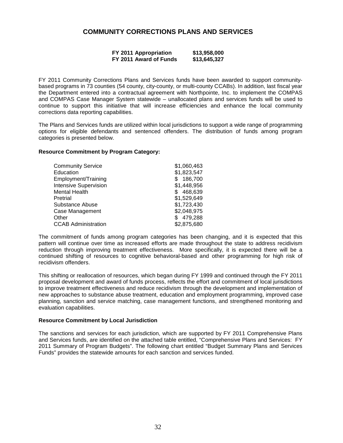## **COMMUNITY CORRECTIONS PLANS AND SERVICES**

| FY 2011 Appropriation  | \$13,958,000 |
|------------------------|--------------|
| FY 2011 Award of Funds | \$13,645,327 |

FY 2011 Community Corrections Plans and Services funds have been awarded to support communitybased programs in 73 counties (54 county, city-county, or multi-county CCABs). In addition, last fiscal year the Department entered into a contractual agreement with Northpointe, Inc. to implement the COMPAS and COMPAS Case Manager System statewide – unallocated plans and services funds will be used to continue to support this initiative that will increase efficiencies and enhance the local community corrections data reporting capabilities.

The Plans and Services funds are utilized within local jurisdictions to support a wide range of programming options for eligible defendants and sentenced offenders. The distribution of funds among program categories is presented below.

#### **Resource Commitment by Program Category:**

| <b>Community Service</b>     | \$1,060,463   |
|------------------------------|---------------|
| Education                    | \$1,823,547   |
| Employment/Training          | 186,700       |
| <b>Intensive Supervision</b> | \$1,448,956   |
| <b>Mental Health</b>         | 468,639<br>S. |
| Pretrial                     | \$1,529,649   |
| Substance Abuse              | \$1,723,430   |
| Case Management              | \$2,048,975   |
| Other                        | 479,288       |
| <b>CCAB Administration</b>   | \$2,875,680   |

The commitment of funds among program categories has been changing, and it is expected that this pattern will continue over time as increased efforts are made throughout the state to address recidivism reduction through improving treatment effectiveness. More specifically, it is expected there will be a continued shifting of resources to cognitive behavioral-based and other programming for high risk of recidivism offenders.

This shifting or reallocation of resources, which began during FY 1999 and continued through the FY 2011 proposal development and award of funds process, reflects the effort and commitment of local jurisdictions to improve treatment effectiveness and reduce recidivism through the development and implementation of new approaches to substance abuse treatment, education and employment programming, improved case planning, sanction and service matching, case management functions, and strengthened monitoring and evaluation capabilities.

#### **Resource Commitment by Local Jurisdiction**

The sanctions and services for each jurisdiction, which are supported by FY 2011 Comprehensive Plans and Services funds, are identified on the attached table entitled, "Comprehensive Plans and Services: FY 2011 Summary of Program Budgets". The following chart entitled "Budget Summary Plans and Services Funds" provides the statewide amounts for each sanction and services funded.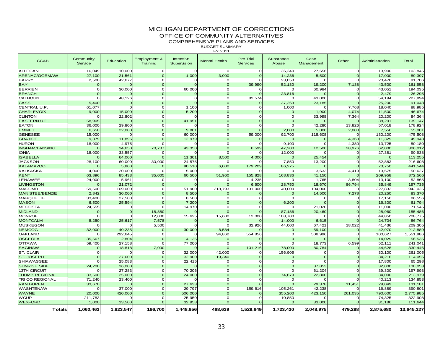## MICHIGAN DEPARTMENT OF CORRECTIONS

OFFICE OF COMMUNITY ALTERNATIVES

COMPREHENSIVE PLANS AND SERVICES

BUDGET SUMMARYFY 2011

| <b>CCAB</b>            | Community<br>Service | Education | Employment &<br>Training | Intensive<br>Supervision | <b>Mental Health</b> | <b>Pre Trial</b><br><b>Services</b> | Substance<br>Abuse | Case<br>Management | Other    | Administration | Total      |
|------------------------|----------------------|-----------|--------------------------|--------------------------|----------------------|-------------------------------------|--------------------|--------------------|----------|----------------|------------|
| <b>ALLEGAN</b>         | 16,049               | 10,000    |                          | $\Omega$                 |                      | $\mathbf 0$                         | 36,240             | 27,656             | $\Omega$ | 13,900         | 103,845    |
| ARENAC/OGEMAW          | 27,100               | 21,561    | $\Omega$                 | 1,000                    | 3,000                | $\Omega$                            | 14,236             | 5,500              | $\Omega$ | 17,000         | 89,397     |
| <b>BARRY</b>           | 2,500                | 42,677    |                          |                          |                      | $\Omega$                            | 23,053             |                    | $\Omega$ | 23,476         | 91,706     |
| <b>BAY</b>             |                      |           |                          |                          |                      | 39,990                              | 52,130             | 19,200             | 7,138    | 43,500         | 161,958    |
| <b>BERRIEN</b>         | O                    | 30,000    |                          | 60,000                   |                      |                                     |                    | 60,984             | $\Omega$ | 43,051         | 194,035    |
| <b>BRANCH</b>          |                      |           |                          |                          |                      |                                     | 23,816             |                    | $\Omega$ | 2,479          | 26,295     |
| CALHOUN                |                      | 48,126    |                          |                          |                      | 82,574                              |                    | 43,000             | O        | 54,194         | 227,894    |
| <b>CASS</b>            | 5,400                |           |                          |                          |                      |                                     | 37,263             | 23,185             |          | 25,200         | 91,048     |
| CENTRAL U.P.           | 61,077               |           |                          | 1,100                    |                      | $\Omega$                            | 1,000              |                    | 7,768    | 18,040         | 88,985     |
| <b>CHARLEVOIX</b>      | 9,000                | 15,000    |                          | 5,200                    |                      |                                     |                    | 1,900              | 4,074    | 11,500         | 46,674     |
| <b>CLINTON</b>         |                      | 22,802    |                          |                          |                      | $\Omega$                            |                    | 33,998             | 7,364    | 20,200         | 84,364     |
| <b>EASTERN U.P.</b>    | 58,905               |           |                          | 41,951                   |                      |                                     |                    |                    |          | 38,291         | 139,147    |
| <b>EATON</b>           | 36,000               | 29,800    |                          |                          |                      |                                     |                    | 42,280             | 13,826   | 57,018         | 178,924    |
| <b>EMMET</b>           | 6,650                | 22,000    |                          | 9,801                    |                      |                                     | 2,000              | 5,000              | 2,000    | 7,550          | 55,001     |
| <b>GENESEE</b>         | 15,000               |           |                          | 60,000                   |                      | 59,000                              | 92,700             | 118,608            |          | 130,200        | 475,508    |
| <b>GRATIOT</b>         | 9,379                | 11,896    |                          | 12,979                   |                      |                                     |                    | $\Omega$           | 4,360    | 11,329         | 49,943     |
| <b>HURON</b>           | 18,000               | 4,975     |                          |                          |                      |                                     | 9,100              |                    | 4,380    | 13,725         | 50,180     |
| <b>INGHAM/LANSING</b>  |                      | 34,650    | 70,737                   | 43,350                   |                      | 6,599                               | 47,200             | 12,500             | 28,976   | 62,000         | 306,012    |
| <b>IONIA</b>           | 18,000               | 33,557    |                          |                          |                      |                                     | 12,000             |                    | $\Omega$ | 27,381         | 90,938     |
| <b>ISABELLA</b>        |                      | 64,000    |                          | 11,301                   | 8,500                | 4,000                               |                    | 25,454             | $\Omega$ | n              | 113,255    |
| <b>JACKSON</b>         | 28,100               | 60,000    | 30,000                   | 24,575                   |                      |                                     | 7,850              | 13,200             | $\Omega$ | 52,883         | 216,608    |
| <b>KALAMAZOO</b>       |                      | 5,800     |                          | 90,510                   | 6,000                | 179,209                             | 86,275             |                    | $\Omega$ | 73,750         | 441,544    |
| <b>KALKASKA</b>        | 4,000                | 20,000    |                          | 5,000                    |                      |                                     |                    | 3,633              | 4,419    | 13,575         | 50,627     |
| <b>KENT</b>            | 63,896               | 85,433    | 35,005                   | 60,500                   | 51,960               | 155,828                             | 168,836            | 41,150             |          | 209,958        | 872,566    |
| LENAWEE                | 24,000               | 5,961     |                          | C                        |                      | 4,235                               |                    | 1,765              | 3,804    | 13,100         | 52,865     |
| <b>LIVINGSTON</b>      |                      | 21,072    |                          |                          |                      | 6,600                               | 28,750             | 18,670             | 86,794   | 35,849         | 197,735    |
| <b>MACOMB</b>          | 59,500               | 109,000   |                          | 51,900                   | 218,793              | 131,000                             | 40,000             | 104,000            |          | 227,832        | 942,025    |
| <b>MANISTEE/BENZIE</b> | 2,842                | 30,000    |                          | 8,500                    |                      |                                     | $\Omega$           | 14,500             | 7,278    | 20,250         | 83,370     |
| <b>MARQUETTE</b>       | 33,400               | 27,500    |                          | 8,500                    |                      | $\cap$                              |                    | ∩                  | $\Omega$ | 17,156         | 86,556     |
| <b>MASON</b>           | 6,500                | 25,594    |                          | 7,200                    |                      |                                     | 6,200              |                    | $\Omega$ | 16,300         | 61,794     |
| <b>MECOSTA</b>         | 24,555               |           |                          | 14,970                   |                      |                                     |                    | 21,020             | $\Omega$ | 11,000         | 71,545     |
| <b>MIDLAND</b>         |                      |           | 18,880                   |                          |                      |                                     | 87,186             | 20,460             | $\Omega$ | 28,960         | 155,486    |
| <b>MONROE</b>          |                      |           | 12,000                   | 15,625                   | 15,600               | 12,000                              | 108,700            |                    | $\Omega$ | 44,850         | 208,775    |
| <b>MONTCALM</b>        | 8,250                | 25,617    | 7,578                    |                          |                      |                                     | 14,000             | 6,615              |          | 24,704         | 86,764     |
| <b>MUSKEGON</b>        |                      |           | 5,500                    |                          |                      | 32,926                              | 44,000             | 67,421             | 18,022   | 41,436         | 209,305    |
| <b>NEMCOG</b>          | 32,000               | 40,235    |                          | 30,000                   | 8,584                |                                     | $\Omega$           | 59,100             | $\Omega$ | 42,970         | 212,889    |
| <b>OAKLAND</b>         |                      | 292,645   |                          |                          | 94,862               | 554,856                             |                    | 508,996            | $\Omega$ | 100,627        | 1,551,986  |
| <b>OSCEOLA</b>         | 35,567               | 2,804     |                          | 4,135                    |                      |                                     |                    |                    | $\Omega$ | 14,029         | 56,535     |
| <b>OTTAWA</b>          | 59,400               | 27,158    |                          | 77,000                   |                      |                                     |                    | 18,773             | 6,599    | 52,111         | 241,041    |
| <b>SAGINAW</b>         |                      | 18,818    | 7,000                    |                          |                      | 101,216                             | 78,000             | 80,784             | $\Omega$ | 44,628         | 330,446    |
| ST. CLAIR              | ∩                    |           |                          | 32,000                   | 42.000               | $\Omega$                            | 156,905            | $\Omega$           | $\Omega$ | 30,100         | 261,005    |
| ST. JOSEPH             |                      | 27,600    |                          | 32,900                   | 19,340               |                                     |                    | $\Omega$           |          | 34,216         | 114,056    |
| <b>SHIAWASSEE</b>      |                      | 25,083    |                          | 22,415                   |                      |                                     |                    |                    | $\Omega$ | 17,800         | 65,298     |
| <b>SUNRISE SIDE</b>    | 24,200               | 36,000    |                          |                          |                      |                                     |                    | 37,853             | $\Omega$ | 32,000         | 130,053    |
| <b>13TH CIRCUIT</b>    |                      | 27,283    |                          | 70,206                   |                      | $\cap$                              |                    | 61,204             | $\Omega$ | 39,300         | 197,993    |
| <b>THUMB REGIONAL</b>  | 33,500               | 25,000    |                          | 24,000                   |                      |                                     | 74,679             | 22,800             | $\Omega$ | 34,000         | 213,979    |
| TRI CO REGIONAL        | 71,240               | 23,400    |                          |                          |                      |                                     |                    |                    | $\Omega$ | 40,213         | 134,853    |
| <b>VAN BUREN</b>       | 33,670               |           |                          | 27,633                   |                      |                                     |                    | 29,378             | 11,451   | 29,049         | 131,181    |
| WASHTENAW              |                      | 37,000    |                          | 29,797                   |                      | 159,616                             | 105,261            | 42,238             |          | 16,889         | 390,801    |
| <b>WAYNE</b>           | 20,000               | 420,000   |                          | 506,000                  |                      |                                     | 355,200            | 423,150            | 261,035  | 790,600        | 2,775,985  |
| <b>WCUP</b>            | 211,783              |           |                          | 25,950                   |                      | $\Omega$                            | 10,850             |                    |          | 74,325         | 322,908    |
| <b>WEXFORD</b>         | 1,000                | 13,500    |                          | 32,958                   |                      |                                     | $\Omega$           | 33,000             |          | 31,186         | 111,644    |
| <b>Totals</b>          | 1.060.463            | 1,823,547 | 186.700                  | 1.448.956                | 468.639              | 1.529.649                           | 1,723,430          | 2,048,975          | 479.288  | 2.875.680      | 13,645,327 |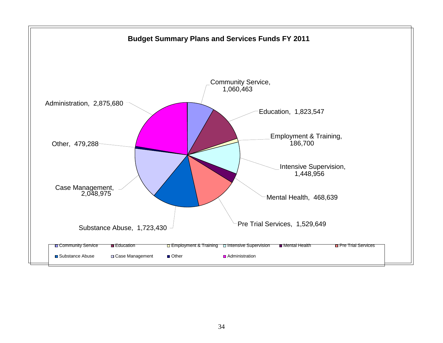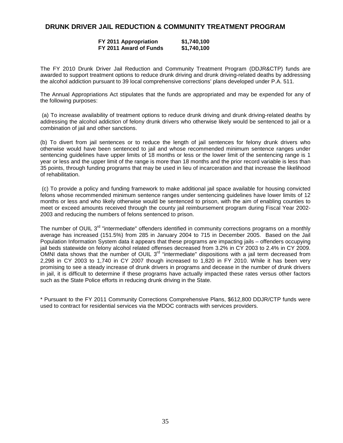## **DRUNK DRIVER JAIL REDUCTION & COMMUNITY TREATMENT PROGRAM**

### **FY 2011 Appropriation \$1,740,100 FY 2011 Award of Funds \$1,740,100**

The FY 2010 Drunk Driver Jail Reduction and Community Treatment Program (DDJR&CTP) funds are awarded to support treatment options to reduce drunk driving and drunk driving-related deaths by addressing the alcohol addiction pursuant to 39 local comprehensive corrections' plans developed under P.A. 511.

The Annual Appropriations Act stipulates that the funds are appropriated and may be expended for any of the following purposes:

 (a) To increase availability of treatment options to reduce drunk driving and drunk driving-related deaths by addressing the alcohol addiction of felony drunk drivers who otherwise likely would be sentenced to jail or a combination of jail and other sanctions.

(b) To divert from jail sentences or to reduce the length of jail sentences for felony drunk drivers who otherwise would have been sentenced to jail and whose recommended minimum sentence ranges under sentencing guidelines have upper limits of 18 months or less or the lower limit of the sentencing range is 1 year or less and the upper limit of the range is more than 18 months and the prior record variable is less than 35 points, through funding programs that may be used in lieu of incarceration and that increase the likelihood of rehabilitation.

 (c) To provide a policy and funding framework to make additional jail space available for housing convicted felons whose recommended minimum sentence ranges under sentencing guidelines have lower limits of 12 months or less and who likely otherwise would be sentenced to prison, with the aim of enabling counties to meet or exceed amounts received through the county jail reimbursement program during Fiscal Year 2002- 2003 and reducing the numbers of felons sentenced to prison.

The number of OUIL 3<sup>rd</sup> "intermediate" offenders identified in community corrections programs on a monthly average has increased (151.5%) from 285 in January 2004 to 715 in December 2005. Based on the Jail Population Information System data it appears that these programs are impacting jails – offenders occupying jail beds statewide on felony alcohol related offenses decreased from 3.2% in CY 2003 to 2.4% in CY 2009. OMNI data shows that the number of OUIL 3rd "intermediate" dispositions with a jail term decreased from 2,298 in CY 2003 to 1,740 in CY 2007 though increased to 1,820 in FY 2010. While it has been very promising to see a steady increase of drunk drivers in programs and decease in the number of drunk drivers in jail, it is difficult to determine if these programs have actually impacted these rates versus other factors such as the State Police efforts in reducing drunk driving in the State.

\* Pursuant to the FY 2011 Community Corrections Comprehensive Plans, \$612,800 DDJR/CTP funds were used to contract for residential services via the MDOC contracts with services providers.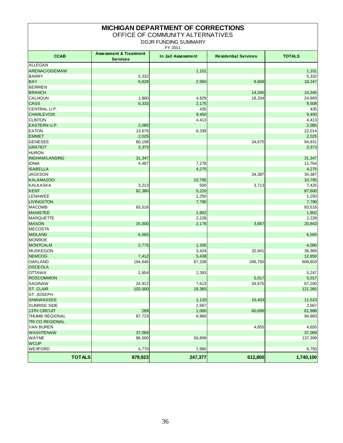| <b>MICHIGAN DEPARTMENT OF CORRECTIONS</b><br>OFFICE OF COMMUNITY ALTERNATIVES<br><b>DDJR FUNDING SUMMARY</b><br>FY 2011 |                                                      |                    |                             |               |  |  |  |  |  |
|-------------------------------------------------------------------------------------------------------------------------|------------------------------------------------------|--------------------|-----------------------------|---------------|--|--|--|--|--|
| <b>CCAB</b>                                                                                                             | <b>Assessment &amp; Treatment</b><br><b>Services</b> | In Jail Assessment | <b>Residential Services</b> | <b>TOTALS</b> |  |  |  |  |  |
| ALLEGAN                                                                                                                 |                                                      |                    |                             |               |  |  |  |  |  |
| ARENAC/OGEMAW                                                                                                           |                                                      | 1,101              |                             | 1,101         |  |  |  |  |  |
| <b>BARRY</b>                                                                                                            | 5,332                                                |                    |                             | 5,332         |  |  |  |  |  |
| <b>BAY</b>                                                                                                              | 6,628                                                | 2,950              | 8,669                       | 18,247        |  |  |  |  |  |
| <b>BERRIEN</b>                                                                                                          |                                                      |                    |                             |               |  |  |  |  |  |
| <b>BRANCH</b>                                                                                                           |                                                      |                    | 14,345                      | 14,345        |  |  |  |  |  |
| <b>CALHOUN</b>                                                                                                          | 1,860                                                | 4,829              | 18,204                      | 24,893        |  |  |  |  |  |
| <b>CASS</b>                                                                                                             | 6,333                                                | 2,175              |                             | 8,508         |  |  |  |  |  |
| CENTRAL U.P.                                                                                                            |                                                      | 435                |                             | 435           |  |  |  |  |  |
| <b>CHARLEVOIX</b>                                                                                                       |                                                      | 9,450              |                             | 9,450         |  |  |  |  |  |
| <b>CLINTON</b>                                                                                                          |                                                      | 4,413              |                             | 4,413         |  |  |  |  |  |
| <b>EASTERN U.P.</b>                                                                                                     | 2,085                                                |                    |                             | 2,085         |  |  |  |  |  |
| <b>EATON</b>                                                                                                            | 13,675                                               | 8,339              |                             | 22,014        |  |  |  |  |  |
| <b>EMMET</b>                                                                                                            | 2,025                                                |                    |                             | 2,025         |  |  |  |  |  |
| <b>GENESEE</b>                                                                                                          | 60,156                                               |                    | 34,675                      | 94,831        |  |  |  |  |  |
| <b>GRATIOT</b>                                                                                                          | 3,373                                                |                    |                             | 3,373         |  |  |  |  |  |
| <b>HURON</b>                                                                                                            |                                                      |                    |                             |               |  |  |  |  |  |
| <b>INGHAM/LANSING</b>                                                                                                   | 31,347                                               |                    |                             | 31,347        |  |  |  |  |  |
| <b>IONIA</b>                                                                                                            | 4,487                                                | 7,278              |                             | 11,764        |  |  |  |  |  |
| <b>ISABELLA</b>                                                                                                         |                                                      | 4,275              |                             | 4,275         |  |  |  |  |  |
| <b>JACKSON</b>                                                                                                          |                                                      |                    | 34,387                      | 34,387        |  |  |  |  |  |
| <b>KALAMAZOO</b>                                                                                                        |                                                      | 10,795             |                             | 10,795        |  |  |  |  |  |
| <b>KALKASKA</b>                                                                                                         | 3,213                                                | 500                | 3,713                       | 7,425         |  |  |  |  |  |
| <b>KENT</b>                                                                                                             | 82,380                                               | 5,220              |                             | 87,600        |  |  |  |  |  |
| LENAWEE                                                                                                                 |                                                      | 1,250              |                             | 1,250         |  |  |  |  |  |
| <b>LIVINGSTON</b>                                                                                                       |                                                      | 7,790              |                             | 7,790         |  |  |  |  |  |
| <b>MACOMB</b>                                                                                                           | 83,516                                               |                    |                             | 83,516        |  |  |  |  |  |
| <b>MANISTEE</b>                                                                                                         |                                                      | 1,902              |                             | 1,902         |  |  |  |  |  |
| <b>MARQUETTE</b>                                                                                                        |                                                      | 2,228              |                             | 2,228         |  |  |  |  |  |
| <b>MASON</b>                                                                                                            | 15,000                                               | 2,176              | 3,667                       | 20,843        |  |  |  |  |  |
| <b>MECOSTA</b>                                                                                                          |                                                      |                    |                             |               |  |  |  |  |  |
| <b>MIDLAND</b>                                                                                                          | 6,565                                                |                    |                             | 6,565         |  |  |  |  |  |
| <b>MONROE</b>                                                                                                           |                                                      |                    |                             |               |  |  |  |  |  |
| <b>MONTCALM</b>                                                                                                         | 2,775                                                | 1,305              |                             | 4,080         |  |  |  |  |  |
| <b>MUSKEGON</b>                                                                                                         |                                                      | 3,424              | 32,941                      | 36,365        |  |  |  |  |  |
| <b>NEMCOG</b>                                                                                                           | 7,412                                                | 5,438              |                             | 12,850        |  |  |  |  |  |
| <b>OAKLAND</b>                                                                                                          | 194,645                                              | 67,208             | 346,750                     | 608,603       |  |  |  |  |  |
| <b>OSCEOLA</b>                                                                                                          |                                                      |                    |                             |               |  |  |  |  |  |
| <b>OTTAWA</b>                                                                                                           | 2,854                                                | 2,393              |                             | 5,247         |  |  |  |  |  |
| <b>ROSCOMMON</b>                                                                                                        |                                                      |                    | 5,017                       | 5,017         |  |  |  |  |  |
| <b>SAGINAW</b>                                                                                                          | 24,912                                               | 7,613              | 34,675                      | 67,200        |  |  |  |  |  |
| <b>ST. CLAIR</b>                                                                                                        | 103,000                                              | 18,365             |                             | 121,365       |  |  |  |  |  |
| ST. JOSEPH                                                                                                              |                                                      |                    |                             |               |  |  |  |  |  |
| <b>SHIAWASSEE</b>                                                                                                       |                                                      | 1,120              | 10,403                      | 11,523        |  |  |  |  |  |
| <b>SUNRISE SIDE</b>                                                                                                     |                                                      | 2,567              |                             | 2,567         |  |  |  |  |  |
| 13TH CIRCUIT                                                                                                            | 289                                                  | 1,000              | 60,699                      | 61,988        |  |  |  |  |  |
| <b>THUMB REGIONAL</b>                                                                                                   | 87,723                                               | 6,960              |                             | 94,683        |  |  |  |  |  |
| <b>TRI CO REGIONAL</b>                                                                                                  |                                                      |                    |                             |               |  |  |  |  |  |
| <b>VAN BUREN</b>                                                                                                        |                                                      |                    | 4,655                       | 4,655         |  |  |  |  |  |
| <b>WASHTENAW</b>                                                                                                        | 37,069                                               |                    |                             | 37,069        |  |  |  |  |  |
| <b>WAYNE</b>                                                                                                            | 86,500                                               | 50,899             |                             | 137,399       |  |  |  |  |  |
| <b>WCUP</b>                                                                                                             |                                                      |                    |                             |               |  |  |  |  |  |
| <b>WEXFORD</b>                                                                                                          | 4,770                                                | 1,980              |                             | 6,750         |  |  |  |  |  |
| <b>TOTALS</b>                                                                                                           | 879,923                                              | 247,377            | 612,800                     | 1,740,100     |  |  |  |  |  |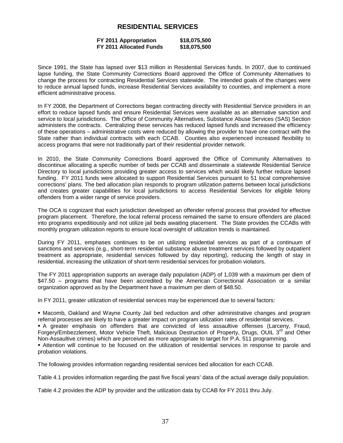## **RESIDENTIAL SERVICES**

#### **FY 2011 Appropriation \$18,075,500 FY 2011 Allocated Funds**

Since 1991, the State has lapsed over \$13 million in Residential Services funds. In 2007, due to continued lapse funding, the State Community Corrections Board approved the Office of Community Alternatives to change the process for contracting Residential Services statewide. The intended goals of the changes were to reduce annual lapsed funds, increase Residential Services availability to counties, and implement a more efficient administrative process.

In FY 2008, the Department of Corrections began contracting directly with Residential Service providers in an effort to reduce lapsed funds and ensure Residential Services were available as an alternative sanction and service to local jurisdictions. The Office of Community Alternatives, Substance Abuse Services (SAS) Section administers the contracts. Centralizing these services has reduced lapsed funds and increased the efficiency of these operations – administrative costs were reduced by allowing the provider to have one contract with the State rather than individual contracts with each CCAB. Counties also experienced increased flexibility to access programs that were not traditionally part of their residential provider network.

In 2010, the State Community Corrections Board approved the Office of Community Alternatives to discontinue allocating a specific number of beds per CCAB and disseminate a statewide Residential Service Directory to local jurisdictions providing greater access to services which would likely further reduce lapsed funding. FY 2011 funds were allocated to support Residential Services pursuant to 51 local comprehensive corrections' plans. The bed allocation plan responds to program utilization patterns between local jurisdictions and creates greater capabilities for local jurisdictions to access Residential Services for eligible felony offenders from a wider range of service providers.

The OCA is cognizant that each jurisdiction developed an offender referral process that provided for effective program placement. Therefore, the local referral process remained the same to ensure offenders are placed into programs expeditiously and not utilize jail beds awaiting placement. The State provides the CCABs with monthly program utilization reports to ensure local oversight of utilization trends is maintained.

During FY 2011, emphases continues to be on utilizing residential services as part of a continuum of sanctions and services (e.g., short-term residential substance abuse treatment services followed by outpatient treatment as appropriate, residential services followed by day reporting), reducing the length of stay in residential, increasing the utilization of short-term residential services for probation violators.

The FY 2011 appropriation supports an average daily population (ADP) of 1,039 with a maximum per diem of \$47.50 – programs that have been accredited by the American Correctional Association or a similar organization approved as by the Department have a maximum per diem of \$48.50.

In FY 2011, greater utilization of residential services may be experienced due to several factors:

 Macomb, Oakland and Wayne County Jail bed reduction and other administrative changes and program referral processes are likely to have a greater impact on program utilization rates of residential services.

 A greater emphasis on offenders that are convicted of less assaultive offenses (Larceny, Fraud, Forgery/Embezzlement, Motor Vehicle Theft, Malicious Destruction of Property, Drugs, OUIL 3<sup>rd</sup> and Other Non-Assaultive crimes) which are perceived as more appropriate to target for P.A. 511 programming.

 Attention will continue to be focused on the utilization of residential services in response to parole and probation violations.

The following provides information regarding residential services bed allocation for each CCAB.

Table 4.1 provides information regarding the past five fiscal years' data of the actual average daily population.

Table 4.2 provides the ADP by provider and the utilization data by CCAB for FY 2011 thru July.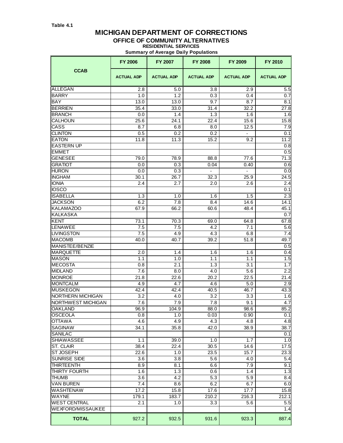## **MICHIGAN DEPARTMENT OF CORRECTIONS**

## **OFFICE OF COMMUNITY ALTERNATIVES**

**RESIDENTIAL SERVICES Summary of Average Daily Populations**

|                           | <b>FY 2006</b>    | FY 2007           | <b>FY 2008</b>    | FY 2009           | <b>FY 2010</b>    |
|---------------------------|-------------------|-------------------|-------------------|-------------------|-------------------|
| <b>CCAB</b>               | <b>ACTUAL ADP</b> | <b>ACTUAL ADP</b> | <b>ACTUAL ADP</b> | <b>ACTUAL ADP</b> | <b>ACTUAL ADP</b> |
| ALLEGAN                   | 2.8               | 5.0               | 3.8               | 2.9               | 5.5               |
| <b>BARRY</b>              | 1.0               | 1.2               | 0.3               | 0.4               | 0.7               |
| BAY                       | 13.0              | 13.0              | 9.7               | 8.7               | 8.1               |
| <b>BERRIEN</b>            | 35.4              | 33.0              | 31.4              | 32.2              | 27.8              |
| <b>BRANCH</b>             | 0.0               | 1.4               | 1.3               | 1.6               | 1.6               |
| <b>CALHOUN</b>            | 25.6              | 24.1              | 22.4              | 15.6              | 15.8              |
| CASS                      | 8.7               | 6.8               | 8.0               | 12.5              | 7.9               |
| <b>CLINTON</b>            | 0.5               | 0.2               | 0.2               | $\blacksquare$    | 0.1               |
| <b>EATON</b>              | 11.8              | 11.3              | 15.2              | 9.2               | 11.2              |
| <b>EASTERN UP</b>         |                   |                   |                   |                   | 0.8               |
| <b>EMMET</b>              |                   |                   |                   |                   | 0.5               |
| <b>GENESEE</b>            | 79.0              | 78.9              | 88.8              | 77.6              | 71.3              |
| <b>GRATIOT</b>            | 0.0               | 0.3               | 0.04              | 0.40              | 0.6               |
| <b>HURON</b>              | 0.0               | 0.3               | $\overline{a}$    | ÷.                | 0.0               |
| <b>INGHAM</b>             | 30.1              | 26.7              | 32.3              | 25.9              | 24.5              |
| <b>IONIA</b>              | 2.4               | 2.7               | 2.0               | 2.6               | 2.4               |
| <b>IOSCO</b>              |                   |                   |                   |                   | 0.1               |
| <b>ISABELLA</b>           | 1.3               | 1.0               | 1.6               | 1.5               | 2.3               |
| <b>JACKSON</b>            | 6.2               | 7.8               | 8.4               | 14.6              | 14.1              |
| <b>KALAMAZOO</b>          | 67.9              | 66.2              | 60.6              | 48.4              | 45.1              |
| <b>KALKASKA</b>           |                   |                   |                   |                   | 0.7               |
| <b>KENT</b>               | 73.1              | 70.3              | 69.0              | 64.8              | 67.8              |
| LENAWEE                   | 7.5               | 7.5               | 4.2               | 7.1               | 5.6               |
| <b>LIVINGSTON</b>         | 7.5               | 4.9               | 4.3               | 6.8               | 7.4               |
| MACOMB                    | 40.0              | 40.7              | 39.2              | 51.8              | 49.7              |
| MANISTEE/BENZIE           |                   |                   |                   |                   | 0.5               |
| <b>MARQUETTE</b>          | 2.0               | 1.4               | 1.6               | 1.6               | 0.4               |
| <b>MASON</b>              | 1.1               | 1.0               | 1.1               | 1.1               | 1.5               |
| <b>MECOSTA</b>            | 0.8               | 2.1               | 1.3               | 3.1               | 1.7               |
| <b>MIDLAND</b>            | 7.6               | 8.0               | 4.0               | 5.6               | 2.2               |
| <b>MONROE</b>             | 21.8              | 22.6              | 20.2              | 22.5              | 21.4              |
| <b>MONTCALM</b>           | 4.9               | 4.7               | 4.6               | 5.0               | 2.9               |
| <b>MUSKEGON</b>           | 42.4              | 42.4              | 40.5              | 46.7              | 43.3              |
| NORTHERN MICHIGAN         | 3.2               | 4.0               | 3.2               | 3.3               | 1.6               |
| <b>NORTHWEST MICHIGAN</b> | 7.6               | 7.9               | 7.8               | 9.1               | 4.7               |
| <b>OAKLAND</b>            | 96.9              | 104.9             | 88.0              | 98.6              | 85.2              |
| <b>OSCEOLA</b>            | 0.8               | 1.0               | 0.03              | 0.90              | 0.1               |
| <b>OTTAWA</b>             | 4.6               | 4.9               | 4.3               | 4.8               | 4.8               |
| <b>SAGINAW</b>            | 34.1              | 35.8              | 42.0              | 38.9              | 38.7              |
| SANILAC                   |                   |                   |                   |                   | 0.1               |
| <b>SHIAWASSEE</b>         | 1.1               | 39.0              | 1.0               | 1.7               | 1.0               |
| <b>ST. CLAIR</b>          | 38.4              | 22.4              | 30.5              | 14.6              | 17.5              |
| <b>ST JOSEPH</b>          | 22.6              | 1.0               | 23.5              | 15.7              | 23.3              |
| <b>SUNRISE SIDE</b>       | 3.6               | 3.8               | 5.6               | 4.0               | 5.4               |
| <b>THIRTEENTH</b>         | 8.9               | 8.1               | 6.6               | 7.9               | 9.1               |
| THIRTY FOURTH             | 1.6               | 1.3               | 0.6               | 1.4               | 1.3               |
| <b>THUMB</b>              | 3.6               | 4.2               | 5.3               | 5.9               | 8.4               |
| <b>VAN BUREN</b>          | 7.4               | 8.6               | 6.2               | 6.7               | 6.0               |
| <b>WASHTENAW</b>          | 17.2              | 15.8              | 17.6              | 17.7              | 15.8              |
| <b>WAYNE</b>              | 179.1             | 183.7             | 210.2             | 216.3             | 212.1             |
| <b>WEST CENTRAL</b>       | 2.1               | 1.0               | 3.3               | 5.6               | 5.5               |
| <b>WEXFORD/MISSAUKEE</b>  |                   |                   |                   |                   | 1.4               |
| <b>TOTAL</b>              | 927.2             | 932.5             | 931.6             | 923.3             | 887.4             |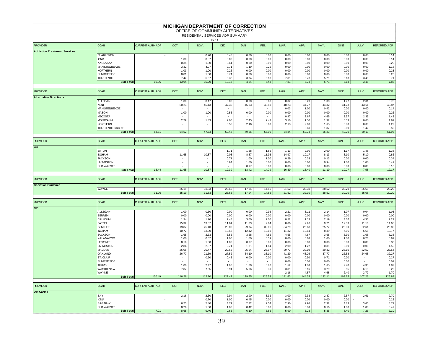|                                     |                                        |                         | <b>MICHIGAN DEPARTMENT OF CORRECTION</b> | OFFICE OF COMMUNITY ALTERNATIVES<br>RESIDENTIAL SERVICES ADP SUMMARY |                          |                |                |                |                |               |                |                |                     |
|-------------------------------------|----------------------------------------|-------------------------|------------------------------------------|----------------------------------------------------------------------|--------------------------|----------------|----------------|----------------|----------------|---------------|----------------|----------------|---------------------|
| <b>PROVIDER</b>                     | <b>CCAB</b>                            | <b>CURRENT AUTH ADF</b> | OCT.                                     | NOV.                                                                 | FY 11<br>DEC.            | JAN.           | FEB.           | MAR.           | APR.           | MAY.          | <b>JUNE</b>    | <b>JULY</b>    | <b>REPORTED ADP</b> |
| <b>Addiction Treatment Services</b> |                                        |                         |                                          |                                                                      |                          |                |                |                |                |               |                |                |                     |
|                                     | <b>CHARLEVOIX</b>                      |                         |                                          | 0.90                                                                 | 0.48                     | 0.00           | 0.00           | 0.00           | 0.00           | 0.00          | 0.00           | 0.00           | 0.14                |
|                                     | <b>IONIA</b>                           |                         | 1.00                                     | 0.37                                                                 | 0.00                     | 0.00           | 0.00           | 0.00           | 0.00           | 0.00          | 0.00           | 0.00           | 0.14                |
|                                     | <b>KALKASKA</b><br>MANISTEE/BENZIE     |                         | 0.35<br>3.32                             | 1.00<br>4.27                                                         | 0.61<br>2.71             | 0.00           | 0.00<br>0.25   | 0.00           | 0.00           | 0.00          | 0.00           | 0.00<br>0.00   | 0.20<br>1.18        |
|                                     | <b>NORTHERN</b>                        |                         | 1.03                                     | 1.00                                                                 | 0.26                     | 1.19<br>0.00   | 0.00           | 0.00<br>0.00   | 0.00<br>0.00   | 0.00<br>0.00  | 0.00<br>0.00   | 0.00           | 0.23                |
|                                     | SUNRISE SIDE                           |                         | 0.81                                     | 1.00                                                                 | 0.74                     | 0.00           | 0.00           | 0.00           | 0.00           | 0.00          | 0.00           | 0.00           | 0.26                |
|                                     | <b>THIRTEENTH</b>                      |                         | 7.42                                     | 6.67                                                                 | 5.32                     | 3.74           | 6.18           | 7.81           | 5.73           | 5.71          | 5.13           | 3.45           | 5.71                |
|                                     | <b>Sub Total</b>                       | 10.06                   | 13.94                                    | 15.20                                                                | 10.13                    | 4.94           | 6.43           | 7.81           | 5.73           | 5.71          | 5.13           | 3.45           | 7.85                |
|                                     |                                        |                         |                                          |                                                                      |                          |                |                |                |                |               |                |                |                     |
| <b>PROVIDER</b>                     | <b>CCAB</b>                            | <b>CURRENT AUTH ADF</b> | OCT.                                     | NOV.                                                                 | DEC.                     | JAN.           | FEB.           | MAR.           | APR.           | MAY.          | <b>JUNE</b>    | <b>JULY</b>    | <b>REPORTED ADP</b> |
| <b>Alternative Directions</b>       |                                        |                         |                                          |                                                                      |                          |                |                |                |                |               |                |                |                     |
|                                     | ALLEGAN                                |                         | 1.00                                     | 0.17                                                                 | 0.00                     | 0.00           | 0.68           | 0.32           | 0.20           | 1.00          | 1.27           | 2.81           | 0.75                |
|                                     | <b>KENT</b>                            |                         | 50.23                                    | 45.13                                                                | 47.35                    | 45.03          | 48.89          | 48.23          | 44.77          | 44.32         | 41.23          | 43.61          | 45.87               |
|                                     | MANISTEE/BENZIE                        |                         |                                          |                                                                      |                          |                |                | 0.03           | 1.00           | 0.42          | 0.00           | 0.00           | 0.14                |
|                                     | <b>MASON</b>                           |                         | 1.00                                     | 1.00                                                                 | 0.55                     | 0.00           | 0.00           | 0.00           | 0.00           | 0.00          | 0.00           | 0.00           | 0.26                |
|                                     | <b>MECOSTA</b>                         |                         |                                          |                                                                      | $\overline{\phantom{a}}$ |                |                | 0.97           | 2.67           | 4.65          | 3.57           | 2.35           | 1.43                |
|                                     | <b>MONTCALM</b><br><b>NORTHERN</b>     |                         | 2.29                                     | 1.43                                                                 | 2.00                     | 2.45           | 2.43           | 3.16           | 1.50<br>2.00   | 1.32<br>1.65  | 0.33<br>0.80   | 0.00<br>0.00   | 1.69                |
|                                     | THIRTEENTH CIRCUIT                     |                         | $\overline{\phantom{a}}$                 |                                                                      | 0.58                     | 2.16           | 3.00           | 2.13           | 0.60           | 1.87          | 2.00           | 1.42           | 1.22<br>0.59        |
|                                     | <b>Sub Total</b>                       | 54.51                   | 54.52                                    | 47.73                                                                | 50.48                    | 49.65          | 55.00          | 54.84          | 52.73          | 55.23         | 49.20          | 50.19          | 51.95               |
|                                     |                                        |                         |                                          |                                                                      |                          |                |                |                |                |               |                |                |                     |
| <b>PROVIDER</b>                     | <b>CCAB</b>                            | <b>CURRENT AUTH ADP</b> | OCT.                                     | NOV.                                                                 | DEC.                     | JAN.           | FEB.           | MAR.           | APR.           | MAY.          | <b>JUNE</b>    | <b>JULY</b>    | <b>REPORTED ADP</b> |
| <b>CE</b>                           |                                        |                         |                                          |                                                                      |                          |                |                |                |                |               |                |                |                     |
|                                     | <b>EATON</b>                           |                         |                                          |                                                                      | 1.71                     | 1.58           | 1.86           | 1.13           | 2.90           | 2.00          | 1.17           | 1.48           | 1.38                |
|                                     | <b>INGHAM</b>                          |                         | 11.65                                    | 10.87                                                                | 9.03                     | 8.87           | 11.93          | 14.97          | 10.17          | 8.13          | 8.10           | 5.10           | 9.86                |
|                                     | <b>JACKSON</b>                         |                         |                                          |                                                                      | 0.71                     | 1.00           | 1.00           | 0.29           | 0.33           | 0.13          | 0.00           | 0.00           | 0.34                |
|                                     | <b>LIVINGSTON</b>                      |                         |                                          |                                                                      | 0.94                     | 1.00           | 0.00           | 0.00           | 0.00           | 0.94          | 1.00           | 1.00           | 0.49                |
|                                     | <b>SHIA WASSEE</b><br><b>Sub Total</b> | 13.44                   | 11.65                                    | 10.87                                                                | 12.39                    | 0.97<br>13.42  | 0.00<br>14.79  | 0.00<br>16.39  | 0.00<br>13.40  | 0.00<br>11.19 | 0.00<br>10.27  | 0.00<br>7.58   | 0.10<br>12.17       |
|                                     |                                        |                         |                                          |                                                                      |                          |                |                |                |                |               |                |                |                     |
|                                     |                                        |                         |                                          |                                                                      |                          |                |                |                |                |               |                |                |                     |
|                                     |                                        |                         |                                          |                                                                      |                          |                |                |                |                |               |                |                |                     |
| <b>PROVIDER</b>                     | <b>CCAB</b>                            | <b>CURRENT AUTH ADP</b> | OCT.                                     | NOV.                                                                 | DEC.                     | JAN.           | FEB.           | MAR.           | APR.           | MAY.          | <b>JUNE</b>    | <b>JULY</b>    | <b>REPORTED ADP</b> |
| <b>Christian Guidance</b>           |                                        |                         |                                          |                                                                      |                          |                |                |                |                |               |                |                |                     |
|                                     | <b>WAYNE</b>                           |                         | 35.19                                    | 31.83                                                                | 23.65                    | 17.94          | 14.86          | 21.52          | 32.30          | 38.52         | 39.70          | 35.68          | 29.20               |
|                                     | <b>Sub Total</b>                       | 31.26                   | 35.19                                    | 31.83                                                                | 23.65                    | 17.94          | 14.86          | 21.52          | 32.30          | 38.52         | 39.70          | 35.68          | 29.20               |
|                                     |                                        |                         |                                          |                                                                      |                          |                |                |                |                |               |                |                |                     |
| <b>PROVIDER</b>                     | <b>CCAB</b>                            | <b>CURRENT AUTH ADP</b> | OCT.                                     | NOV.                                                                 | DEC.                     | JAN.           | FEB.           | MAR.           | APR.           | MAY.          | <b>JUNE</b>    | <b>JULY</b>    | <b>REPORTED ADP</b> |
| <b>CPI</b>                          |                                        |                         |                                          |                                                                      |                          |                |                |                |                |               |                |                |                     |
|                                     | ALLEGAN                                |                         | 1.00                                     | 0.50                                                                 | 0.00                     | 0.00           | 0.96           | 2.21           | 3.11           | 2.14          | 1.07           | 0.04           | 1.03                |
|                                     | <b>BERRIEN</b>                         |                         | 0.00                                     | 0.00                                                                 | 0.00                     | 0.00           | 0.00           | 0.00           | 0.00           | 0.00          | 0.00           | 0.00           | 0.00                |
|                                     | CALHOUN                                |                         | 1.94                                     | 1.20                                                                 | 2.48                     | 3.00           | 2.00           | 0.52           | 1.13           | 2.19          | 4.07           | 4.35           | 2.29                |
|                                     | <b>EATON</b><br><b>GENESEE</b>         |                         | 15.32<br>19.87                           | 13.57<br>25.40                                                       | 11.61                    | 11.03          | 9.64           | 8.06           | 7.97           | 9.71          | 12.33<br>20.39 | 11.16<br>22.61 | 11.05               |
|                                     | <b>INGHAM</b>                          |                         | 10.77                                    | 13.00                                                                | 28.00<br>13.58           | 29.74<br>12.42 | 32.06<br>10.19 | 34.29<br>11.32 | 25.68<br>12.61 | 25.77<br>8.39 | 7.06           | 6.65           | 26.82<br>10.77      |
|                                     | <b>JACKSON</b>                         |                         | 1.65                                     | 2.33                                                                 | 3.55                     | 3.68           | 4.86           | 4.55           | 4.67           | 3.68          | 3.30           | 1.68           | 3.38                |
|                                     | KALAMAZOO                              |                         | 1.00                                     | 0.57                                                                 | 1.00                     | 1.00           | 0.39           | 0.06           | 0.63           | 1.00          | 1.00           | 0.26           | 0.69                |
|                                     | <b>LENAWEE</b>                         |                         | 0.16                                     | 1.00                                                                 | 1.00                     | 0.77           | 0.00           | 0.00           | 0.00           | 0.00          | 0.00           | 0.00           | 0.30                |
|                                     | <b>LIVINGSTON</b>                      |                         | 2.84                                     | 2.57                                                                 | 2.71                     | 1.81           | 1.14           | 2.00           | 1.27           | 0.81          | 0.00           | 0.00           | 1.52                |
|                                     | <b>MACOMB</b>                          |                         | 26.06                                    | 20.47                                                                | 22.65                    | 25.94          | 26.97          | 29.77          | 32.10          | 30.32         | 25.10          | 22.52          | 26.64               |
|                                     | <b>OAKLAND</b><br>ST. CLAIR            |                         | 26.77                                    | 21.39<br>0.60                                                        | 27.52<br>0.48            | 34.10<br>0.00  | 33.10<br>0.00  | 41.29<br>0.00  | 43.26<br>0.90  | 37.77<br>0.71 | 26.58<br>0.00  | 24.68          | 32.27<br>0.27       |
|                                     | SUNRISE SIDE                           |                         |                                          |                                                                      |                          |                |                | 0.06           | 0.00           | 0.00          | 0.00           | $\overline{a}$ | 0.01                |
|                                     | <b>THUMB</b>                           |                         | 1.00                                     | 2.47                                                                 | 1.90                     | 1.00           | 0.82           | 1.52           | 1.00           | 1.65          | 2.40           | 4.35           | 1.82                |
|                                     | <b>WASHTENAW</b>                       |                         | 7.87                                     | 7.65                                                                 | 5.94                     | 5.06           | 3.39           | 3.81           | 5.16           | 3.29          | 3.55           | 6.19           | 5.29                |
|                                     | WAYNE                                  |                         |                                          |                                                                      |                          |                |                | 2.16           | 4.87           | 4.68          | 2.40           | 2.77           | 1.70                |
|                                     | <b>Sub Total</b>                       | 130.49                  | 116.26                                   | 112.70                                                               | 122.42                   | 129.55         | 125.53         | 141.63         | 144.35         | 132.11        | 109.25         | 107.26         | 125.84              |
| <b>PROVIDER</b>                     | <b>CCAB</b>                            | <b>CURRENT AUTH ADP</b> | OCT.                                     | NOV.                                                                 | DEC.                     | JAN.           | FEB.           | MAR.           | APR.           | MAY.          | <b>JUNE</b>    | <b>JULY</b>    | <b>REPORTED ADP</b> |
|                                     |                                        |                         |                                          |                                                                      |                          |                |                |                |                |               |                |                |                     |
| <b>Dot Caring</b>                   | <b>BAY</b>                             |                         | 2.16                                     | 2.30                                                                 | 2.94                     | 2.90           | 3.32           | 3.00           | 2.33           | 2.87          | 2.57           | 2.61           | 2.70                |
|                                     | <b>IONIA</b>                           |                         |                                          | 0.70                                                                 | 1.00                     | 0.45           | 0.00           | 0.00           | 0.00           | 0.00          | 0.00           |                | 0.22                |
|                                     | <b>SAGINAW</b>                         |                         | 6.23                                     | 5.40                                                                 | 4.71                     | 2.32           | 2.54           | 2.90           | 2.90           | 2.32          | 4.83           | 3.65           | 3.79                |
|                                     | <b>SHIAWASSEE</b><br><b>Sub Total</b>  | 7.01                    | 0.26<br>8.65                             | 1.00<br>9.40                                                         | 1.00<br>9.65             | 0.42<br>6.10   | 0.00<br>5.86   | 0.00<br>5.90   | 0.00<br>5.23   | 0.16<br>5.35  | 1.00<br>8.40   | 1.00<br>7.26   | 0.49<br>7.19        |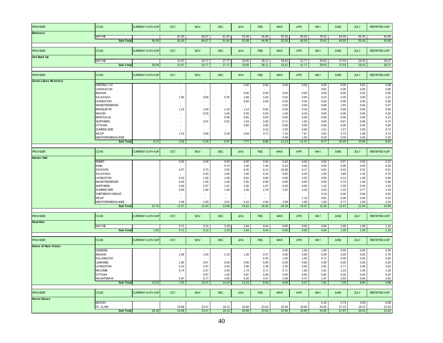| <b>PROVIDER</b>             | <b>CCAB</b>              | <b>CURRENT AUTH ADP</b>  | OCT.  | NOV.                     | DEC.                     | JAN.           | FEB.   | MAR.                     | APR.           | MAY.           | <b>JUNE</b>    | <b>JULY</b>    | <b>REPORTED ADP</b> |
|-----------------------------|--------------------------|--------------------------|-------|--------------------------|--------------------------|----------------|--------|--------------------------|----------------|----------------|----------------|----------------|---------------------|
| <b>Elmhurst</b>             |                          |                          |       |                          |                          |                |        |                          |                |                |                |                |                     |
|                             | <b>WAYNE</b>             |                          | 81.00 | 66.67                    | 61.84                    | 52.68          | 46.96  | 53.26                    | 66.93          | 79.42          | 64.50          | 55.45          | 63.00               |
|                             | <b>Sub Total</b>         | 66.49                    | 81.00 | 66.67                    | 61.84                    | 52.68          | 46.96  | 53.26                    | 66.93          | 79.42          | 64.50          | 55.45          | 63.00               |
|                             |                          |                          |       |                          |                          |                |        |                          |                |                |                |                |                     |
| <b>PROVIDER</b>             | <b>CCAB</b>              | <b>CURRENT AUTH ADP</b>  | OCT.  | NOV.                     | DEC.                     | JAN.           | FEB.   | MAR.                     | APR.           | MAY.           | <b>JUNE</b>    | <b>JULY</b>    | <b>REPORTED ADP</b> |
| Get Back Up                 |                          |                          |       |                          |                          |                |        |                          |                |                |                |                |                     |
|                             | <b>WAYNE</b>             |                          | 21.87 | 24.77                    | 27.77                    | 32.65          | 28.11  | 19.42                    | 21.77          | 29.55          | 27.53          | 29.32          | 26.27               |
|                             | <b>Sub Total</b>         | 28.08                    | 21.87 | 24.77                    | 27.77                    | 32.65          | 28.11  | 19.42                    | 21.77          | 29.55          | 27.53          | 29.32          | 26.27               |
|                             |                          |                          |       |                          |                          |                |        |                          |                |                |                |                |                     |
| <b>PROVIDER</b>             | <b>CCAB</b>              | <b>CURRENT AUTH ADP</b>  | OCT.  | NOV.                     | DEC.                     | JAN.           | FEB.   | MAR.                     | APR.           | MAY.           | <b>JUNE</b>    | JULY           | <b>REPORTED ADP</b> |
| <b>Great Lakes Recovery</b> |                          |                          |       |                          |                          |                |        |                          |                |                |                |                |                     |
|                             | CENTRAL U.P.             |                          |       | $\overline{\phantom{a}}$ | $\overline{\phantom{a}}$ | 0.00           | 0.00   | 0.00                     | 0.00           | 0.00           | 0.00           | 0.81           | 0.08                |
|                             | <b>CHARLEVOIX</b>        |                          | ÷,    | $\overline{\phantom{a}}$ | $\overline{\phantom{a}}$ |                |        |                          |                | 0.81           | 0.00           | 0.00           | 0.08                |
|                             | <b>INGHAM</b>            |                          |       |                          |                          | 0.00           |        | 0.00                     |                |                |                |                |                     |
|                             |                          |                          |       |                          |                          |                | 0.00   |                          | 0.00           | 0.00           | 0.00           | 0.52           | $0.05\,$            |
|                             | KALKASKA                 |                          | 1.00  | 0.60                     | 0.35                     | 1.68           | 1.64   | 0.32                     | 0.00           | 0.23           | 2.40           | 3.90           | 1.21                |
|                             | <b>LIVINGSTON</b>        |                          |       | $\overline{\phantom{a}}$ | $\sim$                   | 0.00           | 0.00   | 0.00                     | 0.00           | 0.00           | 0.00           | 0.45           | 0.05                |
|                             | <b>MANISTEE/BENZIE</b>   |                          |       |                          | $\epsilon$               | $\sim$         |        | 0.32                     | 0.00           | 0.68           | 1.83           | 0.84           | 0.37                |
|                             | <b>MARQUETTE</b>         |                          | 1.23  | 1.00                     | 1.23                     | 1.13           | 0.82   | 0.00                     | 0.43           | 0.00           | 0.00           | 0.00           | 0.58                |
|                             | <b>MASON</b>             |                          |       | 0.03                     | 1.00                     | 0.35           | 0.54   | 1.00                     | 0.43           | 0.00           | 0.00           | 0.00           | 0.34                |
|                             | <b>MONTCALM</b>          |                          |       |                          | 0.58                     | 0.65           | 0.00   | 0.00                     | 0.00           | 0.00           | 0.00           | 0.00           | 0.13                |
|                             | <b>NORTHERN</b>          |                          |       | 0.97                     | 0.52                     | 1.03           | 2.00   | 0.71                     | 1.00           | 0.65           | 0.67           | 0.00           | 0.74                |
|                             | <b>OTTAWA</b>            |                          |       | ÷.                       | $\sim$                   | 0.00           | 0.00   | 0.00                     | 0.00           | 0.00           | 0.00           | 0.45           | 0.05                |
|                             | SUNRISE SIDE             |                          |       |                          | $\sim$                   |                | 0.14   | 1.00                     | 0.83           | 1.61           | 1.57           | 2.00           | 0.72                |
|                             | <b>WCUP</b>              |                          | 1.03  | 2.60                     | 2.29                     | 2.94           | 3.71   | 7.10                     | 7.67           | 4.52           | 3.73           | 1.68           | 3.72                |
|                             | WEXFORD/MISSAUKEE        |                          |       |                          |                          |                |        | 0.68                     | 1.00           | 0.29           | 0.00           | 0.00           | 0.20                |
|                             | <b>Sub Total</b>         | 9.12                     | 3.26  | 5.20                     | 5.97                     | 7.77           | 8.86   | 11.13                    | 11.37          | 8.77           | 10.20          | 10.65          | 8.31                |
|                             |                          |                          |       |                          |                          |                |        |                          |                |                |                |                |                     |
|                             |                          |                          |       |                          |                          |                |        |                          |                |                |                |                |                     |
| <b>PROVIDER</b>             | <b>CCAB</b>              | <b>CURRENT AUTH ADP</b>  | OCT.  | NOV.                     | DEC.                     | JAN.           | FEB.   | MAR.                     | APR.           | MAY.           | <b>JUNE</b>    | JULY           | <b>REPORTED ADP</b> |
|                             |                          |                          |       |                          |                          |                |        |                          |                |                |                |                |                     |
| <b>Harbor Hall</b>          |                          |                          |       |                          |                          |                |        |                          |                |                |                |                |                     |
|                             | <b>EMMET</b>             |                          | 0.00  | 0.00                     | 0.00                     | 0.00           | 0.00   | 0.00                     | 0.00           | 0.00           | 0.57           | 0.58           | 0.12                |
|                             | <b>IONIA</b>             |                          |       |                          | 0.74                     | 1.00           | 1.00   | 0.23                     | 0.00           | 0.00           | 0.00           | 0.00           | 0.29                |
|                             | <b>JACKSON</b>           |                          | 4.97  | 3.70                     | 3.55                     | 5.45           | 9.14   | 10.58                    | 9.17           | 6.81           | 6.43           | 5.52           | 6.51                |
|                             | KALKASKA                 |                          |       | 0.53                     | 1.00                     | 1.00           | 0.32   | 0.00                     | 0.40           | 1.00           | 1.80           | 1.42           | 0.75                |
|                             | <b>LIVINGSTON</b>        |                          | 0.23  | 1.00                     | 1.00                     | 0.61           | 0.00   | 0.00                     | 0.53           | 0.00           | 0.13           | 1.00           | 0.45                |
|                             | <b>MANISTEE/BENZIE</b>   |                          | 0.45  | 1.00                     | 1.00                     | 0.35           | 0.00   | 0.00                     | 0.00           | 0.00           | 0.73           | 1.00           | 0.46                |
|                             | NORTHERN                 |                          | 3.00  | 2.97                     | 1.87                     | 2.00           | 1.07   | 0.29                     | 0.00           | 1.42           | 2.00           | 0.65           | 1.53                |
|                             | SUNRISE SIDE             |                          | 0.84  | 1.00                     | 1.00                     | 1.00           | 2.79   | 2.52                     | 2.43           | 2.03           | 1.03           | 0.77           | 1.53                |
|                             | THIRTEENTH CIRCUIT       |                          |       | $\overline{\phantom{a}}$ | ٠                        | $\sim$         | ٠      | $\overline{\phantom{a}}$ | $\sim$         | 0.19           | 0.00           | 0.00           | 0.02                |
|                             | <b>WCUP</b>              |                          |       | ÷.                       | $\sim$                   | $\sim$         | $\sim$ | $\sim$                   | 1.13           | 0.81           | 0.00           | 0.00           | 0.19                |
|                             | <b>WEXFORD/MISSAUKEE</b> |                          | 2.48  | 2.00                     | 3.52                     | 4.10           | 4.00   | 2.58                     | 1.00           | 1.00           | 0.77           | 1.00           | 2.24                |
|                             | <b>Sub Total</b>         | 15.76                    | 11.97 | 12.20                    | 13.68                    | 15.52          | 18.32  | 16.19                    | 14.67          | 13.26          | 13.47          | 11.94          | 14.09               |
|                             |                          |                          |       |                          |                          |                |        |                          |                |                |                |                |                     |
|                             |                          |                          |       |                          |                          |                |        |                          |                |                |                |                |                     |
| <b>PROVIDER</b>             | <b>CCAB</b>              | <b>CURRENT A UTH ADF</b> | OCT.  | NOV.                     | DEC.                     | JAN.           | FEB.   | MAR.                     | APR.           | MAY.           | <b>JUNE</b>    | <b>JULY</b>    | <b>REPORTED ADP</b> |
| <b>Heartline</b>            |                          |                          |       |                          |                          |                |        |                          |                |                |                |                |                     |
|                             | <b>WAYNE</b>             |                          | 0.71  | 3.13                     |                          | 1.84           | 0.04   | 0.00                     | 0.00           | 0.94           |                | 1.00           | 1.10                |
|                             |                          |                          |       |                          | 2.29                     |                |        |                          |                |                | 1.00           | 1.00           |                     |
|                             | <b>Sub Total</b>         | 1.92                     | 0.71  | 3.13                     | 2.29                     | 1.84           | 0.04   | 0.00                     | 0.00           | 0.94           | 1.00           |                | 1.10                |
|                             |                          |                          |       |                          |                          |                |        |                          |                |                |                |                |                     |
| <b>PROVIDER</b>             | <b>CCAB</b>              | <b>CURRENT AUTH ADP</b>  | OCT.  | NOV.                     | DEC.                     | JAN.           | FEB.   | MAR.                     | APR.           | MAY.           | <b>JUNE</b>    | JULY           | <b>REPORTED ADP</b> |
|                             |                          |                          |       |                          |                          |                |        |                          |                |                |                |                |                     |
| <b>Home of New Vision</b>   |                          |                          |       |                          |                          |                |        |                          |                |                |                |                |                     |
|                             | <b>GENESEE</b>           |                          |       |                          |                          |                | $\sim$ | 0.45                     | 1.00           | 1.00           | 0.50           | 0.00           | 0.30                |
|                             | <b>INGHAM</b>            |                          | 1.58  | 1.93                     | 2.10                     | 1.35           | 0.57   | 0.00                     | 0.00           | 0.00           | 0.00           | 0.00           | 0.76                |
|                             | KALAMAZOO                |                          |       |                          |                          |                | 0.25   | 1.00                     | 1.00           | 0.71           | 0.00           | 0.00           | 0.30                |
|                             | <b>ENAWEE</b>            |                          | 1.00  | 0.97                     | 0.00                     | 0.00           | 0.00   | 0.00                     | 0.00           | 0.00           | 0.00           | 0.00           | 0.20                |
|                             | <b>LIVINGSTON</b>        |                          | 4.10  | 4.47                     | 4.45                     | 2.00           | 2.39   | 2.35                     | 3.00           | 2.61           | 2.77           | 2.00           | 3.02                |
|                             | <b>MACOMB</b>            |                          | 0.74  | 2.07                     | 2.00                     | 1.74           | 0.71   | 0.71                     | 1.00           | 1.61           | 1.23           | 1.00           | 1.29                |
|                             | <b>OTTAWA</b>            |                          |       | 0.07                     | 1.00                     | 0.87           | 0.00   | 0.00                     | 0.00           | 0.00           | 0.00           | 0.00           | 0.20                |
|                             | <b>WASHTENAW</b>         |                          | 5.97  | 5.77                     | 4.65                     | 5.26           | 4.57   | 2.06                     | 0.47           | 1.87           | 2.83           | 5.84           | 3.93                |
|                             | <b>Sub Total</b>         | 12.02                    | 7.42  | 15.27                    | 14.19                    | 11.23          | 8.50   | 6.58                     | 6.47           | 7.81           | 7.33           | 8.84           | 9.98                |
|                             |                          |                          |       |                          |                          |                |        |                          |                |                |                |                |                     |
|                             |                          |                          |       |                          |                          |                |        |                          |                |                |                |                |                     |
| <b>PROVIDER</b>             | CCAB                     | <b>CURRENT AUTH ADP</b>  | OCT.  | NOV.                     | DEC.                     | JAN.           | FEB.   | MAR.                     | APR.           | MAY.           | <b>JUNE</b>    | JULY           | REPORTED ADP        |
| <b>Huron House</b>          |                          |                          |       |                          |                          |                |        |                          |                |                |                |                |                     |
|                             | <b>MASON</b>             |                          |       |                          |                          |                |        |                          |                | 0.19           | 0.73           | 0.00           | 0.09                |
|                             | ST. CLAIR                |                          | 24.68 | 23.47                    |                          |                | 23.54  | 15.58                    |                |                |                |                |                     |
|                             |                          |                          |       | 23.47                    | 18.13<br>18.13           | 20.68<br>20.68 | 23.54  | 15.58                    | 19.80<br>19.80 | 24.45<br>24.65 | 27.23<br>27.97 | 18.23<br>18.23 | 21.54<br>21.63      |
|                             | <b>Sub Total</b>         | 28.18                    | 24.68 |                          |                          |                |        |                          |                |                |                |                |                     |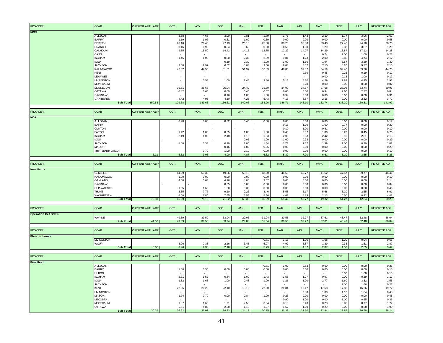| <b>PROVIDER</b>           | <b>CCAB</b>                       | <b>CURRENT AUTH ADP</b> | OCT.                     | NOV.          | DEC.                     | JAN.           | FEB.           | MAR.          | APR.          | MAY.          | <b>JUNE</b>   | JULY          | <b>REPORTED ADP</b> |
|---------------------------|-----------------------------------|-------------------------|--------------------------|---------------|--------------------------|----------------|----------------|---------------|---------------|---------------|---------------|---------------|---------------------|
| KPEP                      |                                   |                         |                          |               |                          |                |                |               |               |               |               |               |                     |
|                           | <b>ALLEGAN</b>                    |                         | 3.58                     | 4.63          | 3.00                     | 2.81           | 1.79           | 1.71          | 1.43          | 2.19          | 1.77          | 3.06          | 2.61                |
|                           | <b>BARRY</b>                      |                         | 1.19                     | 1.97          | 0.81                     | 1.00           | 0.89           | 0.00          | 0.00          | 0.00          | 0.00          | 0.00          | 0.58                |
|                           | <b>BERRIEN</b>                    |                         | 28.16                    | 26.40         | 27.13                    | 26.16          | 25.00          | 30.23         | 38.80         | 33.48         | 27.40         | 24.10         | 28.70               |
|                           | <b>BRANCH</b>                     |                         | 0.16                     | 0.93          | 0.84                     | 0.68           | 0.00           | 0.55          | 1.30          | 1.29          | 2.33          | 3.87          | 1.20                |
|                           | CALHOUN                           |                         | 9.35                     | 15.50         | 14.42                    | 14.16          | 12.75          | 12.29         | 14.07         | 14.29         | 18.87         | 17.13         | 14.28               |
|                           | CASS<br><b>INGHAM</b>             |                         | 1.45                     | 1.03          | 0.90                     | 2.35           | 2.89           | 1.81          | 1.23          | 0.74<br>2.00  | 1.00<br>2.83  | 1.00<br>4.74  | 0.28<br>2.12        |
|                           | <b>IONIA</b>                      |                         |                          |               | 0.19                     | 0.32           | 1.00           | 1.00          | 1.60          | 1.94          | 3.57          | 3.39          | 1.30                |
|                           | <b>JACKSON</b>                    |                         | 3.00                     | 2.97          | 6.52                     | 8.03           | 9.50           | 8.03          | 8.57          | 7.10          | 8.20          | 9.77          | 7.15                |
|                           | KALAMAZOO                         |                         | 42.32                    | 47.50         | 51.61                    | 51.97          | 57.89          | 46.00         | 37.87         | 34.19         | 39.40         | 39.26         | 44.70               |
|                           | <b>KENT</b>                       |                         |                          |               | $\overline{\phantom{a}}$ | $\blacksquare$ | $\sim$         | $\sim$        | 0.30          | 0.45          | 0.23          | 0.19          | 0.12                |
|                           | <b>LENAWEE</b>                    |                         | $\sim$                   |               | $\sim$                   | $\sim$         | $\overline{a}$ |               |               | 0.00          | 0.13          | 1.00          | 0.12                |
|                           | <b>LIVINGSTON</b>                 |                         | $\sim$                   | 0.53          | 1.00                     | 2.45           | 3.86           | 5.13          | 4.80          | 4.29          | 2.83          | 4.45          | 2.93                |
|                           | <b>MONTCALM</b>                   |                         |                          |               |                          |                |                |               | 0.20          | 0.00          | 0.00          | 0.00          | 0.02                |
|                           | <b>MUSKEGON</b><br><b>OTTAWA</b>  |                         | 35.61<br>0.42            | 36.63<br>0.60 | 25.94<br>0.00            | 24.42<br>0.45  | 31.39<br>0.57  | 34.90<br>0.00 | 34.37<br>0.00 | 27.68<br>0.94 | 25.03<br>2.60 | 33.74<br>2.77 | 30.96<br>0.84       |
|                           | SAGINAW                           |                         |                          |               | 0.16                     | 1.00           | 1.00           | 0.94          | 0.00          | 0.00          | 0.00          | 0.00          | 0.31                |
|                           | <b>VAN BUREN</b>                  |                         | 4.42                     | 4.93          | 4.10                     | 4.26           | 5.43           | 4.13          | 3.57          | 2.16          | 2.00          | 2.32          | 3.72                |
|                           | <b>Sub Total</b>                  | 159.58                  | 129.68                   | 143.63        | 136.61                   | 140.06         | 153.96         | 146.71        | 148.10        | 132.74        | 138.20        | 150.81        | 141.92              |
|                           |                                   |                         |                          |               |                          |                |                |               |               |               |               |               |                     |
| <b>PROVIDER</b>           | <b>CCAB</b>                       | <b>CURRENT AUTH ADP</b> | OCT.                     | NOV.          | DEC.                     | JAN.           | FEB.           | MAR.          | APR.          | MAY.          | <b>JUNE</b>   | JULY          | REPORTED ADP        |
| <b>NCA</b>                |                                   |                         |                          |               |                          |                |                |               |               |               |               |               |                     |
|                           | <b>ALLEGAN</b>                    |                         | 0.90                     | 0.00          | 0.32                     | 0.45           | 0.00           | 0.00          | 0.00          | 0.00          | 0.00          | 0.00          | 0.17                |
|                           | <b>BARRY</b>                      |                         |                          |               |                          |                |                | 0.13          | 1.00          | 1.00          | 0.77          | 0.00          | 0.29                |
|                           | <b>CLINTON</b><br><b>EATON</b>    |                         |                          | 1.00          | 0.65                     | 1.00           | 1.00           | 0.10<br>0.45  | 1.00<br>0.37  | 0.81<br>1.00  | 0.00<br>0.23  | 0.00<br>0.45  | 0.19<br>0.76        |
|                           | <b>INGHAM</b>                     |                         | 1.42<br>2.19             | 1.00          | 2.48                     | 1.19           | 1.93           | 2.00          | 2.33          | 2.42          | 3.10          | 2.81          | 2.15                |
|                           | <b>IONIA</b>                      |                         |                          |               |                          | 0.03           | 1.00           | 1.00          | 0.93          | 0.00          | 0.00          | 0.00          | 0.29                |
|                           | <b>JACKSON</b>                    |                         | 1.00                     | 0.33          | 0.29                     | 1.00           | 1.54           | 1.71          | 1.57          | 1.39          | 1.00          | 0.39          | 1.02                |
|                           | <b>MASON</b>                      |                         |                          |               | 0.16                     | 1.00           | 0.86           | 0.00          | 0.00          | 0.00          | 0.00          | 0.00          | 0.20                |
|                           | THIRTEENTH CIRCUIT                |                         |                          | 0.70          | 1.00                     | 0.19           | 0.00           | 0.00          | 0.00          | 0.00          | 0.00          | 0.00          | 0.19                |
|                           | <b>Sub Total</b>                  | 6.21                    | 5.52                     | 3.03          | 4.90                     | 4.87           | 6.32           | 5.39          | 7.20          | 6.61          | 5.10          | 3.65          | 5.25                |
|                           |                                   |                         |                          |               |                          |                |                |               |               |               |               |               |                     |
| <b>PROVIDER</b>           | <b>CCAB</b>                       | <b>CURRENT AUTH ADP</b> | OCT.                     | NOV.          | DEC.                     | <b>JAN</b>     | FEB.           | MAR.          | APR.          | MAY.          | <b>JUNE</b>   | <b>JULY</b>   | <b>REPORTED ADP</b> |
|                           |                                   |                         |                          |               |                          |                |                |               |               |               |               |               |                     |
| <b>New Paths</b>          |                                   |                         |                          |               |                          |                |                |               |               |               |               |               |                     |
|                           | <b>GENESEE</b>                    |                         | 44.29                    | 53.33         | 49.06                    | 50.19          | 48.50          | 44.58         | 45.77         | 41.52         | 47.57         | 39.77         | 46.41               |
|                           | KALAMAZOO                         |                         | 1.00                     | 0.00          | 0.00                     | 0.00           | 0.00           | 0.00          | 0.00          | 0.00          | 0.00          | 0.00          | 0.10                |
|                           | OAKLAND                           |                         | 4.00                     | 5.63          | 4.16                     | 4.00           | 3.07           | 0.65          | 0.00          | 0.00          | 0.00          | 0.00          | 2.14                |
|                           | SAGINAW<br><b>SHIAWASSEE</b>      |                         | 1.65                     | 1.60          | 0.35                     | 0.03           | 0.00           | 0.00          | 0.00          | 0.00          | 0.00          | 0.00<br>0.00  | 0.04                |
|                           | <b>THUMB</b>                      |                         | 8.35                     | 7.77          | 1.00<br>9.10             | 0.32<br>9.26   | 0.00<br>8.46   | 0.00<br>5.58  | 0.00<br>6.17  | 0.00<br>5.68  | 0.00<br>3.20  | 2.65          | 0.46<br>6.61        |
|                           | <b>WASHTENAW</b>                  |                         | 6.00                     | 6.80          | 7.65                     | 5.55           | 5.86           | 4.61          | 4.83          | 2.13          | 0.50          | 0.42          | 4.42                |
|                           | <b>Sub Total</b>                  | 70.31                   | 65.29                    | 75.13         | 71.32                    | 69.35          | 65.89          | 55.42         | 56.77         | 49.32         | 51.27         | 42.84         | 60.20               |
|                           |                                   |                         |                          |               |                          |                |                |               |               |               |               |               |                     |
| <b>PROVIDER</b>           | <b>CCAB</b>                       | <b>CURRENT AUTH ADP</b> | OCT.                     | NOV.          | DEC.                     | JAN.           | FEB.           | MAR.          | APR.          | MAY.          | <b>JUNE</b>   | <b>JULY</b>   | <b>REPORTED ADP</b> |
| <b>Operation Get Down</b> |                                   |                         |                          |               |                          |                |                |               |               |               |               |               |                     |
|                           | <b>WAYNE</b>                      |                         | 49.39                    | 39.50         | 33.94                    | 29.03          | 31.04          | 30.55         | 32.77         | 37.61         | 43.47         | 52.48         | 38.04               |
|                           | <b>Sub Total</b>                  | 41.53                   | 49.39                    | 39.50         | 33.94                    | 29.03          | 31.04          | 30.55         | 32.77         | 37.61         | 43.47         | 52.48         | 38.04               |
|                           |                                   |                         |                          |               |                          |                |                |               |               |               |               |               |                     |
| <b>PROVIDER</b>           | <b>CCAB</b>                       | <b>CURRENT AUTH ADP</b> | OCT.                     | NOV.          | DEC.                     | JAN.           | FEB.           | MAR.          | APR.          | MAY.          | <b>JUNE</b>   | JULY          | <b>REPORTED ADP</b> |
| <b>Phoenix House</b>      |                                   |                         |                          |               |                          |                |                |               |               |               |               |               |                     |
|                           | <b>LIVINGSTON</b>                 |                         |                          |               |                          |                | 0.71           | 1.13          | 1.00          | 1.58          | 1.20          | 0.94          | 0.65                |
|                           | <b>WCUP</b><br><b>Sub Total</b>   | 5.08                    | 3.26<br>3.26             | 2.33<br>2.33  | 2.16<br>2.16             | 3.45<br>3.45   | 5.07<br>5.79   | 4.97<br>6.10  | 3.87<br>4.87  | 1.29<br>2.87  | 0.33<br>1.53  | 1.61<br>2.55  | 2.82<br>3.47        |
|                           |                                   |                         |                          |               |                          |                |                |               |               |               |               |               |                     |
| <b>PROVIDER</b>           | <b>CCAB</b>                       | <b>CURRENT AUTH ADP</b> | OCT.                     | NOV.          | DEC.                     | JAN.           | FEB.           | MAR.          | APR.          | MAY.          | <b>JUNE</b>   | <b>JULY</b>   | <b>REPORTED ADP</b> |
|                           |                                   |                         |                          |               |                          |                |                |               |               |               |               |               |                     |
| <b>Pine Rest</b>          | <b>ALLEGAN</b>                    |                         |                          |               |                          |                |                |               |               |               |               |               |                     |
|                           | <b>BARRY</b>                      |                         | 1.00                     | 0.50          | 0.00                     | 0.00           | 0.71<br>0.00   | 1.00<br>0.00  | 0.83<br>0.00  | 0.00<br>0.00  | 0.00<br>0.00  | 0.00<br>0.00  | 0.25<br>0.15        |
|                           | <b>HURON</b>                      |                         |                          |               |                          |                |                |               |               |               | 0.30          | 1.00          | 0.13                |
|                           | <b>INGHAM</b>                     |                         | 2.71                     | 1.57          | 0.84                     | 1.00           | 1.43           | 1.55          | 1.27          | 0.97          | 0.00          | 0.39          | 1.17                |
|                           | <b>IONIA</b>                      |                         | 1.32                     | 1.63          | 1.00                     | 0.48           | 1.00           | 1.26          | 1.00          | 2.77          | 1.60          | 3.32          | 1.55                |
|                           | <b>JACKSON</b>                    |                         | $\overline{\phantom{a}}$ |               |                          |                |                |               |               |               | 1.00          | 1.68          | 0.27                |
|                           | <b>KENT</b>                       |                         | 22.06                    | 20.23         | 22.10                    | 18.16          | 22.00          | 21.84         | 19.17         | 17.68         | 17.83         | 16.26         | 19.72               |
|                           | <b>LIVINGSTON</b><br><b>MASON</b> |                         | 1.74                     | 0.70          | 0.00                     | 0.84           | 1.00           | 0.23          | 0.80<br>0.00  | 1.00<br>0.00  | 1.13<br>0.00  | 1.84<br>0.00  | 0.48                |
|                           | <b>MECOSTA</b>                    |                         |                          |               |                          |                |                | 0.90          | 1.00          | 0.00          | 1.00          | 0.65          | 0.45<br>0.36        |
|                           | <b>MONTCALM</b>                   |                         | 1.87                     | 1.60          | 1.71                     | 2.58           | 3.04           | 3.10          | 2.43          | 0.23          | 0.00          | 0.77          | 1.72                |
|                           | <b>OTTAWA</b><br><b>Sub Total</b> | 30.39                   | 5.81<br>36.52            | 4.83<br>31.07 | 2.58<br>28.23            | 1.13<br>24.19  | 1.07<br>30.25  | 1.52<br>31.39 | 1.00<br>27.50 | 0.29<br>22.94 | 0.00<br>22.87 | 0.68<br>26.58 | 1.90<br>28.14       |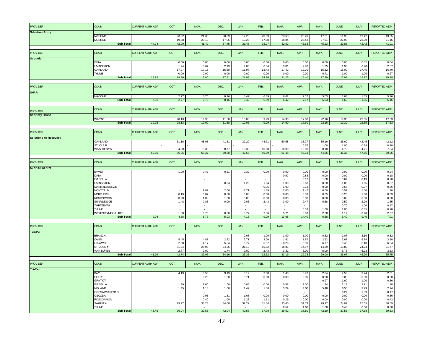|                              | CCAB                              | <b>CURRENT AUTH ADF</b> | OCT.                     | NOV.                     | DEC.                     | JAN.                             | FEB.                             | MAR.           | APR.           | MAY.           | <b>JUNE</b>    | <b>JULY</b>    | <b>REPORTED ADP</b> |
|------------------------------|-----------------------------------|-------------------------|--------------------------|--------------------------|--------------------------|----------------------------------|----------------------------------|----------------|----------------|----------------|----------------|----------------|---------------------|
| <b>Salvation Army</b>        |                                   |                         |                          |                          |                          |                                  |                                  |                |                |                |                |                |                     |
|                              | <b>MACOMB</b><br><b>MONROE</b>    |                         | 23.32<br>19.58           | 21.30<br>20.10           | 20.39<br>17.06           | 17.23<br>16.26                   | 20.39<br>17.68                   | 23.68<br>18.84 | 23.20<br>23.43 | 17.61<br>27.61 | 11.90<br>27.93 | 19.42<br>23.00 | 19.85<br>21.16      |
|                              | <b>Sub Total</b>                  | 44.74                   | 42.90                    | 41.40                    | 37.45                    | 33.48                            | 38.07                            | 42.52          | 46.63          | 45.23          | 39.83          | 42.42          | 41.01               |
|                              |                                   |                         |                          |                          |                          |                                  |                                  |                |                |                |                |                |                     |
| PROV IDER                    | <b>CCAB</b>                       | <b>CURRENT AUTH ADP</b> | OCT.                     | NOV.                     | DEC.                     | JAN.                             | FEB.                             | MAR.           | APR.           | MAY.           | <b>JUNE</b>    | JULY           | <b>REPORTED ADP</b> |
| Sequoia                      | <b>IONIA</b>                      |                         | 0.00                     | 0.00                     | 0.00                     | 0.00                             | 0.00                             | 0.00           | 0.00           | 0.00           | 0.00           | 0.42           | 0.04                |
|                              | <b>LIVINGSTON</b>                 |                         | 1.94                     | 0.67                     | 2.13                     | 4.06                             | 6.54                             | 3.81           | 2.70           | 1.35           | 1.93           | 0.90           | 2.57                |
|                              | OAKLAND                           |                         | 17.97                    | 17.13                    | 15.68                    | 16.97                            | 18.43                            | 17.42          | 12.70          | 15.32          | 15.00          | 17.45          | 16.40               |
|                              | <b>THUMB</b>                      |                         | 0.00                     | 0.00                     | 0.00                     | 0.00                             | 0.00                             | 0.00           | 0.00           | 0.71           | 1.00           | 1.00           | 0.27                |
|                              | <b>Sub Total</b>                  | 18.92                   | 19.90                    | 17.80                    | 17.81                    | 21.03                            | 24.96                            | 21.23          | 15.40          | 17.39          | 17.93          | 19.77          | 19.29               |
|                              |                                   |                         |                          |                          |                          |                                  |                                  |                |                |                |                |                |                     |
| <b>PROVIDER</b>              | <b>CCAB</b>                       | <b>CURRENT AUTH ADP</b> | OCT.                     | NOV.                     | DEC.                     | JAN.                             | FEB.                             | MAR.           | APR.           | MAY.           | <b>JUNE</b>    | <b>JULY</b>    | <b>REPORTED ADP</b> |
| <b>SHAR</b>                  |                                   |                         |                          |                          |                          |                                  |                                  |                |                |                |                |                |                     |
|                              | <b>MACOMB</b>                     |                         | 2.77<br>2.77             | 6.70                     | 8.16                     | 5.42                             | 6.89                             | 6.42           | 7.17           | 5.03           | 1.63           | 1.55           | 5.16                |
|                              | <b>Sub Total</b>                  | 7.01                    |                          | 6.70                     | 8.16                     | 5.42                             | 6.89                             | 6.42           | 7.17           | 5.03           | 1.63           | 1.55           | 5.16                |
|                              | <b>CCAB</b>                       | <b>CURRENT AUTH ADP</b> | OCT.                     | NOV.                     | DEC.                     | <b>JAN</b>                       | FEB.                             | MAR.           | APR.           | MAY.           | <b>JUNE</b>    | <b>JULY</b>    | <b>REPORTED ADP</b> |
| <b>PROVIDER</b>              |                                   |                         |                          |                          |                          |                                  |                                  |                |                |                |                |                |                     |
| <b>Sobriety House</b>        |                                   |                         |                          |                          |                          |                                  |                                  |                |                |                |                |                |                     |
|                              | WAYNE<br><b>Sub Total</b>         | 19.26                   | 28.13<br>28.13           | 19.90<br>19.90           | 11.58<br>11.58           | 10.06<br>10.06                   | 9.29<br>9.29                     | 14.90<br>14.90 | 17.60<br>17.60 | 22.16<br>22.16 | 19.30<br>19.30 | 22.65<br>22.65 | 17.63<br>17.63      |
|                              |                                   |                         |                          |                          |                          |                                  |                                  |                |                |                |                |                |                     |
| PROV IDER                    | <b>CCAB</b>                       | <b>CURRENT AUTH ADP</b> | OCT.                     | NOV.                     | DEC.                     | JAN.                             | FEB.                             | MAR.           | APR.           | MAY.           | <b>JUNE</b>    | JULY           | <b>REPORTED ADP</b> |
|                              |                                   |                         |                          |                          |                          |                                  |                                  |                |                |                |                |                |                     |
| <b>Solutions to Recovery</b> | <b>OAKLAND</b>                    |                         | 51.16                    | 48.03                    | 41.81                    | 32.29                            | 48.71                            | 50.58          | 35.77          | 35.16          | 35.60          | 42.45          | 42.12               |
|                              | ST. CLAIR                         |                         |                          |                          |                          |                                  |                                  |                | 0.57           | 1.00           | 1.00           | 0.39           | 0.30                |
|                              | <b>WASHTENAW</b>                  |                         | 4.90                     | 5.33                     | 8.77                     | 10.39                            | 10.68                            | 10.90          | 10.00          | 8.10           | 4.73           | 4.71           | 7.84                |
|                              | <b>Sub Total</b>                  | 50.35                   | 56.06                    | 53.37                    | 50.58                    | 42.68                            | 59.39                            | 61.48          | 46.33          | 44.26          | 41.33          | 47.55          | 50.25               |
|                              |                                   |                         |                          |                          |                          |                                  |                                  |                |                |                |                |                |                     |
| <b>PROVIDER</b>              | <b>CCAB</b>                       | <b>CURRENT AUTH ADF</b> | OCT.                     | NOV.                     | DEC.                     | JAN.                             | FEB.                             | MAR.           | APR.           | MAY.           | <b>JUNE</b>    | JULY           | <b>REPORTED ADP</b> |
| <b>Sunrise Centre</b>        |                                   |                         |                          |                          |                          |                                  |                                  |                |                |                |                |                |                     |
|                              | <b>EMMET</b>                      |                         | 1.00                     | 0.47                     | 0.61                     | 0.32                             | 0.00                             | 0.00           | 0.00           | 0.00           | 0.00           | 0.00           | 0.24                |
|                              | <b>IONIA</b><br><b>ISABELLA</b>   |                         |                          | $\overline{a}$           | $\overline{\phantom{a}}$ | $\overline{\phantom{a}}$         | $\overline{\phantom{a}}$         | 0.97           | 0.83<br>0.17   | 0.00<br>1.00   | 0.00<br>0.67   | 0.00<br>0.19   | 0.18<br>0.20        |
|                              | <b>LIVINGSTON</b>                 |                         |                          | $\overline{\phantom{a}}$ | 0.84                     | 1.26                             | 1.64                             | 1.00           | 0.63           | 0.68           | 1.00           | 1.65           | 0.87                |
|                              | <b>MANISTEE/BENZIE</b>            |                         |                          |                          |                          | $\sim$                           | 0.96                             | 1.00           | 0.13           | 0.00           | 0.57           | 0.97           | 0.36                |
|                              |                                   |                         |                          |                          |                          |                                  |                                  | 2.00           | 1.47           |                |                |                | 1.20                |
|                              | <b>MONTCALM</b>                   |                         |                          | 1.87                     | 2.00                     | 1.71                             | 1.39                             |                |                | 0.00           | 0.57           | 1.00           |                     |
|                              | <b>NORTHERN</b>                   |                         | 0.19                     | 0.87                     | 0.58                     | 0.00                             | 0.00                             | 0.00           | 0.33           | 0.65           | 0.23           | 1.00           | 0.39                |
|                              | <b>ROSCOMMON</b>                  |                         | 0.90                     | 1.00                     | 1.00                     | 0.03                             | 0.00                             | 0.00           | 0.00           | 0.00           | 0.00           | 0.00           | 0.30                |
|                              | SUNRISE SIDE<br><b>THIRTEENTH</b> |                         | 1.48                     | 0.83                     | 0.00                     | 0.03<br>$\overline{\phantom{a}}$ | 2.43<br>$\overline{\phantom{a}}$ | 3.00           | 2.47           | 0.58           | 0.50           | 2.29           | 1.35                |
|                              | <b>THUMB</b>                      |                         | $\overline{a}$           | $\overline{a}$           | $\overline{a}$           | $\sim$                           | $\overline{a}$                   | $\sim$         | 0.33           | 1.00           | 0.70<br>1.00   | 1.00<br>0.45   | 0.17<br>0.28        |
|                              | <b>WEXFORD/MISSAUKEE</b>          |                         | 1.00                     | 0.73                     | 0.00                     | 0.77                             | 2.86                             | 5.71           | 8.03           | 2.68           | 1.17           | 0.90           | 2.37                |
|                              | <b>Sub Total</b>                  | 9.94                    | 4.58                     | 5.77                     | 5.03                     | 4.13                             | 9.29                             | 13.68          | 14.40          | 6.58           | 6.40           | 9.45           | 7.91                |
| <b>PROVIDER</b>              | <b>CCAB</b>                       | <b>CURRENT AUTH ADF</b> | OCT.                     | NOV.                     | DEC.                     | JAN.                             | FEB.                             | MAR.           | APR.           | MAY.           | <b>JUNE</b>    | <b>JULY</b>    | <b>REPORTED ADP</b> |
| <b>TCCPC</b>                 |                                   |                         |                          |                          |                          |                                  |                                  |                |                |                |                |                |                     |
|                              | <b>BRANCH</b>                     |                         |                          |                          |                          | 0.68                             | 1.00                             | 1.00           | 1.00           | 0.32           | 1.07           | 3.10           | 0.82                |
|                              | CASS                              |                         | 5.45                     | 4.87                     | 2.32                     | 2.71                             | 3.00                             | 1.81           | 1.87           | 2.52           | 3.67           | 6.74           | 3.50                |
|                              | <b>LENAWEE</b>                    |                         | 2.68                     | 4.17                     | 5.84                     | 6.77                             | 6.57                             | 8.26           | 6.90           | 6.77           | 6.40           | 6.10           | 6.04                |
|                              | ST. JOSEPH<br><b>VAN BUREN</b>    |                         | 31.84<br>2.77            | 28.03<br>2.00            | 24.26<br>1.74            | 21.19<br>2.00                    | 19.32<br>2.43                    | 18.81<br>3.32  | 14.97<br>5.00  | 14.39<br>5.00  | 19.80<br>5.73  | 24.74<br>6.23  | 21.77<br>3.63       |
|                              | <b>Sub Total</b>                  | 41.99                   | 42.74                    | 39.07                    | 34.16                    | 33.35                            | 32.32                            | 33.19          | 29.73          | 29.00          | 36.67          | 46.90          | 35.75               |
|                              |                                   |                         |                          |                          |                          |                                  |                                  |                |                |                |                |                |                     |
| PROV IDER                    | <b>CCAB</b>                       | <b>CURRENT AUTH ADP</b> | OCT.                     | NOV.                     | DEC.                     | JAN.                             | FEB.                             | MAR.           | APR.           | MAY.           | JUNE           | JULY           | <b>REPORTED ADP</b> |
| <b>Tri-Cap</b>               |                                   |                         |                          |                          |                          |                                  |                                  |                |                |                |                |                |                     |
|                              | <b>BAY</b>                        |                         | 4.13                     | 3.50                     | 3.13                     | 3.19                             | 2.68                             | 1.48           | 0.77           | 2.84           | 2.53           | 3.74           | 2.81                |
|                              | CLARE                             |                         | $\overline{\phantom{a}}$ | 0.23                     | 1.00                     | 0.71                             | 0.00                             | 0.00           | 0.00           | 0.00           | 0.00           | 0.00           | 0.20                |
|                              | <b>GRATIOT</b><br><b>ISABELLA</b> |                         | $\overline{a}$           | $\overline{a}$           | $\sim$<br>1.00           | $\sim$<br>0.06                   | 0.00                             |                | $\sim$         | 0.97           | 1.60           | 1.00           | 0.36                |
|                              | <b>MIDLAND</b>                    |                         | 1.39<br>1.45             | 1.00<br>1.13             | 1.00                     | 1.42                             | 1.86                             | 0.58<br>3.29   | 1.00<br>4.00   | 1.84<br>5.48   | 2.13<br>6.50   | 2.71<br>3.29   | 1.18<br>2.94        |
|                              | OGEMAW/ARENAC                     |                         |                          |                          |                          |                                  |                                  |                |                |                | 0.27           | 1.39           | 0.17                |
|                              | <b>OSCODA</b>                     |                         | $\overline{\phantom{a}}$ | 0.03                     | 1.81                     | 1.68                             | 0.00                             | 0.00           | 0.00           | 0.00           | 0.00           | 0.00           | 0.36                |
|                              | <b>ROSCOMMON</b>                  |                         |                          | 0.40                     | 1.00                     | 1.23                             | 1.61                             | 0.19           | 0.00           | 0.00           | 0.00           | 0.00           | 0.43                |
|                              | SAGINAW<br><b>THUMB</b>           |                         | 29.97                    | 33.23                    | 34.00                    | 32.29                            | 31.64                            | 33.45<br>0.52  | 31.73<br>1.00  | 29.97<br>1.00  | 24.07<br>0.43  | 25.55<br>0.00  | 30.59<br>0.30       |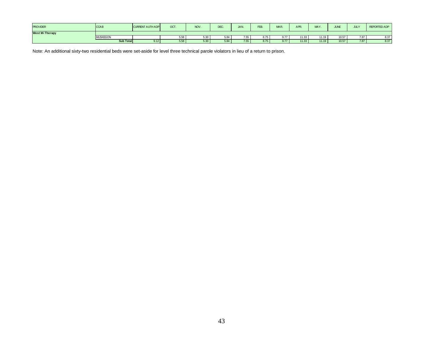| <b>PROVIDER</b>        | <b>CCAB</b>     | <b>CURRENT AUTH ADPI</b> | OCT. | <b>NOV</b> | DEC. | JAN. | FEB. | MAR. | APR.  | <b>MAY</b> | <b>JUNE</b> | <b>JULY</b> | <b>REPORTED ADP</b> |
|------------------------|-----------------|--------------------------|------|------------|------|------|------|------|-------|------------|-------------|-------------|---------------------|
| <b>West Mi Therapy</b> |                 |                          |      |            |      |      |      |      |       |            |             |             |                     |
|                        | <b>MUSKEGON</b> |                          | 5.58 | 30.ز       | 5.84 | 7.55 | 8.75 | 9.77 | 11.33 | 11.19      | 10.57       | 7.87        | 8.37                |
|                        | Sub Total       | 9.12                     | 5.58 | 5.30       | 5.84 | 7.55 | 8.75 | 9.77 | 11.33 | 11.19      | 10.57       | 7.87        | 8.37                |

Note: An additional sixty-two residential beds were set-aside for level three technical parole violators in lieu of a return to prison.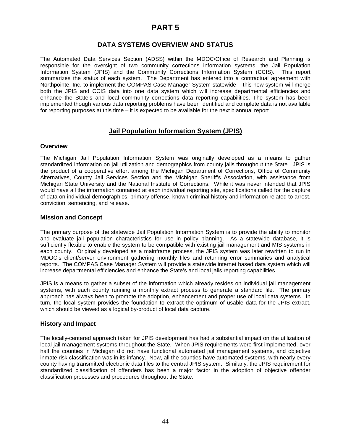## **PART 5**

## **DATA SYSTEMS OVERVIEW AND STATUS**

The Automated Data Services Section (ADSS) within the MDOC/Office of Research and Planning is responsible for the oversight of two community corrections information systems: the Jail Population Information System (JPIS) and the Community Corrections Information System (CCIS). This report summarizes the status of each system. The Department has entered into a contractual agreement with Northpointe, Inc. to implement the COMPAS Case Manager System statewide – this new system will merge both the JPIS and CCIS data into one data system which will increase departmental efficiencies and enhance the State's and local community corrections data reporting capabilities. The system has been implemented though various data reporting problems have been identified and complete data is not available for reporting purposes at this time – it is expected to be available for the next biannual report

## **Jail Population Information System (JPIS)**

### **Overview**

The Michigan Jail Population Information System was originally developed as a means to gather standardized information on jail utilization and demographics from county jails throughout the State. JPIS is the product of a cooperative effort among the Michigan Department of Corrections, Office of Community Alternatives, County Jail Services Section and the Michigan Sheriff's Association, with assistance from Michigan State University and the National Institute of Corrections. While it was never intended that JPIS would have all the information contained at each individual reporting site, specifications called for the capture of data on individual demographics, primary offense, known criminal history and information related to arrest, conviction, sentencing, and release.

### **Mission and Concept**

The primary purpose of the statewide Jail Population Information System is to provide the ability to monitor and evaluate jail population characteristics for use in policy planning. As a statewide database, it is sufficiently flexible to enable the system to be compatible with existing jail management and MIS systems in each county. Originally developed as a mainframe process, the JPIS system was later rewritten to run in MDOC's client/server environment gathering monthly files and returning error summaries and analytical reports. The COMPAS Case Manager System will provide a statewide internet based data system which will increase departmental efficiencies and enhance the State's and local jails reporting capabilities.

JPIS is a means to gather a subset of the information which already resides on individual jail management systems, with each county running a monthly extract process to generate a standard file. The primary approach has always been to promote the adoption, enhancement and proper use of local data systems. In turn, the local system provides the foundation to extract the optimum of usable data for the JPIS extract, which should be viewed as a logical by-product of local data capture.

### **History and Impact**

The locally-centered approach taken for JPIS development has had a substantial impact on the utilization of local jail management systems throughout the State. When JPIS requirements were first implemented, over half the counties in Michigan did not have functional automated jail management systems, and objective inmate risk classification was in its infancy. Now, all the counties have automated systems, with nearly every county having transmitted electronic data files to the central JPIS system. Similarly, the JPIS requirement for standardized classification of offenders has been a major factor in the adoption of objective offender classification processes and procedures throughout the State.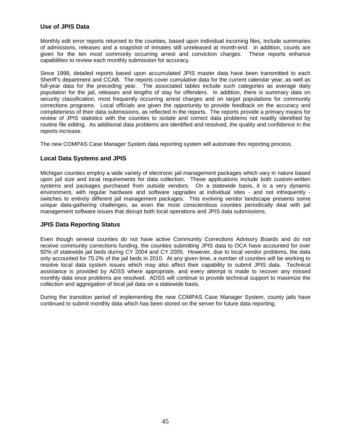## **Use of JPIS Data**

Monthly edit error reports returned to the counties, based upon individual incoming files, include summaries of admissions, releases and a snapshot of inmates still unreleased at month-end. In addition, counts are given for the ten most commonly occurring arrest and conviction charges. These reports enhance capabilities to review each monthly submission for accuracy.

Since 1998, detailed reports based upon accumulated JPIS master data have been transmitted to each Sheriff's department and CCAB. The reports cover cumulative data for the current calendar year, as well as full-year data for the preceding year. The associated tables include such categories as average daily population for the jail, releases and lengths of stay for offenders. In addition, there is summary data on security classification, most frequently occurring arrest charges and on target populations for community corrections programs. Local officials are given the opportunity to provide feedback on the accuracy and completeness of their data submissions, as reflected in the reports. The reports provide a primary means for review of JPIS statistics with the counties to isolate and correct data problems not readily identified by routine file editing. As additional data problems are identified and resolved, the quality and confidence in the reports increase.

The new COMPAS Case Manager System data reporting system will automate this reporting process.

## **Local Data Systems and JPIS**

Michigan counties employ a wide variety of electronic jail management packages which vary in nature based upon jail size and local requirements for data collection. These applications include both custom-written systems and packages purchased from outside vendors. On a statewide basis, it is a very dynamic environment, with regular hardware and software upgrades at individual sites - and not infrequently switches to entirely different jail management packages. This evolving vendor landscape presents some unique data-gathering challenges, as even the most conscientious counties periodically deal with jail management software issues that disrupt both local operations and JPIS data submissions.

### **JPIS Data Reporting Status**

Even though several counties do not have active Community Corrections Advisory Boards and do not receive community corrections funding, the counties submitting JPIS data to OCA have accounted for over 92% of statewide jail beds during CY 2004 and CY 2005. However, due to local vendor problems, the data only accounted for 75.2% of the jail beds in 2010. At any given time, a number of counties will be working to resolve local data system issues which may also affect their capability to submit JPIS data. Technical assistance is provided by ADSS where appropriate, and every attempt is made to recover any missed monthly data once problems are resolved. ADSS will continue to provide technical support to maximize the collection and aggregation of local jail data on a statewide basis.

During the transition period of implementing the new COMPAS Case Manager System, county jails have continued to submit monthly data which has been stored on the server for future data reporting.